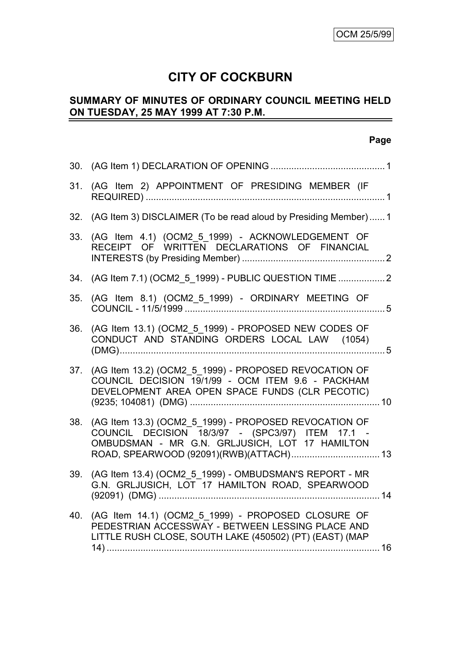# **CITY OF COCKBURN**

# **SUMMARY OF MINUTES OF ORDINARY COUNCIL MEETING HELD ON TUESDAY, 25 MAY 1999 AT 7:30 P.M.**

|     | 31. (AG Item 2) APPOINTMENT OF PRESIDING MEMBER (IF                                                                                                                                                    |
|-----|--------------------------------------------------------------------------------------------------------------------------------------------------------------------------------------------------------|
|     | 32. (AG Item 3) DISCLAIMER (To be read aloud by Presiding Member) 1                                                                                                                                    |
|     | 33. (AG Item 4.1) (OCM2_5_1999) - ACKNOWLEDGEMENT OF<br>RECEIPT OF WRITTEN DECLARATIONS OF FINANCIAL                                                                                                   |
|     | 34. (AG Item 7.1) (OCM2 5 1999) - PUBLIC QUESTION TIME 2                                                                                                                                               |
| 35. | (AG Item 8.1) (OCM2_5_1999) - ORDINARY MEETING OF                                                                                                                                                      |
| 36. | (AG Item 13.1) (OCM2 5 1999) - PROPOSED NEW CODES OF<br>CONDUCT AND STANDING ORDERS LOCAL LAW (1054)                                                                                                   |
|     | 37. (AG Item 13.2) (OCM2 5 1999) - PROPOSED REVOCATION OF<br>COUNCIL DECISION 19/1/99 - OCM ITEM 9.6 - PACKHAM<br>DEVELOPMENT AREA OPEN SPACE FUNDS (CLR PECOTIC)                                      |
| 38. | (AG Item 13.3) (OCM2 5 1999) - PROPOSED REVOCATION OF<br>COUNCIL DECISION 18/3/97 - (SPC3/97) ITEM 17.1 -<br>OMBUDSMAN - MR G.N. GRLJUSICH, LOT 17 HAMILTON<br>ROAD, SPEARWOOD (92091)(RWB)(ATTACH) 13 |
| 39. | (AG Item 13.4) (OCM2 5 1999) - OMBUDSMAN'S REPORT - MR<br>G.N. GRLJUSICH, LOT 17 HAMILTON ROAD, SPEARWOOD                                                                                              |
| 40. | (AG Item 14.1) (OCM2_5_1999) - PROPOSED CLOSURE OF<br>PEDESTRIAN ACCESSWAY - BETWEEN LESSING PLACE AND<br>LITTLE RUSH CLOSE, SOUTH LAKE (450502) (PT) (EAST) (MAP                                      |
|     |                                                                                                                                                                                                        |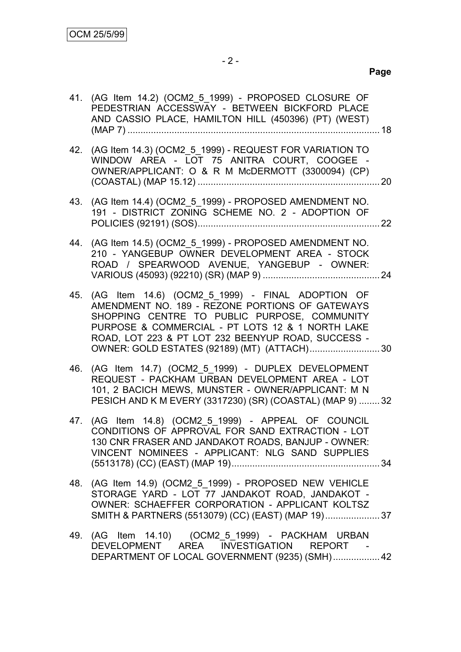|     | 41. (AG Item 14.2) (OCM2_5_1999) - PROPOSED CLOSURE OF<br>PEDESTRIAN ACCESSWAY - BETWEEN BICKFORD PLACE<br>AND CASSIO PLACE, HAMILTON HILL (450396) (PT) (WEST)                                                                                                                                               |  |
|-----|---------------------------------------------------------------------------------------------------------------------------------------------------------------------------------------------------------------------------------------------------------------------------------------------------------------|--|
|     | 42. (AG Item 14.3) (OCM2_5_1999) - REQUEST FOR VARIATION TO<br>WINDOW AREA - LOT 75 ANITRA COURT, COOGEE -<br>OWNER/APPLICANT: O & R M McDERMOTT (3300094) (CP)                                                                                                                                               |  |
|     | 43. (AG Item 14.4) (OCM2_5_1999) - PROPOSED AMENDMENT NO.<br>191 - DISTRICT ZONING SCHEME NO. 2 - ADOPTION OF                                                                                                                                                                                                 |  |
|     | 44. (AG Item 14.5) (OCM2_5_1999) - PROPOSED AMENDMENT NO.<br>210 - YANGEBUP OWNER DEVELOPMENT AREA - STOCK<br>ROAD / SPEARWOOD AVENUE, YANGEBUP - OWNER:                                                                                                                                                      |  |
| 45. | (AG Item 14.6) (OCM2_5_1999) - FINAL ADOPTION OF<br>AMENDMENT NO. 189 - REZONE PORTIONS OF GATEWAYS<br>SHOPPING CENTRE TO PUBLIC PURPOSE, COMMUNITY<br>PURPOSE & COMMERCIAL - PT LOTS 12 & 1 NORTH LAKE<br>ROAD, LOT 223 & PT LOT 232 BEENYUP ROAD, SUCCESS -<br>OWNER: GOLD ESTATES (92189) (MT) (ATTACH) 30 |  |
| 46. | (AG Item 14.7) (OCM2_5_1999) - DUPLEX DEVELOPMENT<br>REQUEST - PACKHAM URBAN DEVELOPMENT AREA - LOT<br>101, 2 BACICH MEWS, MUNSTER - OWNER/APPLICANT: M N<br>PESICH AND K M EVERY (3317230) (SR) (COASTAL) (MAP 9)  32                                                                                        |  |
|     | 47. (AG Item 14.8) (OCM2_5_1999) - APPEAL OF COUNCIL<br>CONDITIONS OF APPROVAL FOR SAND EXTRACTION - LOT<br>130 CNR FRASER AND JANDAKOT ROADS, BANJUP - OWNER:<br>VINCENT NOMINEES - APPLICANT: NLG SAND SUPPLIES                                                                                             |  |
|     | 48. (AG Item 14.9) (OCM2_5_1999) - PROPOSED NEW VEHICLE<br>STORAGE YARD - LOT 77 JANDAKOT ROAD, JANDAKOT -<br>OWNER: SCHAEFFER CORPORATION - APPLICANT KOLTSZ<br>SMITH & PARTNERS (5513079) (CC) (EAST) (MAP 19) 37                                                                                           |  |
|     | 49. (AG Item 14.10) (OCM2_5_1999) - PACKHAM URBAN<br>DEVELOPMENT AREA INVESTIGATION REPORT -<br>DEPARTMENT OF LOCAL GOVERNMENT (9235) (SMH) 42                                                                                                                                                                |  |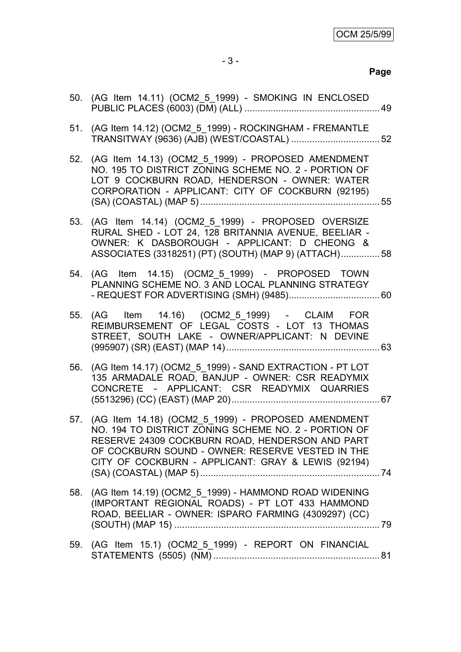|     | 50. (AG Item 14.11) (OCM2_5_1999) - SMOKING IN ENCLOSED                                                                                                                                                                                                                     |  |
|-----|-----------------------------------------------------------------------------------------------------------------------------------------------------------------------------------------------------------------------------------------------------------------------------|--|
|     | 51. (AG Item 14.12) (OCM2_5_1999) - ROCKINGHAM - FREMANTLE                                                                                                                                                                                                                  |  |
|     | 52. (AG Item 14.13) (OCM2_5_1999) - PROPOSED AMENDMENT<br>NO. 195 TO DISTRICT ZONING SCHEME NO. 2 - PORTION OF<br>LOT 9 COCKBURN ROAD, HENDERSON - OWNER: WATER<br>CORPORATION - APPLICANT: CITY OF COCKBURN (92195)                                                        |  |
|     | 53. (AG Item 14.14) (OCM2_5_1999) - PROPOSED OVERSIZE<br>RURAL SHED - LOT 24, 128 BRITANNIA AVENUE, BEELIAR -<br>OWNER: K DASBOROUGH - APPLICANT: D CHEONG &<br>ASSOCIATES (3318251) (PT) (SOUTH) (MAP 9) (ATTACH) 58                                                       |  |
|     | 54. (AG Item 14.15) (OCM2_5_1999) - PROPOSED TOWN<br>PLANNING SCHEME NO. 3 AND LOCAL PLANNING STRATEGY                                                                                                                                                                      |  |
|     | 55. (AG Item 14.16) (OCM2_5_1999) - CLAIM FOR<br>REIMBURSEMENT OF LEGAL COSTS - LOT 13 THOMAS<br>STREET, SOUTH LAKE - OWNER/APPLICANT: N DEVINE                                                                                                                             |  |
|     | 56. (AG Item 14.17) (OCM2_5_1999) - SAND EXTRACTION - PT LOT<br>135 ARMADALE ROAD, BANJUP - OWNER: CSR READYMIX<br>CONCRETE - APPLICANT: CSR READYMIX QUARRIES                                                                                                              |  |
|     | 57. (AG Item 14.18) (OCM2_5_1999) - PROPOSED AMENDMENT<br>NO. 194 TO DISTRICT ZONING SCHEME NO. 2 - PORTION OF<br>RESERVE 24309 COCKBURN ROAD, HENDERSON AND PART<br>OF COCKBURN SOUND - OWNER: RESERVE VESTED IN THE<br>CITY OF COCKBURN - APPLICANT: GRAY & LEWIS (92194) |  |
|     | 58. (AG Item 14.19) (OCM2_5_1999) - HAMMOND ROAD WIDENING<br>(IMPORTANT REGIONAL ROADS) - PT LOT 433 HAMMOND<br>ROAD, BEELIAR - OWNER: ISPARO FARMING (4309297) (CC)                                                                                                        |  |
| 59. | (AG Item 15.1) (OCM2_5_1999) - REPORT ON FINANCIAL                                                                                                                                                                                                                          |  |
|     |                                                                                                                                                                                                                                                                             |  |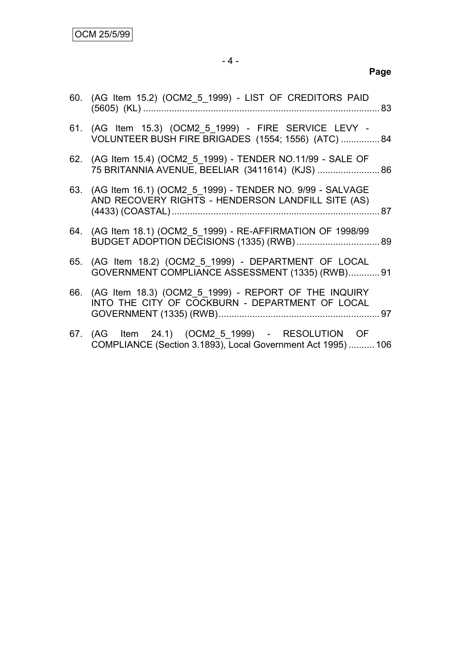| 60. (AG Item 15.2) (OCM2_5_1999) - LIST OF CREDITORS PAID                                                          |  |
|--------------------------------------------------------------------------------------------------------------------|--|
| 61. (AG Item 15.3) (OCM2 5 1999) - FIRE SERVICE LEVY -<br>VOLUNTEER BUSH FIRE BRIGADES (1554; 1556) (ATC)  84      |  |
| 62. (AG Item 15.4) (OCM2 5 1999) - TENDER NO.11/99 - SALE OF<br>75 BRITANNIA AVENUE, BEELIAR (3411614) (KJS)  86   |  |
| 63. (AG Item 16.1) (OCM2 5 1999) - TENDER NO. 9/99 - SALVAGE<br>AND RECOVERY RIGHTS - HENDERSON LANDFILL SITE (AS) |  |
| 64. (AG Item 18.1) (OCM2 5 1999) - RE-AFFIRMATION OF 1998/99                                                       |  |
| 65. (AG Item 18.2) (OCM2 5 1999) - DEPARTMENT OF LOCAL<br>GOVERNMENT COMPLIANCE ASSESSMENT (1335) (RWB) 91         |  |
| 66. (AG Item 18.3) (OCM2 5 1999) - REPORT OF THE INQUIRY<br>INTO THE CITY OF COCKBURN - DEPARTMENT OF LOCAL        |  |
| 67. (AG Item 24.1) (OCM2_5_1999) - RESOLUTION OF<br>COMPLIANCE (Section 3.1893), Local Government Act 1995)  106   |  |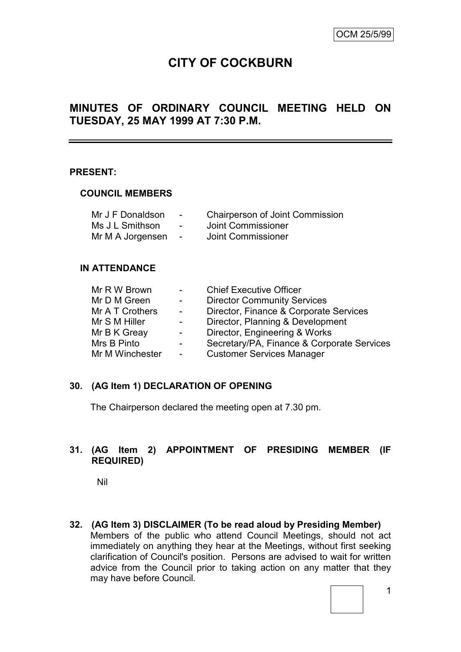# **CITY OF COCKBURN**

# **MINUTES OF ORDINARY COUNCIL MEETING HELD ON TUESDAY, 25 MAY 1999 AT 7:30 P.M.**

### **PRESENT:**

#### **COUNCIL MEMBERS**

| Mr J F Donaldson | $\sim$         | <b>Chairperson of Joint Commission</b> |
|------------------|----------------|----------------------------------------|
| Ms J L Smithson  | $\sim$         | Joint Commissioner                     |
| Mr M A Jorgensen | $\overline{a}$ | Joint Commissioner                     |

### **IN ATTENDANCE**

| Mr R W Brown    | $\sim$ 10 $\pm$ | <b>Chief Executive Officer</b>             |
|-----------------|-----------------|--------------------------------------------|
| Mr D M Green    | $\sim 100$      | <b>Director Community Services</b>         |
| Mr A T Crothers | $\sim$          | Director, Finance & Corporate Services     |
| Mr S M Hiller   | $\sim$ $-$      | Director, Planning & Development           |
| Mr B K Greay    | $\blacksquare$  | Director, Engineering & Works              |
| Mrs B Pinto     | $\blacksquare$  | Secretary/PA, Finance & Corporate Services |
| Mr M Winchester |                 | <b>Customer Services Manager</b>           |

### **30. (AG Item 1) DECLARATION OF OPENING**

The Chairperson declared the meeting open at 7.30 pm.

### **31. (AG Item 2) APPOINTMENT OF PRESIDING MEMBER (IF REQUIRED)**

Nil

**32. (AG Item 3) DISCLAIMER (To be read aloud by Presiding Member)** Members of the public who attend Council Meetings, should not act immediately on anything they hear at the Meetings, without first seeking clarification of Council's position. Persons are advised to wait for written advice from the Council prior to taking action on any matter that they may have before Council.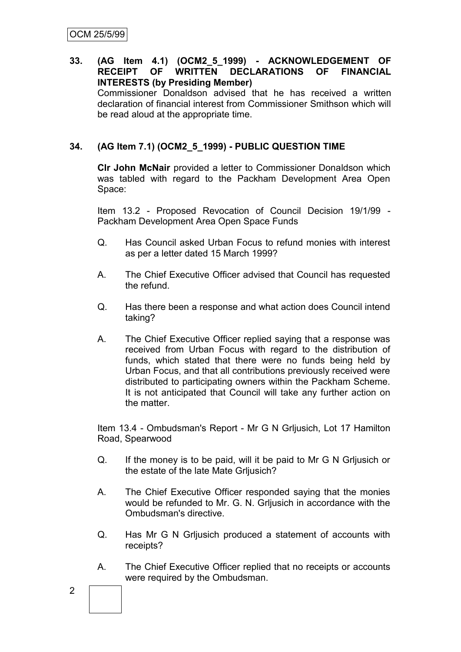#### **33. (AG Item 4.1) (OCM2\_5\_1999) - ACKNOWLEDGEMENT OF RECEIPT OF WRITTEN DECLARATIONS OF FINANCIAL INTERESTS (by Presiding Member)** Commissioner Donaldson advised that he has received a written declaration of financial interest from Commissioner Smithson which will be read aloud at the appropriate time.

## **34. (AG Item 7.1) (OCM2\_5\_1999) - PUBLIC QUESTION TIME**

**Clr John McNair** provided a letter to Commissioner Donaldson which was tabled with regard to the Packham Development Area Open Space:

Item 13.2 - Proposed Revocation of Council Decision 19/1/99 - Packham Development Area Open Space Funds

- Q. Has Council asked Urban Focus to refund monies with interest as per a letter dated 15 March 1999?
- A. The Chief Executive Officer advised that Council has requested the refund.
- Q. Has there been a response and what action does Council intend taking?
- A. The Chief Executive Officer replied saying that a response was received from Urban Focus with regard to the distribution of funds, which stated that there were no funds being held by Urban Focus, and that all contributions previously received were distributed to participating owners within the Packham Scheme. It is not anticipated that Council will take any further action on the matter.

Item 13.4 - Ombudsman's Report - Mr G N Grljusich, Lot 17 Hamilton Road, Spearwood

- Q. If the money is to be paid, will it be paid to Mr G N Grljusich or the estate of the late Mate Grljusich?
- A. The Chief Executive Officer responded saying that the monies would be refunded to Mr. G. N. Grljusich in accordance with the Ombudsman's directive.
- Q. Has Mr G N Grljusich produced a statement of accounts with receipts?
- A. The Chief Executive Officer replied that no receipts or accounts were required by the Ombudsman.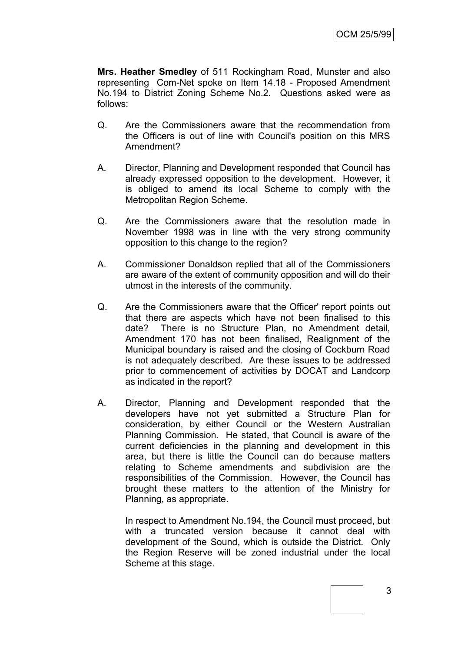**Mrs. Heather Smedley** of 511 Rockingham Road, Munster and also representing Com-Net spoke on Item 14.18 - Proposed Amendment No.194 to District Zoning Scheme No.2. Questions asked were as follows:

- Q. Are the Commissioners aware that the recommendation from the Officers is out of line with Council's position on this MRS Amendment?
- A. Director, Planning and Development responded that Council has already expressed opposition to the development. However, it is obliged to amend its local Scheme to comply with the Metropolitan Region Scheme.
- Q. Are the Commissioners aware that the resolution made in November 1998 was in line with the very strong community opposition to this change to the region?
- A. Commissioner Donaldson replied that all of the Commissioners are aware of the extent of community opposition and will do their utmost in the interests of the community.
- Q. Are the Commissioners aware that the Officer' report points out that there are aspects which have not been finalised to this date? There is no Structure Plan, no Amendment detail, Amendment 170 has not been finalised, Realignment of the Municipal boundary is raised and the closing of Cockburn Road is not adequately described. Are these issues to be addressed prior to commencement of activities by DOCAT and Landcorp as indicated in the report?
- A. Director, Planning and Development responded that the developers have not yet submitted a Structure Plan for consideration, by either Council or the Western Australian Planning Commission. He stated, that Council is aware of the current deficiencies in the planning and development in this area, but there is little the Council can do because matters relating to Scheme amendments and subdivision are the responsibilities of the Commission. However, the Council has brought these matters to the attention of the Ministry for Planning, as appropriate.

In respect to Amendment No.194, the Council must proceed, but with a truncated version because it cannot deal with development of the Sound, which is outside the District. Only the Region Reserve will be zoned industrial under the local Scheme at this stage.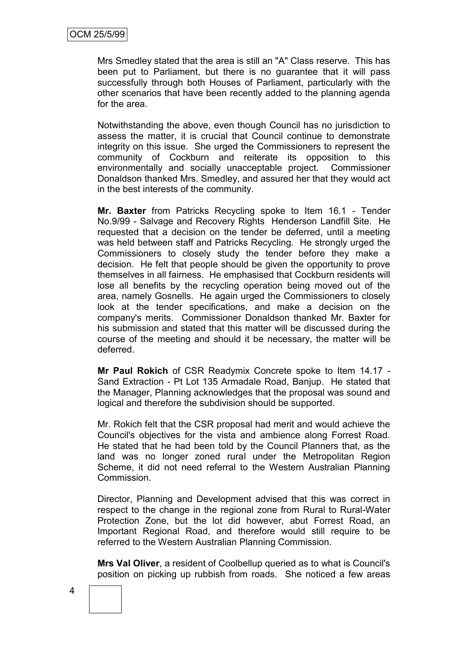Mrs Smedley stated that the area is still an "A" Class reserve. This has been put to Parliament, but there is no guarantee that it will pass successfully through both Houses of Parliament, particularly with the other scenarios that have been recently added to the planning agenda for the area.

Notwithstanding the above, even though Council has no jurisdiction to assess the matter, it is crucial that Council continue to demonstrate integrity on this issue. She urged the Commissioners to represent the community of Cockburn and reiterate its opposition to this environmentally and socially unacceptable project. Commissioner Donaldson thanked Mrs. Smedley, and assured her that they would act in the best interests of the community.

**Mr. Baxter** from Patricks Recycling spoke to Item 16.1 - Tender No.9/99 - Salvage and Recovery Rights Henderson Landfill Site. He requested that a decision on the tender be deferred, until a meeting was held between staff and Patricks Recycling. He strongly urged the Commissioners to closely study the tender before they make a decision. He felt that people should be given the opportunity to prove themselves in all fairness. He emphasised that Cockburn residents will lose all benefits by the recycling operation being moved out of the area, namely Gosnells. He again urged the Commissioners to closely look at the tender specifications, and make a decision on the company's merits. Commissioner Donaldson thanked Mr. Baxter for his submission and stated that this matter will be discussed during the course of the meeting and should it be necessary, the matter will be deferred.

**Mr Paul Rokich** of CSR Readymix Concrete spoke to Item 14.17 - Sand Extraction - Pt Lot 135 Armadale Road, Banjup. He stated that the Manager, Planning acknowledges that the proposal was sound and logical and therefore the subdivision should be supported.

Mr. Rokich felt that the CSR proposal had merit and would achieve the Council's objectives for the vista and ambience along Forrest Road. He stated that he had been told by the Council Planners that, as the land was no longer zoned rural under the Metropolitan Region Scheme, it did not need referral to the Western Australian Planning Commission.

Director, Planning and Development advised that this was correct in respect to the change in the regional zone from Rural to Rural-Water Protection Zone, but the lot did however, abut Forrest Road, an Important Regional Road, and therefore would still require to be referred to the Western Australian Planning Commission.

**Mrs Val Oliver**, a resident of Coolbellup queried as to what is Council's position on picking up rubbish from roads. She noticed a few areas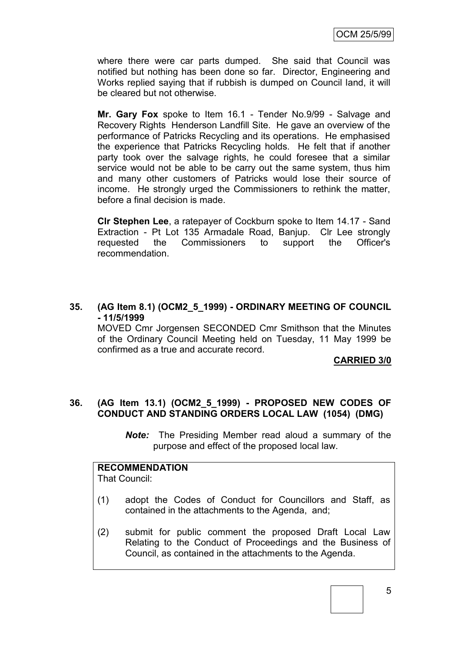where there were car parts dumped. She said that Council was notified but nothing has been done so far. Director, Engineering and Works replied saying that if rubbish is dumped on Council land, it will be cleared but not otherwise.

**Mr. Gary Fox** spoke to Item 16.1 - Tender No.9/99 - Salvage and Recovery Rights Henderson Landfill Site. He gave an overview of the performance of Patricks Recycling and its operations. He emphasised the experience that Patricks Recycling holds. He felt that if another party took over the salvage rights, he could foresee that a similar service would not be able to be carry out the same system, thus him and many other customers of Patricks would lose their source of income. He strongly urged the Commissioners to rethink the matter, before a final decision is made.

**Clr Stephen Lee**, a ratepayer of Cockburn spoke to Item 14.17 - Sand Extraction - Pt Lot 135 Armadale Road, Banjup. Clr Lee strongly requested the Commissioners to support the Officer's recommendation.

### **35. (AG Item 8.1) (OCM2\_5\_1999) - ORDINARY MEETING OF COUNCIL - 11/5/1999**

MOVED Cmr Jorgensen SECONDED Cmr Smithson that the Minutes of the Ordinary Council Meeting held on Tuesday, 11 May 1999 be confirmed as a true and accurate record.

**CARRIED 3/0**

### **36. (AG Item 13.1) (OCM2\_5\_1999) - PROPOSED NEW CODES OF CONDUCT AND STANDING ORDERS LOCAL LAW (1054) (DMG)**

*Note:* The Presiding Member read aloud a summary of the purpose and effect of the proposed local law.

# **RECOMMENDATION**

That Council:

- (1) adopt the Codes of Conduct for Councillors and Staff, as contained in the attachments to the Agenda, and;
- (2) submit for public comment the proposed Draft Local Law Relating to the Conduct of Proceedings and the Business of Council, as contained in the attachments to the Agenda.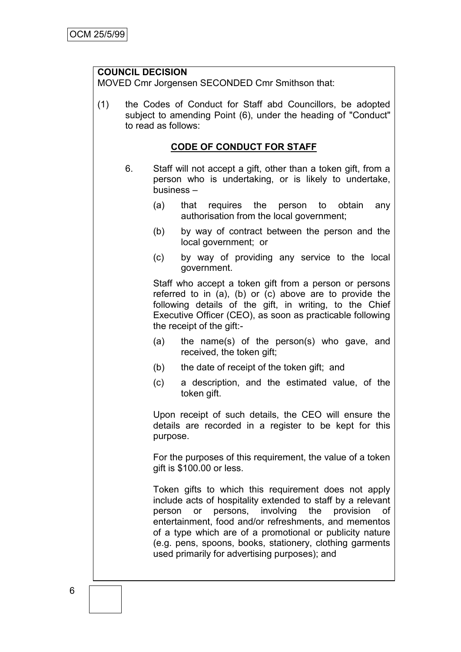### **COUNCIL DECISION**

MOVED Cmr Jorgensen SECONDED Cmr Smithson that:

(1) the Codes of Conduct for Staff abd Councillors, be adopted subject to amending Point (6), under the heading of "Conduct" to read as follows:

### **CODE OF CONDUCT FOR STAFF**

- 6. Staff will not accept a gift, other than a token gift, from a person who is undertaking, or is likely to undertake, business –
	- (a) that requires the person to obtain any authorisation from the local government;
	- (b) by way of contract between the person and the local government; or
	- (c) by way of providing any service to the local government.

Staff who accept a token gift from a person or persons referred to in (a), (b) or (c) above are to provide the following details of the gift, in writing, to the Chief Executive Officer (CEO), as soon as practicable following the receipt of the gift:-

- (a) the name(s) of the person(s) who gave, and received, the token gift;
- (b) the date of receipt of the token gift; and
- (c) a description, and the estimated value, of the token gift.

Upon receipt of such details, the CEO will ensure the details are recorded in a register to be kept for this purpose.

For the purposes of this requirement, the value of a token gift is \$100.00 or less.

Token gifts to which this requirement does not apply include acts of hospitality extended to staff by a relevant person or persons, involving the provision of entertainment, food and/or refreshments, and mementos of a type which are of a promotional or publicity nature (e.g. pens, spoons, books, stationery, clothing garments used primarily for advertising purposes); and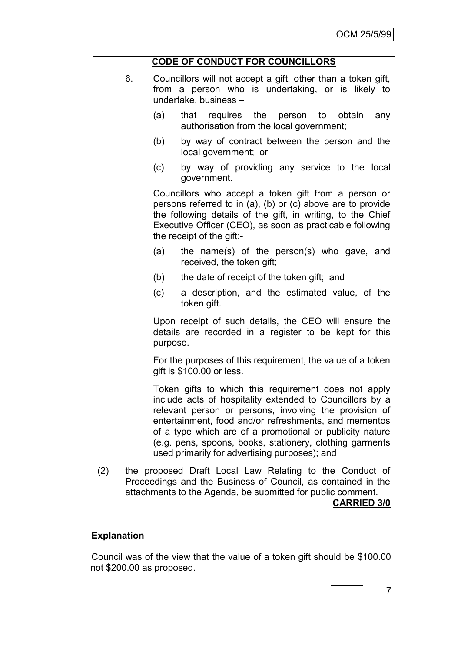|     | <b>CODE OF CONDUCT FOR COUNCILLORS</b>                                                                                                                                                                                                                                                                                                                                                                       |  |  |  |  |  |
|-----|--------------------------------------------------------------------------------------------------------------------------------------------------------------------------------------------------------------------------------------------------------------------------------------------------------------------------------------------------------------------------------------------------------------|--|--|--|--|--|
| 6.  | Councillors will not accept a gift, other than a token gift,<br>from a person who is undertaking, or is likely to<br>undertake, business -                                                                                                                                                                                                                                                                   |  |  |  |  |  |
|     | that requires the person to obtain<br>(a)<br>any<br>authorisation from the local government;                                                                                                                                                                                                                                                                                                                 |  |  |  |  |  |
|     | (b)<br>by way of contract between the person and the<br>local government; or                                                                                                                                                                                                                                                                                                                                 |  |  |  |  |  |
|     | by way of providing any service to the local<br>(c)<br>government.                                                                                                                                                                                                                                                                                                                                           |  |  |  |  |  |
|     | Councillors who accept a token gift from a person or<br>persons referred to in (a), (b) or (c) above are to provide<br>the following details of the gift, in writing, to the Chief<br>Executive Officer (CEO), as soon as practicable following<br>the receipt of the gift:-                                                                                                                                 |  |  |  |  |  |
|     | (a)<br>the name(s) of the person(s) who gave, and<br>received, the token gift;                                                                                                                                                                                                                                                                                                                               |  |  |  |  |  |
|     | (b)<br>the date of receipt of the token gift; and                                                                                                                                                                                                                                                                                                                                                            |  |  |  |  |  |
|     | a description, and the estimated value, of the<br>(c)<br>token gift.                                                                                                                                                                                                                                                                                                                                         |  |  |  |  |  |
|     | Upon receipt of such details, the CEO will ensure the<br>details are recorded in a register to be kept for this<br>purpose.                                                                                                                                                                                                                                                                                  |  |  |  |  |  |
|     | For the purposes of this requirement, the value of a token<br>gift is \$100.00 or less.                                                                                                                                                                                                                                                                                                                      |  |  |  |  |  |
|     | Token gifts to which this requirement does not apply<br>include acts of hospitality extended to Councillors by a<br>relevant person or persons, involving the provision of<br>entertainment, food and/or refreshments, and mementos<br>of a type which are of a promotional or publicity nature<br>(e.g. pens, spoons, books, stationery, clothing garments<br>used primarily for advertising purposes); and |  |  |  |  |  |
| (2) | the proposed Draft Local Law Relating to the Conduct of<br>Proceedings and the Business of Council, as contained in the<br>attachments to the Agenda, be submitted for public comment.<br><b>CARRIED 3/0</b>                                                                                                                                                                                                 |  |  |  |  |  |

# **Explanation**

Council was of the view that the value of a token gift should be \$100.00 not \$200.00 as proposed.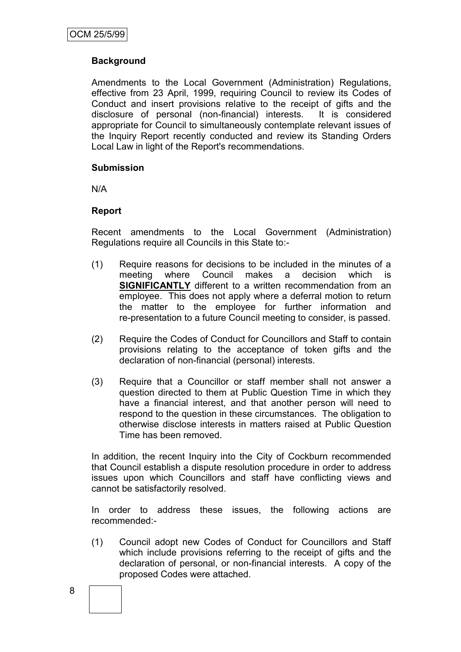## **Background**

Amendments to the Local Government (Administration) Regulations, effective from 23 April, 1999, requiring Council to review its Codes of Conduct and insert provisions relative to the receipt of gifts and the disclosure of personal (non-financial) interests. It is considered appropriate for Council to simultaneously contemplate relevant issues of the Inquiry Report recently conducted and review its Standing Orders Local Law in light of the Report's recommendations.

### **Submission**

N/A

### **Report**

Recent amendments to the Local Government (Administration) Regulations require all Councils in this State to:-

- (1) Require reasons for decisions to be included in the minutes of a meeting where Council makes a decision which is **SIGNIFICANTLY** different to a written recommendation from an employee. This does not apply where a deferral motion to return the matter to the employee for further information and re-presentation to a future Council meeting to consider, is passed.
- (2) Require the Codes of Conduct for Councillors and Staff to contain provisions relating to the acceptance of token gifts and the declaration of non-financial (personal) interests.
- (3) Require that a Councillor or staff member shall not answer a question directed to them at Public Question Time in which they have a financial interest, and that another person will need to respond to the question in these circumstances. The obligation to otherwise disclose interests in matters raised at Public Question Time has been removed.

In addition, the recent Inquiry into the City of Cockburn recommended that Council establish a dispute resolution procedure in order to address issues upon which Councillors and staff have conflicting views and cannot be satisfactorily resolved.

In order to address these issues, the following actions are recommended:-

(1) Council adopt new Codes of Conduct for Councillors and Staff which include provisions referring to the receipt of gifts and the declaration of personal, or non-financial interests. A copy of the proposed Codes were attached.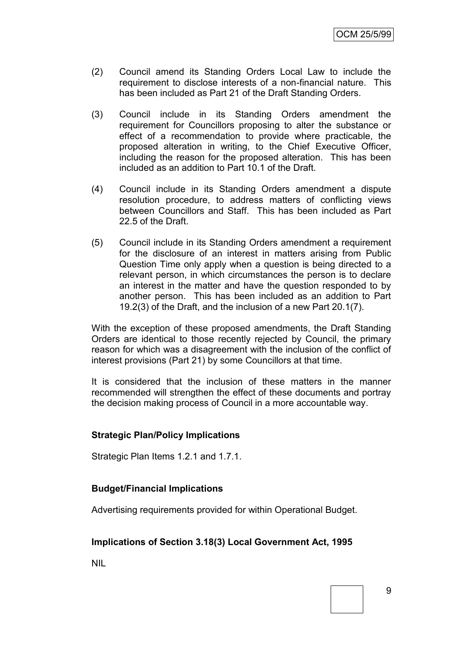- (2) Council amend its Standing Orders Local Law to include the requirement to disclose interests of a non-financial nature. This has been included as Part 21 of the Draft Standing Orders.
- (3) Council include in its Standing Orders amendment the requirement for Councillors proposing to alter the substance or effect of a recommendation to provide where practicable, the proposed alteration in writing, to the Chief Executive Officer, including the reason for the proposed alteration. This has been included as an addition to Part 10.1 of the Draft.
- (4) Council include in its Standing Orders amendment a dispute resolution procedure, to address matters of conflicting views between Councillors and Staff. This has been included as Part 22.5 of the Draft.
- (5) Council include in its Standing Orders amendment a requirement for the disclosure of an interest in matters arising from Public Question Time only apply when a question is being directed to a relevant person, in which circumstances the person is to declare an interest in the matter and have the question responded to by another person. This has been included as an addition to Part 19.2(3) of the Draft, and the inclusion of a new Part 20.1(7).

With the exception of these proposed amendments, the Draft Standing Orders are identical to those recently rejected by Council, the primary reason for which was a disagreement with the inclusion of the conflict of interest provisions (Part 21) by some Councillors at that time.

It is considered that the inclusion of these matters in the manner recommended will strengthen the effect of these documents and portray the decision making process of Council in a more accountable way.

### **Strategic Plan/Policy Implications**

Strategic Plan Items 1.2.1 and 1.7.1.

### **Budget/Financial Implications**

Advertising requirements provided for within Operational Budget.

### **Implications of Section 3.18(3) Local Government Act, 1995**

NIL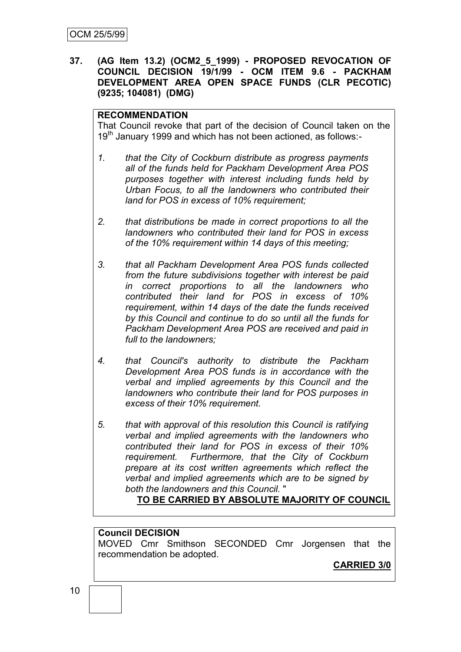**37. (AG Item 13.2) (OCM2\_5\_1999) - PROPOSED REVOCATION OF COUNCIL DECISION 19/1/99 - OCM ITEM 9.6 - PACKHAM DEVELOPMENT AREA OPEN SPACE FUNDS (CLR PECOTIC) (9235; 104081) (DMG)**

### **RECOMMENDATION**

That Council revoke that part of the decision of Council taken on the  $19<sup>th</sup>$  January 1999 and which has not been actioned, as follows:-

- *1. that the City of Cockburn distribute as progress payments all of the funds held for Packham Development Area POS purposes together with interest including funds held by Urban Focus, to all the landowners who contributed their land for POS in excess of 10% requirement;*
- *2. that distributions be made in correct proportions to all the landowners who contributed their land for POS in excess of the 10% requirement within 14 days of this meeting;*
- *3. that all Packham Development Area POS funds collected from the future subdivisions together with interest be paid in correct proportions to all the landowners who contributed their land for POS in excess of 10% requirement, within 14 days of the date the funds received by this Council and continue to do so until all the funds for Packham Development Area POS are received and paid in full to the landowners;*
- *4. that Council's authority to distribute the Packham Development Area POS funds is in accordance with the verbal and implied agreements by this Council and the landowners who contribute their land for POS purposes in excess of their 10% requirement.*
- *5. that with approval of this resolution this Council is ratifying verbal and implied agreements with the landowners who contributed their land for POS in excess of their 10% requirement. Furthermore, that the City of Cockburn prepare at its cost written agreements which reflect the verbal and implied agreements which are to be signed by both the landowners and this Council.* "

**TO BE CARRIED BY ABSOLUTE MAJORITY OF COUNCIL**

### **Council DECISION**

MOVED Cmr Smithson SECONDED Cmr Jorgensen that the recommendation be adopted.

**CARRIED 3/0**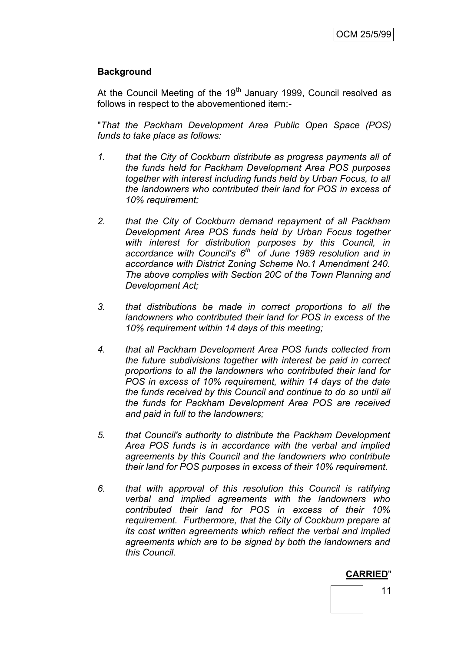### **Background**

At the Council Meeting of the 19<sup>th</sup> January 1999, Council resolved as follows in respect to the abovementioned item:-

"*That the Packham Development Area Public Open Space (POS) funds to take place as follows:*

- *1. that the City of Cockburn distribute as progress payments all of the funds held for Packham Development Area POS purposes together with interest including funds held by Urban Focus, to all the landowners who contributed their land for POS in excess of 10% requirement;*
- *2. that the City of Cockburn demand repayment of all Packham Development Area POS funds held by Urban Focus together with interest for distribution purposes by this Council, in accordance with Council's 6th of June 1989 resolution and in accordance with District Zoning Scheme No.1 Amendment 240. The above complies with Section 20C of the Town Planning and Development Act;*
- *3. that distributions be made in correct proportions to all the landowners who contributed their land for POS in excess of the 10% requirement within 14 days of this meeting;*
- *4. that all Packham Development Area POS funds collected from the future subdivisions together with interest be paid in correct proportions to all the landowners who contributed their land for POS in excess of 10% requirement, within 14 days of the date the funds received by this Council and continue to do so until all the funds for Packham Development Area POS are received and paid in full to the landowners;*
- *5. that Council's authority to distribute the Packham Development Area POS funds is in accordance with the verbal and implied agreements by this Council and the landowners who contribute their land for POS purposes in excess of their 10% requirement.*
- *6. that with approval of this resolution this Council is ratifying verbal and implied agreements with the landowners who contributed their land for POS in excess of their 10% requirement. Furthermore, that the City of Cockburn prepare at its cost written agreements which reflect the verbal and implied agreements which are to be signed by both the landowners and this Council.*

#### **CARRIED**"

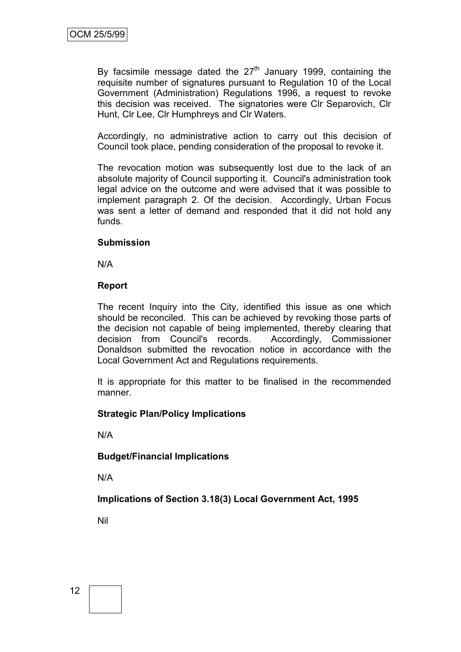By facsimile message dated the  $27<sup>th</sup>$  January 1999, containing the requisite number of signatures pursuant to Regulation 10 of the Local Government (Administration) Regulations 1996, a request to revoke this decision was received. The signatories were Clr Separovich, Clr Hunt, Clr Lee, Clr Humphreys and Clr Waters.

Accordingly, no administrative action to carry out this decision of Council took place, pending consideration of the proposal to revoke it.

The revocation motion was subsequently lost due to the lack of an absolute majority of Council supporting it. Council's administration took legal advice on the outcome and were advised that it was possible to implement paragraph 2. Of the decision. Accordingly, Urban Focus was sent a letter of demand and responded that it did not hold any funds.

### **Submission**

N/A

### **Report**

The recent Inquiry into the City, identified this issue as one which should be reconciled. This can be achieved by revoking those parts of the decision not capable of being implemented, thereby clearing that decision from Council's records. Accordingly, Commissioner Donaldson submitted the revocation notice in accordance with the Local Government Act and Regulations requirements.

It is appropriate for this matter to be finalised in the recommended manner.

### **Strategic Plan/Policy Implications**

N/A

### **Budget/Financial Implications**

N/A

**Implications of Section 3.18(3) Local Government Act, 1995**

Nil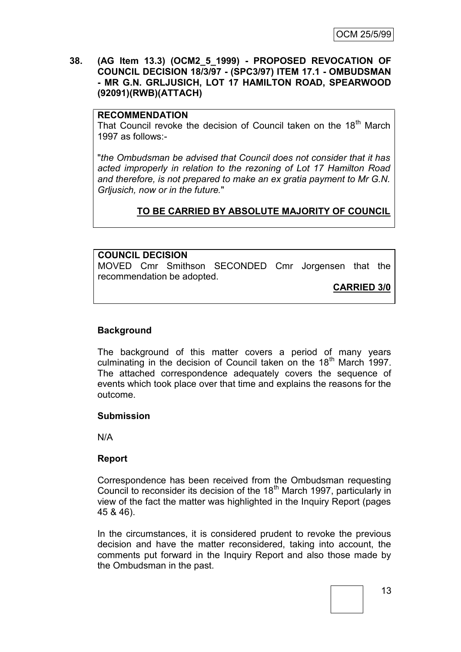**38. (AG Item 13.3) (OCM2\_5\_1999) - PROPOSED REVOCATION OF COUNCIL DECISION 18/3/97 - (SPC3/97) ITEM 17.1 - OMBUDSMAN - MR G.N. GRLJUSICH, LOT 17 HAMILTON ROAD, SPEARWOOD (92091)(RWB)(ATTACH)**

#### **RECOMMENDATION**

That Council revoke the decision of Council taken on the 18<sup>th</sup> March 1997 as follows:-

"*the Ombudsman be advised that Council does not consider that it has acted improperly in relation to the rezoning of Lot 17 Hamilton Road and therefore, is not prepared to make an ex gratia payment to Mr G.N. Grljusich, now or in the future.*"

### **TO BE CARRIED BY ABSOLUTE MAJORITY OF COUNCIL**

#### **COUNCIL DECISION**

MOVED Cmr Smithson SECONDED Cmr Jorgensen that the recommendation be adopted.

**CARRIED 3/0**

### **Background**

The background of this matter covers a period of many years culminating in the decision of Council taken on the 18<sup>th</sup> March 1997. The attached correspondence adequately covers the sequence of events which took place over that time and explains the reasons for the outcome.

### **Submission**

N/A

### **Report**

Correspondence has been received from the Ombudsman requesting Council to reconsider its decision of the 18<sup>th</sup> March 1997, particularly in view of the fact the matter was highlighted in the Inquiry Report (pages 45 & 46).

In the circumstances, it is considered prudent to revoke the previous decision and have the matter reconsidered, taking into account, the comments put forward in the Inquiry Report and also those made by the Ombudsman in the past.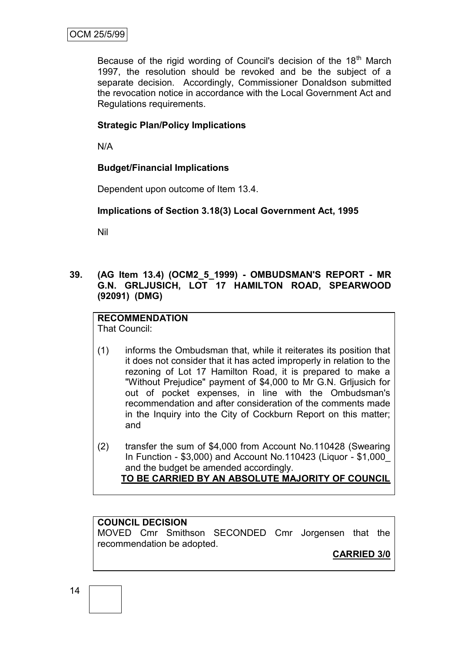Because of the rigid wording of Council's decision of the  $18<sup>th</sup>$  March 1997, the resolution should be revoked and be the subject of a separate decision. Accordingly, Commissioner Donaldson submitted the revocation notice in accordance with the Local Government Act and Regulations requirements.

### **Strategic Plan/Policy Implications**

N/A

### **Budget/Financial Implications**

Dependent upon outcome of Item 13.4.

### **Implications of Section 3.18(3) Local Government Act, 1995**

Nil

### **39. (AG Item 13.4) (OCM2\_5\_1999) - OMBUDSMAN'S REPORT - MR G.N. GRLJUSICH, LOT 17 HAMILTON ROAD, SPEARWOOD (92091) (DMG)**

# **RECOMMENDATION**

That Council:

- (1) informs the Ombudsman that, while it reiterates its position that it does not consider that it has acted improperly in relation to the rezoning of Lot 17 Hamilton Road, it is prepared to make a "Without Prejudice" payment of \$4,000 to Mr G.N. Grljusich for out of pocket expenses, in line with the Ombudsman's recommendation and after consideration of the comments made in the Inquiry into the City of Cockburn Report on this matter; and
- (2) transfer the sum of \$4,000 from Account No.110428 (Swearing In Function - \$3,000) and Account No.110423 (Liquor - \$1,000\_ and the budget be amended accordingly. **TO BE CARRIED BY AN ABSOLUTE MAJORITY OF COUNCIL**

### **COUNCIL DECISION**

MOVED Cmr Smithson SECONDED Cmr Jorgensen that the recommendation be adopted.

**CARRIED 3/0**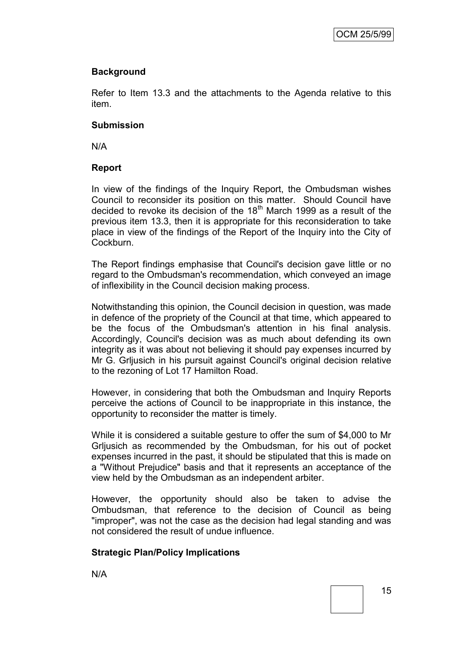## **Background**

Refer to Item 13.3 and the attachments to the Agenda relative to this item.

### **Submission**

N/A

## **Report**

In view of the findings of the Inquiry Report, the Ombudsman wishes Council to reconsider its position on this matter. Should Council have decided to revoke its decision of the  $18<sup>th</sup>$  March 1999 as a result of the previous item 13.3, then it is appropriate for this reconsideration to take place in view of the findings of the Report of the Inquiry into the City of Cockburn.

The Report findings emphasise that Council's decision gave little or no regard to the Ombudsman's recommendation, which conveyed an image of inflexibility in the Council decision making process.

Notwithstanding this opinion, the Council decision in question, was made in defence of the propriety of the Council at that time, which appeared to be the focus of the Ombudsman's attention in his final analysis. Accordingly, Council's decision was as much about defending its own integrity as it was about not believing it should pay expenses incurred by Mr G. Grljusich in his pursuit against Council's original decision relative to the rezoning of Lot 17 Hamilton Road.

However, in considering that both the Ombudsman and Inquiry Reports perceive the actions of Council to be inappropriate in this instance, the opportunity to reconsider the matter is timely.

While it is considered a suitable gesture to offer the sum of \$4,000 to Mr Grljusich as recommended by the Ombudsman, for his out of pocket expenses incurred in the past, it should be stipulated that this is made on a "Without Prejudice" basis and that it represents an acceptance of the view held by the Ombudsman as an independent arbiter.

However, the opportunity should also be taken to advise the Ombudsman, that reference to the decision of Council as being "improper", was not the case as the decision had legal standing and was not considered the result of undue influence.

# **Strategic Plan/Policy Implications**

N/A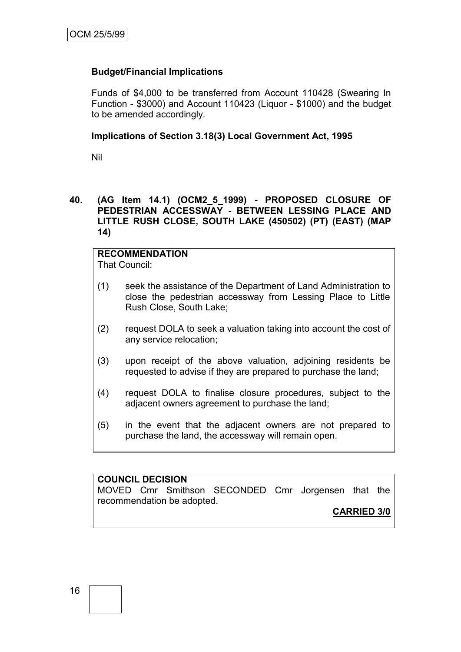### **Budget/Financial Implications**

Funds of \$4,000 to be transferred from Account 110428 (Swearing In Function - \$3000) and Account 110423 (Liquor - \$1000) and the budget to be amended accordingly.

### **Implications of Section 3.18(3) Local Government Act, 1995**

Nil

**40. (AG Item 14.1) (OCM2\_5\_1999) - PROPOSED CLOSURE OF PEDESTRIAN ACCESSWAY - BETWEEN LESSING PLACE AND LITTLE RUSH CLOSE, SOUTH LAKE (450502) (PT) (EAST) (MAP 14)**

## **RECOMMENDATION**

That Council:

- (1) seek the assistance of the Department of Land Administration to close the pedestrian accessway from Lessing Place to Little Rush Close, South Lake;
- (2) request DOLA to seek a valuation taking into account the cost of any service relocation;
- (3) upon receipt of the above valuation, adjoining residents be requested to advise if they are prepared to purchase the land;
- (4) request DOLA to finalise closure procedures, subject to the adjacent owners agreement to purchase the land;
- (5) in the event that the adjacent owners are not prepared to purchase the land, the accessway will remain open.

#### **COUNCIL DECISION**

MOVED Cmr Smithson SECONDED Cmr Jorgensen that the recommendation be adopted.

**CARRIED 3/0**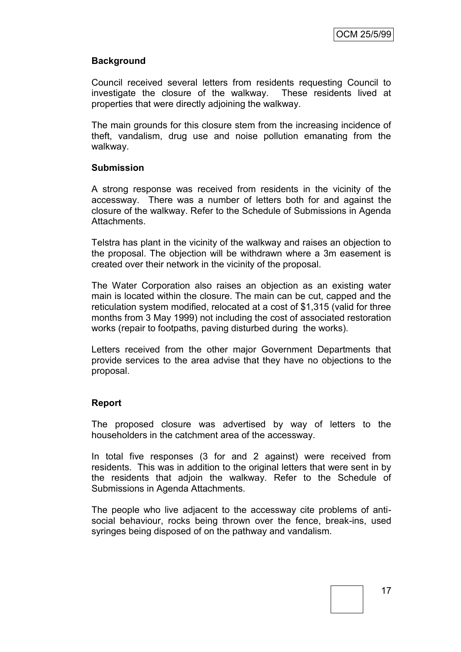### **Background**

Council received several letters from residents requesting Council to investigate the closure of the walkway. These residents lived at properties that were directly adjoining the walkway.

The main grounds for this closure stem from the increasing incidence of theft, vandalism, drug use and noise pollution emanating from the walkway.

### **Submission**

A strong response was received from residents in the vicinity of the accessway. There was a number of letters both for and against the closure of the walkway. Refer to the Schedule of Submissions in Agenda Attachments.

Telstra has plant in the vicinity of the walkway and raises an objection to the proposal. The objection will be withdrawn where a 3m easement is created over their network in the vicinity of the proposal.

The Water Corporation also raises an objection as an existing water main is located within the closure. The main can be cut, capped and the reticulation system modified, relocated at a cost of \$1,315 (valid for three months from 3 May 1999) not including the cost of associated restoration works (repair to footpaths, paving disturbed during the works).

Letters received from the other major Government Departments that provide services to the area advise that they have no objections to the proposal.

### **Report**

The proposed closure was advertised by way of letters to the householders in the catchment area of the accessway.

In total five responses (3 for and 2 against) were received from residents. This was in addition to the original letters that were sent in by the residents that adjoin the walkway. Refer to the Schedule of Submissions in Agenda Attachments.

The people who live adjacent to the accessway cite problems of antisocial behaviour, rocks being thrown over the fence, break-ins, used syringes being disposed of on the pathway and vandalism.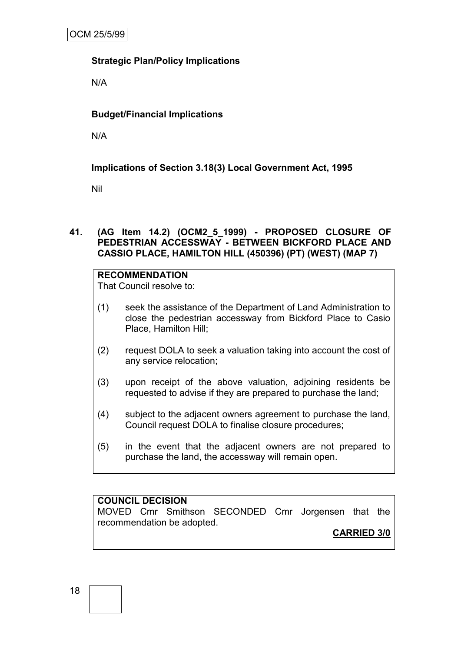### **Strategic Plan/Policy Implications**

N/A

## **Budget/Financial Implications**

N/A

## **Implications of Section 3.18(3) Local Government Act, 1995**

Nil

### **41. (AG Item 14.2) (OCM2\_5\_1999) - PROPOSED CLOSURE OF PEDESTRIAN ACCESSWAY - BETWEEN BICKFORD PLACE AND CASSIO PLACE, HAMILTON HILL (450396) (PT) (WEST) (MAP 7)**

### **RECOMMENDATION**

That Council resolve to:

- (1) seek the assistance of the Department of Land Administration to close the pedestrian accessway from Bickford Place to Casio Place, Hamilton Hill;
- (2) request DOLA to seek a valuation taking into account the cost of any service relocation;
- (3) upon receipt of the above valuation, adjoining residents be requested to advise if they are prepared to purchase the land;
- (4) subject to the adjacent owners agreement to purchase the land, Council request DOLA to finalise closure procedures;
- (5) in the event that the adjacent owners are not prepared to purchase the land, the accessway will remain open.

## **COUNCIL DECISION**

MOVED Cmr Smithson SECONDED Cmr Jorgensen that the recommendation be adopted.

## **CARRIED 3/0**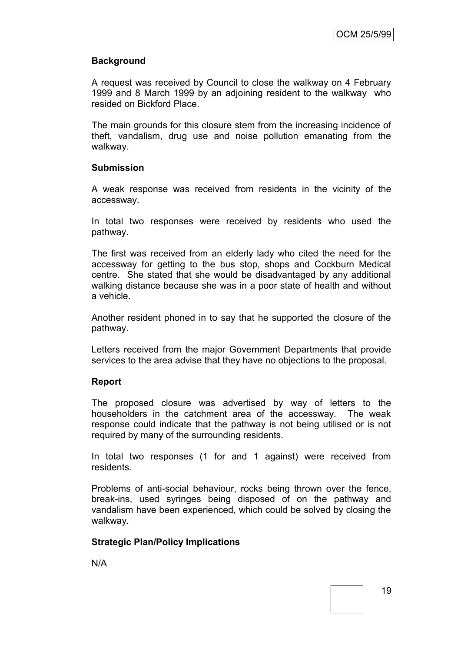### **Background**

A request was received by Council to close the walkway on 4 February 1999 and 8 March 1999 by an adjoining resident to the walkway who resided on Bickford Place.

The main grounds for this closure stem from the increasing incidence of theft, vandalism, drug use and noise pollution emanating from the walkway.

### **Submission**

A weak response was received from residents in the vicinity of the accessway.

In total two responses were received by residents who used the pathway.

The first was received from an elderly lady who cited the need for the accessway for getting to the bus stop, shops and Cockburn Medical centre. She stated that she would be disadvantaged by any additional walking distance because she was in a poor state of health and without a vehicle.

Another resident phoned in to say that he supported the closure of the pathway.

Letters received from the major Government Departments that provide services to the area advise that they have no objections to the proposal.

### **Report**

The proposed closure was advertised by way of letters to the householders in the catchment area of the accessway. The weak response could indicate that the pathway is not being utilised or is not required by many of the surrounding residents.

In total two responses (1 for and 1 against) were received from residents.

Problems of anti-social behaviour, rocks being thrown over the fence, break-ins, used syringes being disposed of on the pathway and vandalism have been experienced, which could be solved by closing the walkway.

### **Strategic Plan/Policy Implications**

N/A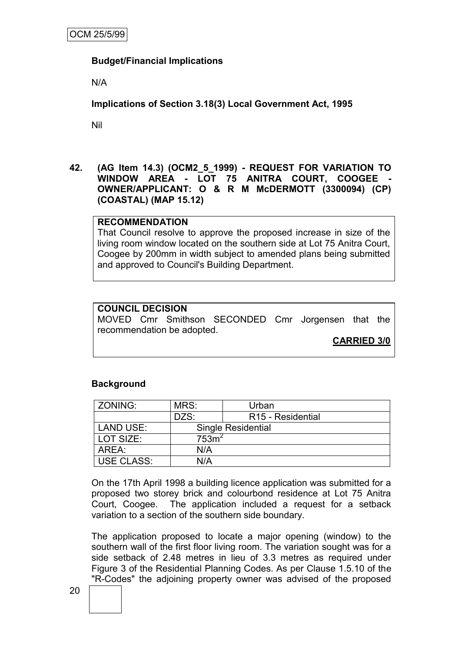### **Budget/Financial Implications**

N/A

**Implications of Section 3.18(3) Local Government Act, 1995**

Nil

**42. (AG Item 14.3) (OCM2\_5\_1999) - REQUEST FOR VARIATION TO WINDOW AREA - LOT 75 ANITRA COURT, COOGEE - OWNER/APPLICANT: O & R M McDERMOTT (3300094) (CP) (COASTAL) (MAP 15.12)**

### **RECOMMENDATION**

That Council resolve to approve the proposed increase in size of the living room window located on the southern side at Lot 75 Anitra Court, Coogee by 200mm in width subject to amended plans being submitted and approved to Council's Building Department.

### **COUNCIL DECISION**

MOVED Cmr Smithson SECONDED Cmr Jorgensen that the recommendation be adopted.

**CARRIED 3/0**

### **Background**

| ZONING:           | MRS:             | Urban                         |
|-------------------|------------------|-------------------------------|
|                   | DZS:             | R <sub>15</sub> - Residential |
| <b>LAND USE:</b>  |                  | <b>Single Residential</b>     |
| LOT SIZE:         | 753 <sup>2</sup> |                               |
| AREA:             | N/A              |                               |
| <b>USE CLASS:</b> | N/A              |                               |

On the 17th April 1998 a building licence application was submitted for a proposed two storey brick and colourbond residence at Lot 75 Anitra Court, Coogee. The application included a request for a setback variation to a section of the southern side boundary.

The application proposed to locate a major opening (window) to the southern wall of the first floor living room. The variation sought was for a side setback of 2.48 metres in lieu of 3.3 metres as required under Figure 3 of the Residential Planning Codes. As per Clause 1.5.10 of the "R-Codes" the adjoining property owner was advised of the proposed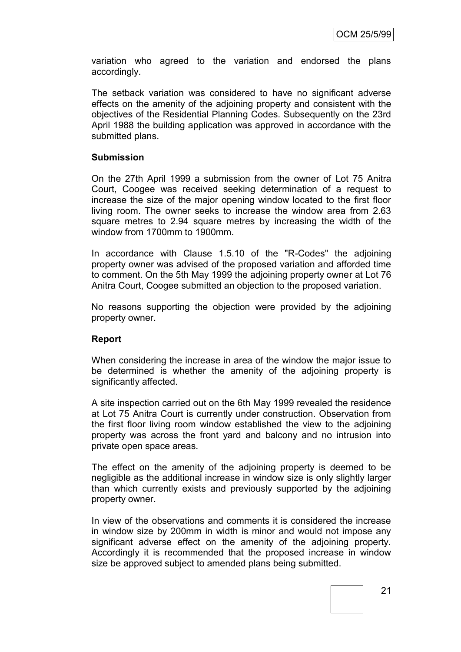variation who agreed to the variation and endorsed the plans accordingly.

The setback variation was considered to have no significant adverse effects on the amenity of the adjoining property and consistent with the objectives of the Residential Planning Codes. Subsequently on the 23rd April 1988 the building application was approved in accordance with the submitted plans.

#### **Submission**

On the 27th April 1999 a submission from the owner of Lot 75 Anitra Court, Coogee was received seeking determination of a request to increase the size of the major opening window located to the first floor living room. The owner seeks to increase the window area from 2.63 square metres to 2.94 square metres by increasing the width of the window from 1700mm to 1900mm.

In accordance with Clause 1.5.10 of the "R-Codes" the adjoining property owner was advised of the proposed variation and afforded time to comment. On the 5th May 1999 the adjoining property owner at Lot 76 Anitra Court, Coogee submitted an objection to the proposed variation.

No reasons supporting the objection were provided by the adjoining property owner.

#### **Report**

When considering the increase in area of the window the major issue to be determined is whether the amenity of the adjoining property is significantly affected.

A site inspection carried out on the 6th May 1999 revealed the residence at Lot 75 Anitra Court is currently under construction. Observation from the first floor living room window established the view to the adjoining property was across the front yard and balcony and no intrusion into private open space areas.

The effect on the amenity of the adjoining property is deemed to be negligible as the additional increase in window size is only slightly larger than which currently exists and previously supported by the adjoining property owner.

In view of the observations and comments it is considered the increase in window size by 200mm in width is minor and would not impose any significant adverse effect on the amenity of the adjoining property. Accordingly it is recommended that the proposed increase in window size be approved subject to amended plans being submitted.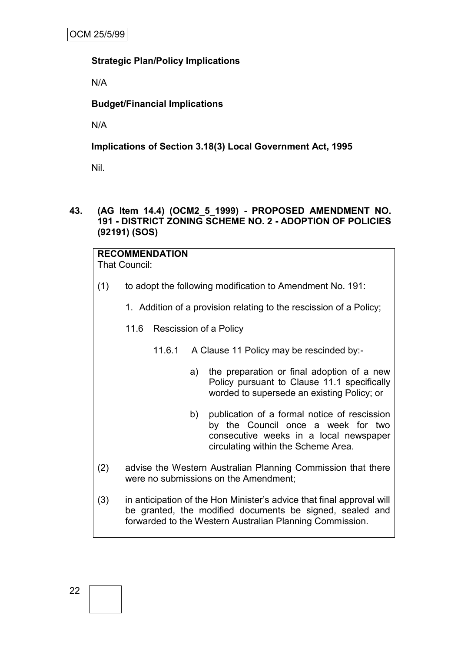### **Strategic Plan/Policy Implications**

N/A

## **Budget/Financial Implications**

N/A

## **Implications of Section 3.18(3) Local Government Act, 1995**

Nil.

### **43. (AG Item 14.4) (OCM2\_5\_1999) - PROPOSED AMENDMENT NO. 191 - DISTRICT ZONING SCHEME NO. 2 - ADOPTION OF POLICIES (92191) (SOS)**

## **RECOMMENDATION**

That Council:

- (1) to adopt the following modification to Amendment No. 191:
	- 1. Addition of a provision relating to the rescission of a Policy;

## 11.6 Rescission of a Policy

- 11.6.1 A Clause 11 Policy may be rescinded by:
	- a) the preparation or final adoption of a new Policy pursuant to Clause 11.1 specifically worded to supersede an existing Policy; or
	- b) publication of a formal notice of rescission by the Council once a week for two consecutive weeks in a local newspaper circulating within the Scheme Area.
- (2) advise the Western Australian Planning Commission that there were no submissions on the Amendment;
- (3) in anticipation of the Hon Minister"s advice that final approval will be granted, the modified documents be signed, sealed and forwarded to the Western Australian Planning Commission.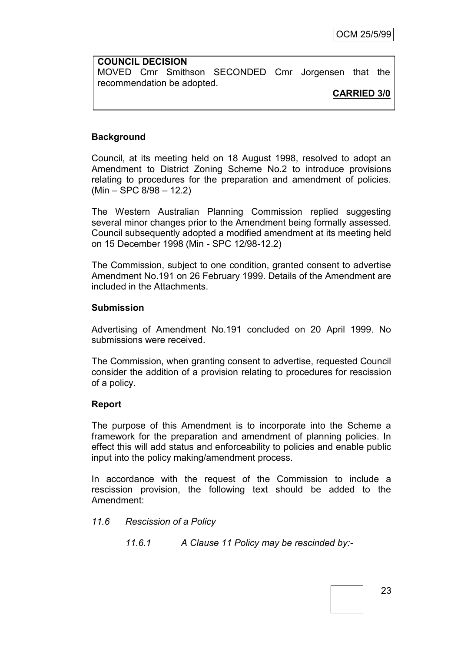## **COUNCIL DECISION** MOVED Cmr Smithson SECONDED Cmr Jorgensen that the recommendation be adopted.

### **CARRIED 3/0**

## **Background**

Council, at its meeting held on 18 August 1998, resolved to adopt an Amendment to District Zoning Scheme No.2 to introduce provisions relating to procedures for the preparation and amendment of policies. (Min – SPC 8/98 – 12.2)

The Western Australian Planning Commission replied suggesting several minor changes prior to the Amendment being formally assessed. Council subsequently adopted a modified amendment at its meeting held on 15 December 1998 (Min - SPC 12/98-12.2)

The Commission, subject to one condition, granted consent to advertise Amendment No.191 on 26 February 1999. Details of the Amendment are included in the Attachments.

### **Submission**

Advertising of Amendment No.191 concluded on 20 April 1999. No submissions were received.

The Commission, when granting consent to advertise, requested Council consider the addition of a provision relating to procedures for rescission of a policy.

### **Report**

The purpose of this Amendment is to incorporate into the Scheme a framework for the preparation and amendment of planning policies. In effect this will add status and enforceability to policies and enable public input into the policy making/amendment process.

In accordance with the request of the Commission to include a rescission provision, the following text should be added to the Amendment:

### *11.6 Rescission of a Policy*

*11.6.1 A Clause 11 Policy may be rescinded by:-*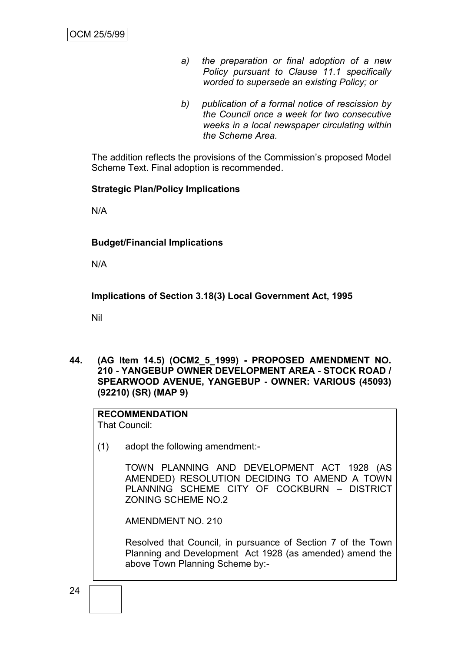- *a) the preparation or final adoption of a new Policy pursuant to Clause 11.1 specifically worded to supersede an existing Policy; or*
- *b) publication of a formal notice of rescission by the Council once a week for two consecutive weeks in a local newspaper circulating within the Scheme Area.*

The addition reflects the provisions of the Commission"s proposed Model Scheme Text. Final adoption is recommended.

### **Strategic Plan/Policy Implications**

N/A

### **Budget/Financial Implications**

N/A

**Implications of Section 3.18(3) Local Government Act, 1995**

Nil

**44. (AG Item 14.5) (OCM2\_5\_1999) - PROPOSED AMENDMENT NO. 210 - YANGEBUP OWNER DEVELOPMENT AREA - STOCK ROAD / SPEARWOOD AVENUE, YANGEBUP - OWNER: VARIOUS (45093) (92210) (SR) (MAP 9)**

# **RECOMMENDATION**

That Council:

(1) adopt the following amendment:-

TOWN PLANNING AND DEVELOPMENT ACT 1928 (AS AMENDED) RESOLUTION DECIDING TO AMEND A TOWN PLANNING SCHEME CITY OF COCKBURN – DISTRICT ZONING SCHEME NO.2

AMENDMENT NO. 210

Resolved that Council, in pursuance of Section 7 of the Town Planning and Development Act 1928 (as amended) amend the above Town Planning Scheme by:-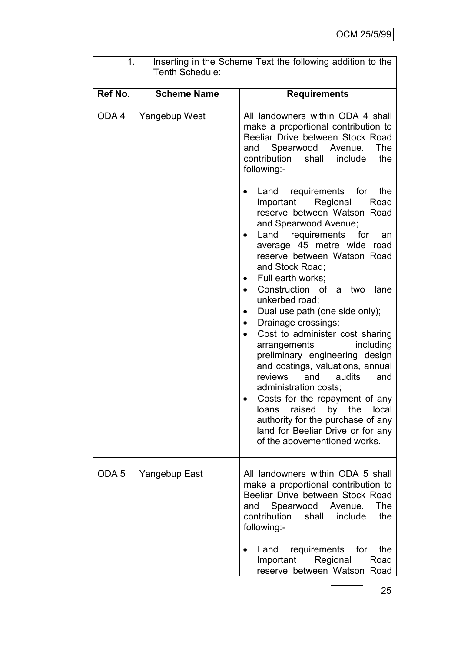| 1.<br>Inserting in the Scheme Text the following addition to the<br>Tenth Schedule: |                    |                                                                                                                                                                                                                                                                                                                                                                                                                                                                                                                                                                                                                                                                                                                                                                           |  |  |
|-------------------------------------------------------------------------------------|--------------------|---------------------------------------------------------------------------------------------------------------------------------------------------------------------------------------------------------------------------------------------------------------------------------------------------------------------------------------------------------------------------------------------------------------------------------------------------------------------------------------------------------------------------------------------------------------------------------------------------------------------------------------------------------------------------------------------------------------------------------------------------------------------------|--|--|
| Ref No.                                                                             | <b>Scheme Name</b> | <b>Requirements</b>                                                                                                                                                                                                                                                                                                                                                                                                                                                                                                                                                                                                                                                                                                                                                       |  |  |
| ODA4                                                                                | Yangebup West      | All landowners within ODA 4 shall<br>make a proportional contribution to<br>Beeliar Drive between Stock Road<br>and Spearwood Avenue.<br>The<br>contribution<br>shall<br>include<br>the<br>following:-<br>Land requirements for<br>the                                                                                                                                                                                                                                                                                                                                                                                                                                                                                                                                    |  |  |
|                                                                                     |                    | Important<br>Regional<br>Road<br>reserve between Watson Road<br>and Spearwood Avenue;<br>requirements<br>for<br>Land<br>an<br>average 45 metre wide road<br>reserve between Watson Road<br>and Stock Road;<br>Full earth works;<br>$\bullet$<br>Construction of<br>a two<br>lane<br>unkerbed road;<br>Dual use path (one side only);<br>Drainage crossings;<br>$\bullet$<br>Cost to administer cost sharing<br>$\bullet$<br>including<br>arrangements<br>preliminary engineering design<br>and costings, valuations, annual<br>and<br>audits<br>reviews<br>and<br>administration costs;<br>Costs for the repayment of any<br>raised<br>by the<br>local<br>loans<br>authority for the purchase of any<br>land for Beeliar Drive or for any<br>of the abovementioned works. |  |  |
| ODA <sub>5</sub>                                                                    | Yangebup East      | All landowners within ODA 5 shall<br>make a proportional contribution to<br>Beeliar Drive between Stock Road<br>and Spearwood Avenue.<br>The<br>contribution<br>include<br>shall<br>the<br>following:-                                                                                                                                                                                                                                                                                                                                                                                                                                                                                                                                                                    |  |  |
|                                                                                     |                    | requirements<br>for<br>the<br>Land<br>Important<br>Regional<br>Road<br>reserve between Watson Road                                                                                                                                                                                                                                                                                                                                                                                                                                                                                                                                                                                                                                                                        |  |  |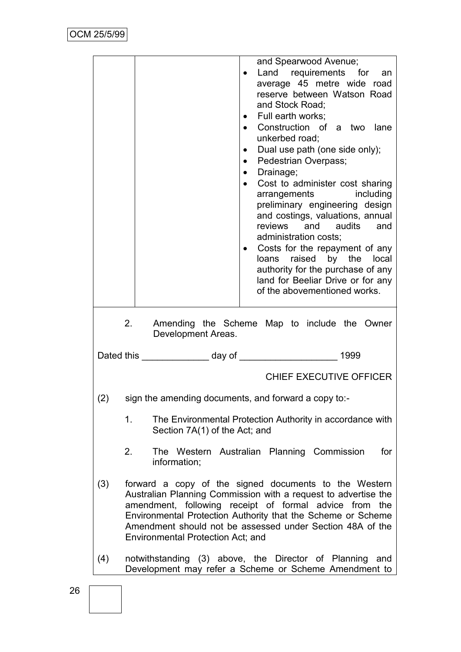|                                                                                                                                                                                                                                                                                                                                                            |                                                                                                                     | and Spearwood Avenue;<br>Land requirements for an<br>$\bullet$<br>average 45 metre wide road<br>reserve between Watson Road<br>and Stock Road;<br>• Full earth works;<br>• Construction of a two lane<br>unkerbed road;<br>Dual use path (one side only);<br>$\bullet$<br>Pedestrian Overpass;<br>$\bullet$<br>• Drainage;<br>• Cost to administer cost sharing<br>arrangements<br>including<br>preliminary engineering design<br>and costings, valuations, annual<br>reviews and audits and<br>administration costs;<br>Costs for the repayment of any<br>$\bullet$<br>loans raised by the local<br>authority for the purchase of any<br>land for Beeliar Drive or for any<br>of the abovementioned works. |  |  |
|------------------------------------------------------------------------------------------------------------------------------------------------------------------------------------------------------------------------------------------------------------------------------------------------------------------------------------------------------------|---------------------------------------------------------------------------------------------------------------------|-------------------------------------------------------------------------------------------------------------------------------------------------------------------------------------------------------------------------------------------------------------------------------------------------------------------------------------------------------------------------------------------------------------------------------------------------------------------------------------------------------------------------------------------------------------------------------------------------------------------------------------------------------------------------------------------------------------|--|--|
|                                                                                                                                                                                                                                                                                                                                                            | 2.                                                                                                                  | Amending the Scheme Map to include the Owner<br>Development Areas.                                                                                                                                                                                                                                                                                                                                                                                                                                                                                                                                                                                                                                          |  |  |
|                                                                                                                                                                                                                                                                                                                                                            |                                                                                                                     |                                                                                                                                                                                                                                                                                                                                                                                                                                                                                                                                                                                                                                                                                                             |  |  |
|                                                                                                                                                                                                                                                                                                                                                            | <b>CHIEF EXECUTIVE OFFICER</b>                                                                                      |                                                                                                                                                                                                                                                                                                                                                                                                                                                                                                                                                                                                                                                                                                             |  |  |
| (2)                                                                                                                                                                                                                                                                                                                                                        |                                                                                                                     | sign the amending documents, and forward a copy to:-                                                                                                                                                                                                                                                                                                                                                                                                                                                                                                                                                                                                                                                        |  |  |
|                                                                                                                                                                                                                                                                                                                                                            | 1.<br>The Environmental Protection Authority in accordance with<br>Section 7A(1) of the Act; and                    |                                                                                                                                                                                                                                                                                                                                                                                                                                                                                                                                                                                                                                                                                                             |  |  |
|                                                                                                                                                                                                                                                                                                                                                            | 2.                                                                                                                  | The Western Australian Planning Commission<br>for<br>information;                                                                                                                                                                                                                                                                                                                                                                                                                                                                                                                                                                                                                                           |  |  |
| (3)<br>forward a copy of the signed documents to the Western<br>Australian Planning Commission with a request to advertise the<br>amendment, following receipt of formal advice from the<br>Environmental Protection Authority that the Scheme or Scheme<br>Amendment should not be assessed under Section 48A of the<br>Environmental Protection Act; and |                                                                                                                     |                                                                                                                                                                                                                                                                                                                                                                                                                                                                                                                                                                                                                                                                                                             |  |  |
| (4)                                                                                                                                                                                                                                                                                                                                                        | notwithstanding (3) above, the Director of Planning<br>and<br>Development may refer a Scheme or Scheme Amendment to |                                                                                                                                                                                                                                                                                                                                                                                                                                                                                                                                                                                                                                                                                                             |  |  |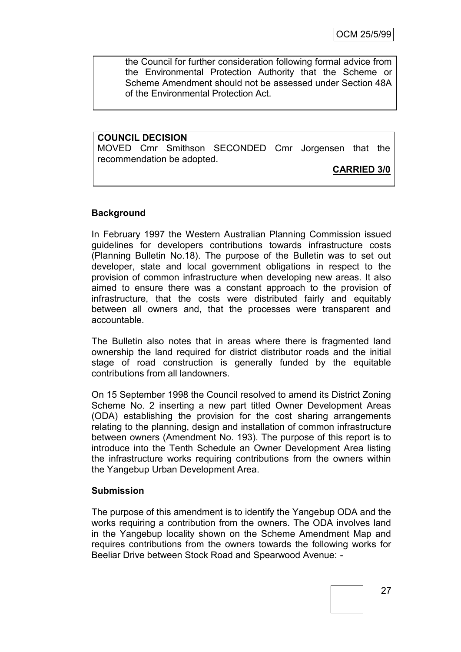the Council for further consideration following formal advice from the Environmental Protection Authority that the Scheme or Scheme Amendment should not be assessed under Section 48A of the Environmental Protection Act.

**COUNCIL DECISION** MOVED Cmr Smithson SECONDED Cmr Jorgensen that the recommendation be adopted.

## **CARRIED 3/0**

### **Background**

In February 1997 the Western Australian Planning Commission issued guidelines for developers contributions towards infrastructure costs (Planning Bulletin No.18). The purpose of the Bulletin was to set out developer, state and local government obligations in respect to the provision of common infrastructure when developing new areas. It also aimed to ensure there was a constant approach to the provision of infrastructure, that the costs were distributed fairly and equitably between all owners and, that the processes were transparent and accountable.

The Bulletin also notes that in areas where there is fragmented land ownership the land required for district distributor roads and the initial stage of road construction is generally funded by the equitable contributions from all landowners.

On 15 September 1998 the Council resolved to amend its District Zoning Scheme No. 2 inserting a new part titled Owner Development Areas (ODA) establishing the provision for the cost sharing arrangements relating to the planning, design and installation of common infrastructure between owners (Amendment No. 193). The purpose of this report is to introduce into the Tenth Schedule an Owner Development Area listing the infrastructure works requiring contributions from the owners within the Yangebup Urban Development Area.

#### **Submission**

The purpose of this amendment is to identify the Yangebup ODA and the works requiring a contribution from the owners. The ODA involves land in the Yangebup locality shown on the Scheme Amendment Map and requires contributions from the owners towards the following works for Beeliar Drive between Stock Road and Spearwood Avenue: -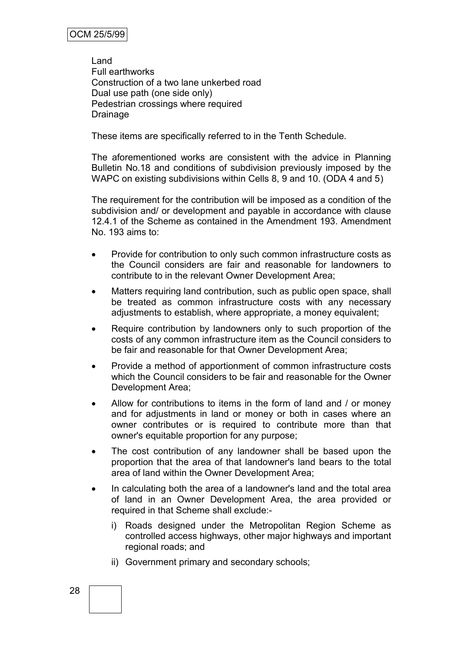Land Full earthworks Construction of a two lane unkerbed road Dual use path (one side only) Pedestrian crossings where required Drainage

These items are specifically referred to in the Tenth Schedule.

The aforementioned works are consistent with the advice in Planning Bulletin No.18 and conditions of subdivision previously imposed by the WAPC on existing subdivisions within Cells 8, 9 and 10. (ODA 4 and 5)

The requirement for the contribution will be imposed as a condition of the subdivision and/ or development and payable in accordance with clause 12.4.1 of the Scheme as contained in the Amendment 193. Amendment No. 193 aims to:

- Provide for contribution to only such common infrastructure costs as the Council considers are fair and reasonable for landowners to contribute to in the relevant Owner Development Area;
- Matters requiring land contribution, such as public open space, shall be treated as common infrastructure costs with any necessary adjustments to establish, where appropriate, a money equivalent;
- Require contribution by landowners only to such proportion of the costs of any common infrastructure item as the Council considers to be fair and reasonable for that Owner Development Area;
- Provide a method of apportionment of common infrastructure costs which the Council considers to be fair and reasonable for the Owner Development Area;
- Allow for contributions to items in the form of land and / or money and for adjustments in land or money or both in cases where an owner contributes or is required to contribute more than that owner's equitable proportion for any purpose;
- The cost contribution of any landowner shall be based upon the proportion that the area of that landowner's land bears to the total area of land within the Owner Development Area;
- In calculating both the area of a landowner's land and the total area of land in an Owner Development Area, the area provided or required in that Scheme shall exclude:
	- i) Roads designed under the Metropolitan Region Scheme as controlled access highways, other major highways and important regional roads; and
	- ii) Government primary and secondary schools;

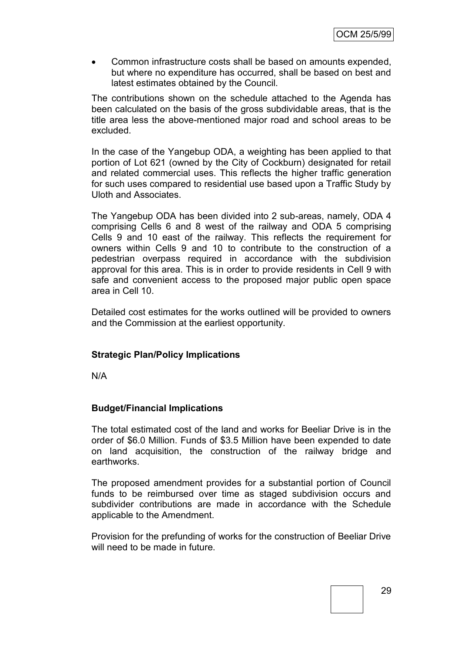Common infrastructure costs shall be based on amounts expended, but where no expenditure has occurred, shall be based on best and latest estimates obtained by the Council.

The contributions shown on the schedule attached to the Agenda has been calculated on the basis of the gross subdividable areas, that is the title area less the above-mentioned major road and school areas to be excluded.

In the case of the Yangebup ODA, a weighting has been applied to that portion of Lot 621 (owned by the City of Cockburn) designated for retail and related commercial uses. This reflects the higher traffic generation for such uses compared to residential use based upon a Traffic Study by Uloth and Associates.

The Yangebup ODA has been divided into 2 sub-areas, namely, ODA 4 comprising Cells 6 and 8 west of the railway and ODA 5 comprising Cells 9 and 10 east of the railway. This reflects the requirement for owners within Cells 9 and 10 to contribute to the construction of a pedestrian overpass required in accordance with the subdivision approval for this area. This is in order to provide residents in Cell 9 with safe and convenient access to the proposed major public open space area in Cell 10.

Detailed cost estimates for the works outlined will be provided to owners and the Commission at the earliest opportunity.

### **Strategic Plan/Policy Implications**

N/A

### **Budget/Financial Implications**

The total estimated cost of the land and works for Beeliar Drive is in the order of \$6.0 Million. Funds of \$3.5 Million have been expended to date on land acquisition, the construction of the railway bridge and earthworks.

The proposed amendment provides for a substantial portion of Council funds to be reimbursed over time as staged subdivision occurs and subdivider contributions are made in accordance with the Schedule applicable to the Amendment.

Provision for the prefunding of works for the construction of Beeliar Drive will need to be made in future.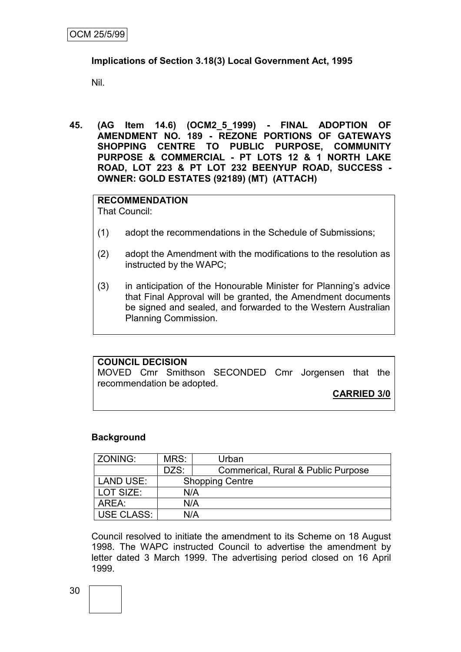### **Implications of Section 3.18(3) Local Government Act, 1995**

Nil.

**45. (AG Item 14.6) (OCM2\_5\_1999) - FINAL ADOPTION OF AMENDMENT NO. 189 - REZONE PORTIONS OF GATEWAYS SHOPPING CENTRE TO PUBLIC PURPOSE, COMMUNITY PURPOSE & COMMERCIAL - PT LOTS 12 & 1 NORTH LAKE ROAD, LOT 223 & PT LOT 232 BEENYUP ROAD, SUCCESS - OWNER: GOLD ESTATES (92189) (MT) (ATTACH)**

# **RECOMMENDATION**

That Council:

- (1) adopt the recommendations in the Schedule of Submissions;
- (2) adopt the Amendment with the modifications to the resolution as instructed by the WAPC;
- (3) in anticipation of the Honourable Minister for Planning"s advice that Final Approval will be granted, the Amendment documents be signed and sealed, and forwarded to the Western Australian Planning Commission.

### **COUNCIL DECISION**

MOVED Cmr Smithson SECONDED Cmr Jorgensen that the recommendation be adopted.

**CARRIED 3/0**

### **Background**

| ZONING:           | MRS:                   | Urban                              |  |
|-------------------|------------------------|------------------------------------|--|
|                   | DZS:                   | Commerical, Rural & Public Purpose |  |
| <b>LAND USE:</b>  | <b>Shopping Centre</b> |                                    |  |
| LOT SIZE:         | N/A                    |                                    |  |
| AREA:             | N/A                    |                                    |  |
| <b>USE CLASS:</b> | N/A                    |                                    |  |

Council resolved to initiate the amendment to its Scheme on 18 August 1998. The WAPC instructed Council to advertise the amendment by letter dated 3 March 1999. The advertising period closed on 16 April 1999.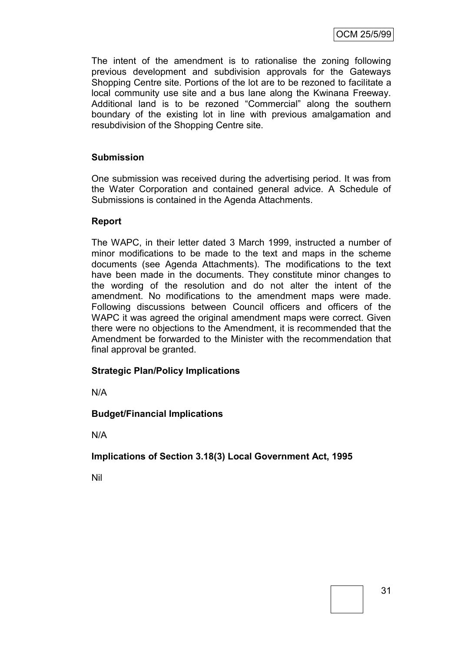OCM 25/5/99

The intent of the amendment is to rationalise the zoning following previous development and subdivision approvals for the Gateways Shopping Centre site. Portions of the lot are to be rezoned to facilitate a local community use site and a bus lane along the Kwinana Freeway. Additional land is to be rezoned "Commercial" along the southern boundary of the existing lot in line with previous amalgamation and resubdivision of the Shopping Centre site.

### **Submission**

One submission was received during the advertising period. It was from the Water Corporation and contained general advice. A Schedule of Submissions is contained in the Agenda Attachments.

### **Report**

The WAPC, in their letter dated 3 March 1999, instructed a number of minor modifications to be made to the text and maps in the scheme documents (see Agenda Attachments). The modifications to the text have been made in the documents. They constitute minor changes to the wording of the resolution and do not alter the intent of the amendment. No modifications to the amendment maps were made. Following discussions between Council officers and officers of the WAPC it was agreed the original amendment maps were correct. Given there were no objections to the Amendment, it is recommended that the Amendment be forwarded to the Minister with the recommendation that final approval be granted.

### **Strategic Plan/Policy Implications**

N/A

### **Budget/Financial Implications**

N/A

**Implications of Section 3.18(3) Local Government Act, 1995**

Nil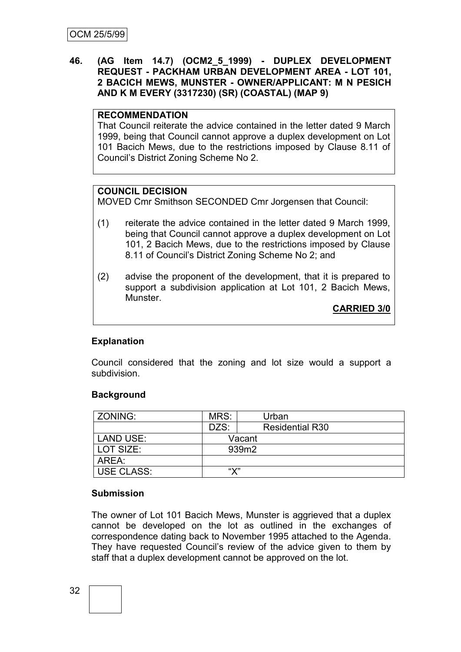### **46. (AG Item 14.7) (OCM2\_5\_1999) - DUPLEX DEVELOPMENT REQUEST - PACKHAM URBAN DEVELOPMENT AREA - LOT 101, 2 BACICH MEWS, MUNSTER - OWNER/APPLICANT: M N PESICH AND K M EVERY (3317230) (SR) (COASTAL) (MAP 9)**

### **RECOMMENDATION**

That Council reiterate the advice contained in the letter dated 9 March 1999, being that Council cannot approve a duplex development on Lot 101 Bacich Mews, due to the restrictions imposed by Clause 8.11 of Council"s District Zoning Scheme No 2.

#### **COUNCIL DECISION**

MOVED Cmr Smithson SECONDED Cmr Jorgensen that Council:

- (1) reiterate the advice contained in the letter dated 9 March 1999, being that Council cannot approve a duplex development on Lot 101, 2 Bacich Mews, due to the restrictions imposed by Clause 8.11 of Council"s District Zoning Scheme No 2; and
- (2) advise the proponent of the development, that it is prepared to support a subdivision application at Lot 101, 2 Bacich Mews, Munster.

**CARRIED 3/0**

### **Explanation**

Council considered that the zoning and lot size would a support a subdivision.

#### **Background**

| ZONING:           | MRS:   | Urban                  |  |
|-------------------|--------|------------------------|--|
|                   | DZS:   | <b>Residential R30</b> |  |
| <b>LAND USE:</b>  | Vacant |                        |  |
| LOT SIZE:         |        | 939m2                  |  |
| AREA:             |        |                        |  |
| <b>USE CLASS:</b> | "Х"    |                        |  |

#### **Submission**

The owner of Lot 101 Bacich Mews, Munster is aggrieved that a duplex cannot be developed on the lot as outlined in the exchanges of correspondence dating back to November 1995 attached to the Agenda. They have requested Council"s review of the advice given to them by staff that a duplex development cannot be approved on the lot.

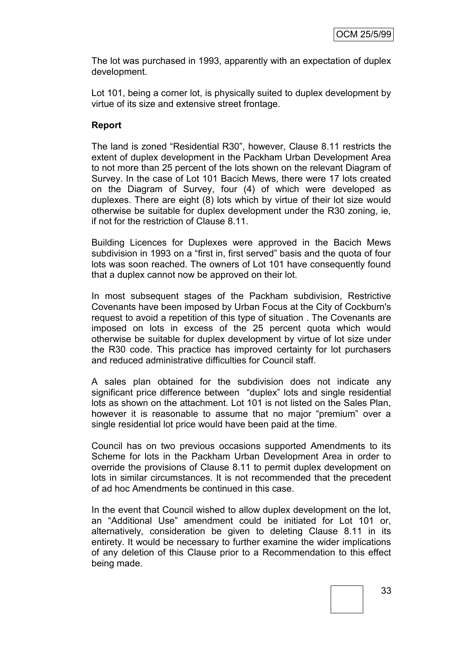The lot was purchased in 1993, apparently with an expectation of duplex development.

Lot 101, being a corner lot, is physically suited to duplex development by virtue of its size and extensive street frontage.

## **Report**

The land is zoned "Residential R30", however, Clause 8.11 restricts the extent of duplex development in the Packham Urban Development Area to not more than 25 percent of the lots shown on the relevant Diagram of Survey. In the case of Lot 101 Bacich Mews, there were 17 lots created on the Diagram of Survey, four (4) of which were developed as duplexes. There are eight (8) lots which by virtue of their lot size would otherwise be suitable for duplex development under the R30 zoning, ie, if not for the restriction of Clause 8.11.

Building Licences for Duplexes were approved in the Bacich Mews subdivision in 1993 on a "first in, first served" basis and the quota of four lots was soon reached. The owners of Lot 101 have consequently found that a duplex cannot now be approved on their lot.

In most subsequent stages of the Packham subdivision, Restrictive Covenants have been imposed by Urban Focus at the City of Cockburn's request to avoid a repetition of this type of situation . The Covenants are imposed on lots in excess of the 25 percent quota which would otherwise be suitable for duplex development by virtue of lot size under the R30 code. This practice has improved certainty for lot purchasers and reduced administrative difficulties for Council staff.

A sales plan obtained for the subdivision does not indicate any significant price difference between "duplex" lots and single residential lots as shown on the attachment. Lot 101 is not listed on the Sales Plan, however it is reasonable to assume that no major "premium" over a single residential lot price would have been paid at the time.

Council has on two previous occasions supported Amendments to its Scheme for lots in the Packham Urban Development Area in order to override the provisions of Clause 8.11 to permit duplex development on lots in similar circumstances. It is not recommended that the precedent of ad hoc Amendments be continued in this case.

In the event that Council wished to allow duplex development on the lot, an "Additional Use" amendment could be initiated for Lot 101 or, alternatively, consideration be given to deleting Clause 8.11 in its entirety. It would be necessary to further examine the wider implications of any deletion of this Clause prior to a Recommendation to this effect being made.

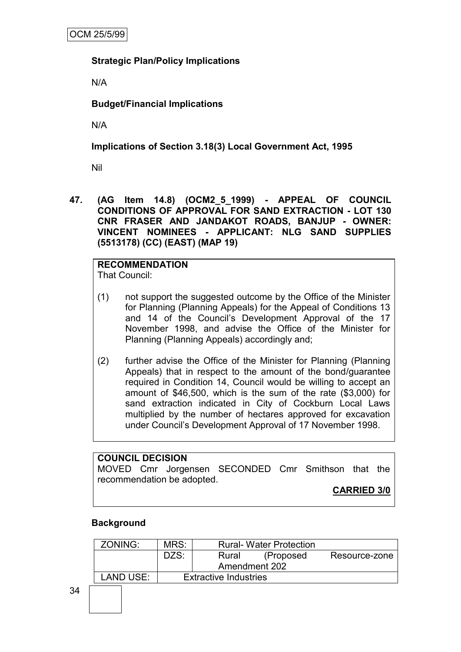# **Strategic Plan/Policy Implications**

N/A

# **Budget/Financial Implications**

N/A

# **Implications of Section 3.18(3) Local Government Act, 1995**

Nil

**47. (AG Item 14.8) (OCM2\_5\_1999) - APPEAL OF COUNCIL CONDITIONS OF APPROVAL FOR SAND EXTRACTION - LOT 130 CNR FRASER AND JANDAKOT ROADS, BANJUP - OWNER: VINCENT NOMINEES - APPLICANT: NLG SAND SUPPLIES (5513178) (CC) (EAST) (MAP 19)**

# **RECOMMENDATION**

That Council:

- (1) not support the suggested outcome by the Office of the Minister for Planning (Planning Appeals) for the Appeal of Conditions 13 and 14 of the Council"s Development Approval of the 17 November 1998, and advise the Office of the Minister for Planning (Planning Appeals) accordingly and;
- (2) further advise the Office of the Minister for Planning (Planning Appeals) that in respect to the amount of the bond/guarantee required in Condition 14, Council would be willing to accept an amount of \$46,500, which is the sum of the rate (\$3,000) for sand extraction indicated in City of Cockburn Local Laws multiplied by the number of hectares approved for excavation under Council"s Development Approval of 17 November 1998.

# **COUNCIL DECISION**

MOVED Cmr Jorgensen SECONDED Cmr Smithson that the recommendation be adopted.

**CARRIED 3/0**

# **Background**

| ZONING:   | MRS:                         | <b>Rural-Water Protection</b> |               |               |
|-----------|------------------------------|-------------------------------|---------------|---------------|
|           | DZS:                         | Rural                         | (Proposed     | Resource-zone |
|           |                              |                               | Amendment 202 |               |
| LAND USE: | <b>Extractive Industries</b> |                               |               |               |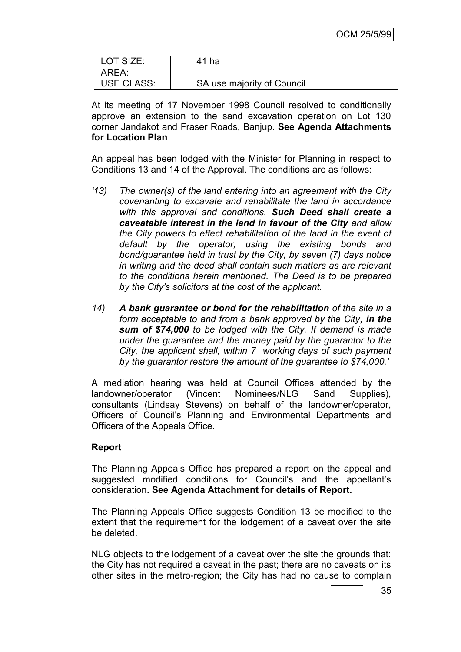| LOT SIZE:         | 41 ha                      |
|-------------------|----------------------------|
| AREA:             |                            |
| <b>USE CLASS:</b> | SA use majority of Council |

At its meeting of 17 November 1998 Council resolved to conditionally approve an extension to the sand excavation operation on Lot 130 corner Jandakot and Fraser Roads, Banjup. **See Agenda Attachments for Location Plan**

An appeal has been lodged with the Minister for Planning in respect to Conditions 13 and 14 of the Approval. The conditions are as follows:

- *'13) The owner(s) of the land entering into an agreement with the City covenanting to excavate and rehabilitate the land in accordance with this approval and conditions. Such Deed shall create a caveatable interest in the land in favour of the City and allow the City powers to effect rehabilitation of the land in the event of default by the operator, using the existing bonds and bond/guarantee held in trust by the City, by seven (7) days notice in writing and the deed shall contain such matters as are relevant to the conditions herein mentioned. The Deed is to be prepared by the City's solicitors at the cost of the applicant.*
- *14) A bank guarantee or bond for the rehabilitation of the site in a form acceptable to and from a bank approved by the City, in the sum of \$74,000 to be lodged with the City. If demand is made under the guarantee and the money paid by the guarantor to the City, the applicant shall, within 7 working days of such payment by the guarantor restore the amount of the guarantee to \$74,000.'*

A mediation hearing was held at Council Offices attended by the landowner/operator (Vincent Nominees/NLG Sand Supplies), consultants (Lindsay Stevens) on behalf of the landowner/operator, Officers of Council"s Planning and Environmental Departments and Officers of the Appeals Office.

# **Report**

The Planning Appeals Office has prepared a report on the appeal and suggested modified conditions for Council's and the appellant's consideration**. See Agenda Attachment for details of Report.**

The Planning Appeals Office suggests Condition 13 be modified to the extent that the requirement for the lodgement of a caveat over the site be deleted.

NLG objects to the lodgement of a caveat over the site the grounds that: the City has not required a caveat in the past; there are no caveats on its other sites in the metro-region; the City has had no cause to complain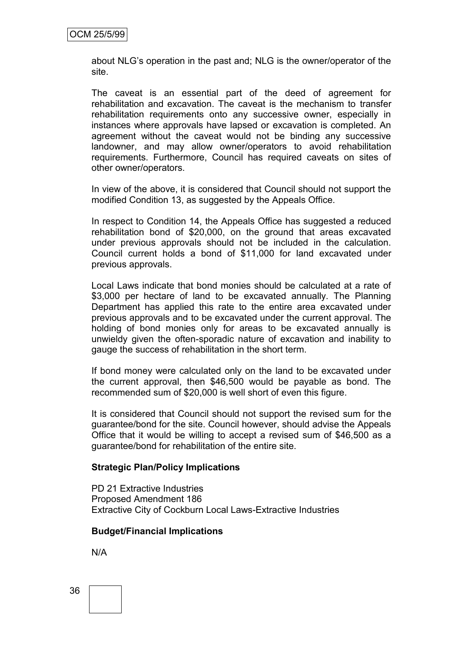about NLG"s operation in the past and; NLG is the owner/operator of the site.

The caveat is an essential part of the deed of agreement for rehabilitation and excavation. The caveat is the mechanism to transfer rehabilitation requirements onto any successive owner, especially in instances where approvals have lapsed or excavation is completed. An agreement without the caveat would not be binding any successive landowner, and may allow owner/operators to avoid rehabilitation requirements. Furthermore, Council has required caveats on sites of other owner/operators.

In view of the above, it is considered that Council should not support the modified Condition 13, as suggested by the Appeals Office.

In respect to Condition 14, the Appeals Office has suggested a reduced rehabilitation bond of \$20,000, on the ground that areas excavated under previous approvals should not be included in the calculation. Council current holds a bond of \$11,000 for land excavated under previous approvals.

Local Laws indicate that bond monies should be calculated at a rate of \$3,000 per hectare of land to be excavated annually. The Planning Department has applied this rate to the entire area excavated under previous approvals and to be excavated under the current approval. The holding of bond monies only for areas to be excavated annually is unwieldy given the often-sporadic nature of excavation and inability to gauge the success of rehabilitation in the short term.

If bond money were calculated only on the land to be excavated under the current approval, then \$46,500 would be payable as bond. The recommended sum of \$20,000 is well short of even this figure.

It is considered that Council should not support the revised sum for the guarantee/bond for the site. Council however, should advise the Appeals Office that it would be willing to accept a revised sum of \$46,500 as a guarantee/bond for rehabilitation of the entire site.

## **Strategic Plan/Policy Implications**

PD 21 Extractive Industries Proposed Amendment 186 Extractive City of Cockburn Local Laws-Extractive Industries

#### **Budget/Financial Implications**

N/A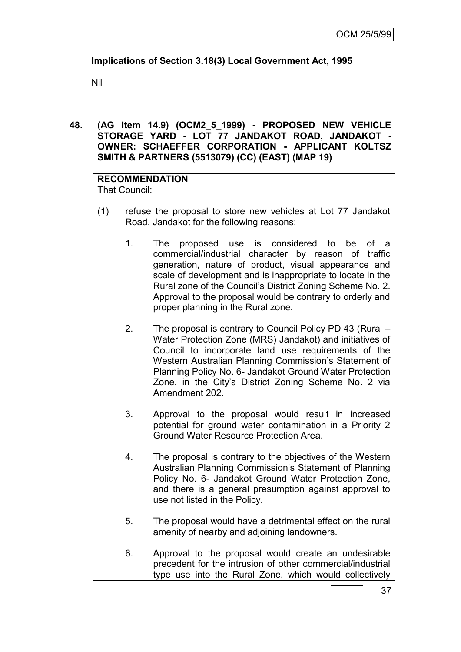# **Implications of Section 3.18(3) Local Government Act, 1995**

Nil

## **48. (AG Item 14.9) (OCM2\_5\_1999) - PROPOSED NEW VEHICLE STORAGE YARD - LOT 77 JANDAKOT ROAD, JANDAKOT - OWNER: SCHAEFFER CORPORATION - APPLICANT KOLTSZ SMITH & PARTNERS (5513079) (CC) (EAST) (MAP 19)**

**RECOMMENDATION** That Council:

- (1) refuse the proposal to store new vehicles at Lot 77 Jandakot Road, Jandakot for the following reasons:
	- 1. The proposed use is considered to be of a commercial/industrial character by reason of traffic generation, nature of product, visual appearance and scale of development and is inappropriate to locate in the Rural zone of the Council"s District Zoning Scheme No. 2. Approval to the proposal would be contrary to orderly and proper planning in the Rural zone.
	- 2. The proposal is contrary to Council Policy PD 43 (Rural Water Protection Zone (MRS) Jandakot) and initiatives of Council to incorporate land use requirements of the Western Australian Planning Commission's Statement of Planning Policy No. 6- Jandakot Ground Water Protection Zone, in the City"s District Zoning Scheme No. 2 via Amendment 202.
	- 3. Approval to the proposal would result in increased potential for ground water contamination in a Priority 2 Ground Water Resource Protection Area.
	- 4. The proposal is contrary to the objectives of the Western Australian Planning Commission"s Statement of Planning Policy No. 6- Jandakot Ground Water Protection Zone, and there is a general presumption against approval to use not listed in the Policy.
	- 5. The proposal would have a detrimental effect on the rural amenity of nearby and adjoining landowners.
	- 6. Approval to the proposal would create an undesirable precedent for the intrusion of other commercial/industrial type use into the Rural Zone, which would collectively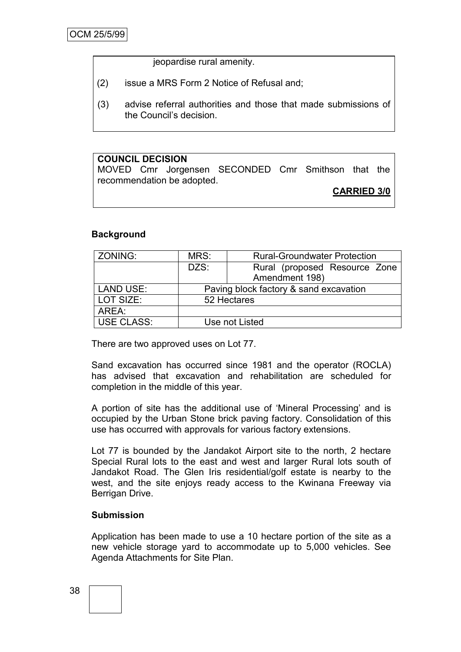jeopardise rural amenity.

- (2) issue a MRS Form 2 Notice of Refusal and;
- (3) advise referral authorities and those that made submissions of the Council"s decision.

# **COUNCIL DECISION**

MOVED Cmr Jorgensen SECONDED Cmr Smithson that the recommendation be adopted.

**CARRIED 3/0**

## **Background**

| ZONING:           | MRS:                                   | <b>Rural-Groundwater Protection</b> |
|-------------------|----------------------------------------|-------------------------------------|
|                   | DZS:                                   | Rural (proposed Resource Zone       |
|                   |                                        | Amendment 198)                      |
| LAND USE:         | Paving block factory & sand excavation |                                     |
| LOT SIZE:         |                                        | 52 Hectares                         |
| AREA:             |                                        |                                     |
| <b>USE CLASS:</b> |                                        | Use not Listed                      |

There are two approved uses on Lot 77.

Sand excavation has occurred since 1981 and the operator (ROCLA) has advised that excavation and rehabilitation are scheduled for completion in the middle of this year.

A portion of site has the additional use of "Mineral Processing" and is occupied by the Urban Stone brick paving factory. Consolidation of this use has occurred with approvals for various factory extensions.

Lot 77 is bounded by the Jandakot Airport site to the north, 2 hectare Special Rural lots to the east and west and larger Rural lots south of Jandakot Road. The Glen Iris residential/golf estate is nearby to the west, and the site enjoys ready access to the Kwinana Freeway via Berrigan Drive.

## **Submission**

Application has been made to use a 10 hectare portion of the site as a new vehicle storage yard to accommodate up to 5,000 vehicles. See Agenda Attachments for Site Plan.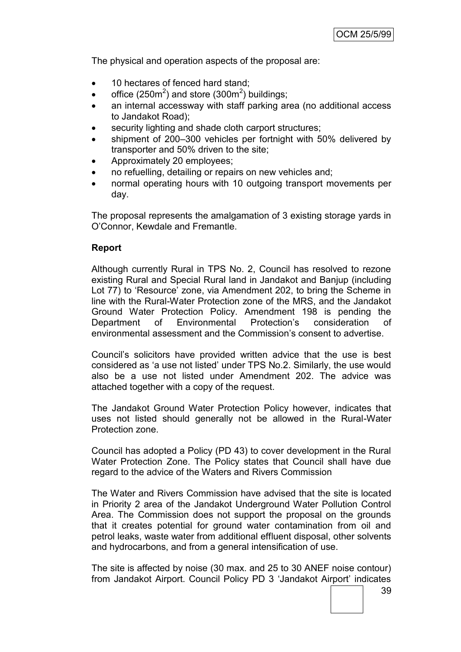The physical and operation aspects of the proposal are:

- 10 hectares of fenced hard stand;
- office (250 $\text{m}^2$ ) and store (300 $\text{m}^2$ ) buildings;
- an internal accessway with staff parking area (no additional access to Jandakot Road);
- security lighting and shade cloth carport structures;
- shipment of 200–300 vehicles per fortnight with 50% delivered by transporter and 50% driven to the site;
- Approximately 20 employees;
- no refuelling, detailing or repairs on new vehicles and;
- normal operating hours with 10 outgoing transport movements per day.

The proposal represents the amalgamation of 3 existing storage yards in O"Connor, Kewdale and Fremantle.

#### **Report**

Although currently Rural in TPS No. 2, Council has resolved to rezone existing Rural and Special Rural land in Jandakot and Banjup (including Lot 77) to 'Resource' zone, via Amendment 202, to bring the Scheme in line with the Rural-Water Protection zone of the MRS, and the Jandakot Ground Water Protection Policy. Amendment 198 is pending the Department of Environmental Protection"s consideration of environmental assessment and the Commission"s consent to advertise.

Council"s solicitors have provided written advice that the use is best considered as "a use not listed" under TPS No.2. Similarly, the use would also be a use not listed under Amendment 202. The advice was attached together with a copy of the request.

The Jandakot Ground Water Protection Policy however, indicates that uses not listed should generally not be allowed in the Rural-Water Protection zone.

Council has adopted a Policy (PD 43) to cover development in the Rural Water Protection Zone. The Policy states that Council shall have due regard to the advice of the Waters and Rivers Commission

The Water and Rivers Commission have advised that the site is located in Priority 2 area of the Jandakot Underground Water Pollution Control Area. The Commission does not support the proposal on the grounds that it creates potential for ground water contamination from oil and petrol leaks, waste water from additional effluent disposal, other solvents and hydrocarbons, and from a general intensification of use.

The site is affected by noise (30 max. and 25 to 30 ANEF noise contour) from Jandakot Airport. Council Policy PD 3 "Jandakot Airport" indicates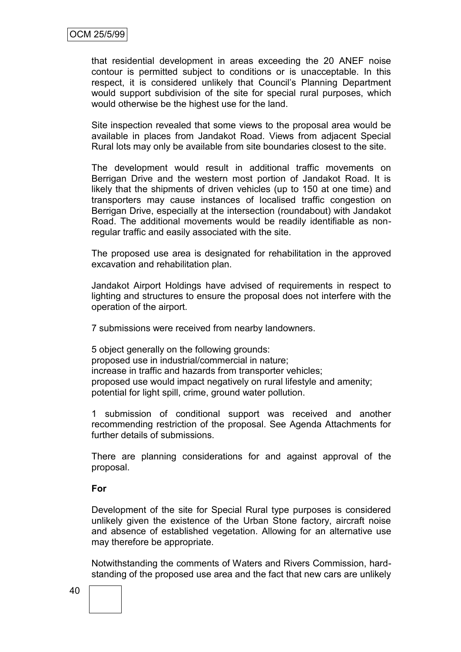that residential development in areas exceeding the 20 ANEF noise contour is permitted subject to conditions or is unacceptable. In this respect, it is considered unlikely that Council"s Planning Department would support subdivision of the site for special rural purposes, which would otherwise be the highest use for the land.

Site inspection revealed that some views to the proposal area would be available in places from Jandakot Road. Views from adjacent Special Rural lots may only be available from site boundaries closest to the site.

The development would result in additional traffic movements on Berrigan Drive and the western most portion of Jandakot Road. It is likely that the shipments of driven vehicles (up to 150 at one time) and transporters may cause instances of localised traffic congestion on Berrigan Drive, especially at the intersection (roundabout) with Jandakot Road. The additional movements would be readily identifiable as nonregular traffic and easily associated with the site.

The proposed use area is designated for rehabilitation in the approved excavation and rehabilitation plan.

Jandakot Airport Holdings have advised of requirements in respect to lighting and structures to ensure the proposal does not interfere with the operation of the airport.

7 submissions were received from nearby landowners.

5 object generally on the following grounds: proposed use in industrial/commercial in nature; increase in traffic and hazards from transporter vehicles; proposed use would impact negatively on rural lifestyle and amenity; potential for light spill, crime, ground water pollution.

1 submission of conditional support was received and another recommending restriction of the proposal. See Agenda Attachments for further details of submissions.

There are planning considerations for and against approval of the proposal.

#### **For**

Development of the site for Special Rural type purposes is considered unlikely given the existence of the Urban Stone factory, aircraft noise and absence of established vegetation. Allowing for an alternative use may therefore be appropriate.

Notwithstanding the comments of Waters and Rivers Commission, hardstanding of the proposed use area and the fact that new cars are unlikely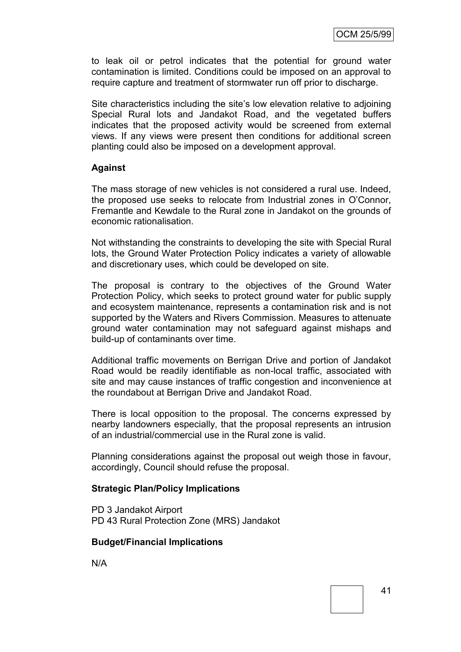to leak oil or petrol indicates that the potential for ground water contamination is limited. Conditions could be imposed on an approval to require capture and treatment of stormwater run off prior to discharge.

Site characteristics including the site's low elevation relative to adjoining Special Rural lots and Jandakot Road, and the vegetated buffers indicates that the proposed activity would be screened from external views. If any views were present then conditions for additional screen planting could also be imposed on a development approval.

#### **Against**

The mass storage of new vehicles is not considered a rural use. Indeed, the proposed use seeks to relocate from Industrial zones in O"Connor, Fremantle and Kewdale to the Rural zone in Jandakot on the grounds of economic rationalisation.

Not withstanding the constraints to developing the site with Special Rural lots, the Ground Water Protection Policy indicates a variety of allowable and discretionary uses, which could be developed on site.

The proposal is contrary to the objectives of the Ground Water Protection Policy, which seeks to protect ground water for public supply and ecosystem maintenance, represents a contamination risk and is not supported by the Waters and Rivers Commission. Measures to attenuate ground water contamination may not safeguard against mishaps and build-up of contaminants over time.

Additional traffic movements on Berrigan Drive and portion of Jandakot Road would be readily identifiable as non-local traffic, associated with site and may cause instances of traffic congestion and inconvenience at the roundabout at Berrigan Drive and Jandakot Road.

There is local opposition to the proposal. The concerns expressed by nearby landowners especially, that the proposal represents an intrusion of an industrial/commercial use in the Rural zone is valid.

Planning considerations against the proposal out weigh those in favour, accordingly, Council should refuse the proposal.

#### **Strategic Plan/Policy Implications**

PD 3 Jandakot Airport PD 43 Rural Protection Zone (MRS) Jandakot

#### **Budget/Financial Implications**

N/A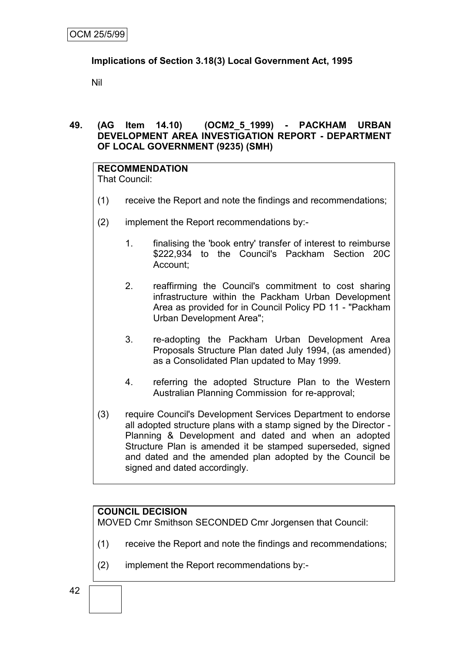# **Implications of Section 3.18(3) Local Government Act, 1995**

Nil

# **49. (AG Item 14.10) (OCM2\_5\_1999) - PACKHAM URBAN DEVELOPMENT AREA INVESTIGATION REPORT - DEPARTMENT OF LOCAL GOVERNMENT (9235) (SMH)**

# **RECOMMENDATION**

That Council:

- (1) receive the Report and note the findings and recommendations;
- (2) implement the Report recommendations by:-
	- 1. finalising the 'book entry' transfer of interest to reimburse \$222,934 to the Council's Packham Section 20C Account;
	- 2. reaffirming the Council's commitment to cost sharing infrastructure within the Packham Urban Development Area as provided for in Council Policy PD 11 - "Packham Urban Development Area";
	- 3. re-adopting the Packham Urban Development Area Proposals Structure Plan dated July 1994, (as amended) as a Consolidated Plan updated to May 1999.
	- 4. referring the adopted Structure Plan to the Western Australian Planning Commission for re-approval;
- (3) require Council's Development Services Department to endorse all adopted structure plans with a stamp signed by the Director - Planning & Development and dated and when an adopted Structure Plan is amended it be stamped superseded, signed and dated and the amended plan adopted by the Council be signed and dated accordingly.

# **COUNCIL DECISION**

MOVED Cmr Smithson SECONDED Cmr Jorgensen that Council:

- (1) receive the Report and note the findings and recommendations;
- (2) implement the Report recommendations by:-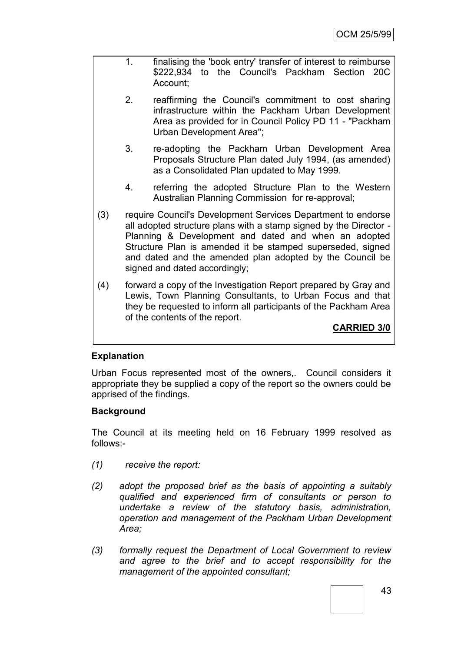- 1. finalising the 'book entry' transfer of interest to reimburse \$222,934 to the Council's Packham Section 20C Account;
- 2. reaffirming the Council's commitment to cost sharing infrastructure within the Packham Urban Development Area as provided for in Council Policy PD 11 - "Packham Urban Development Area";
- 3. re-adopting the Packham Urban Development Area Proposals Structure Plan dated July 1994, (as amended) as a Consolidated Plan updated to May 1999.
- 4. referring the adopted Structure Plan to the Western Australian Planning Commission for re-approval;
- (3) require Council's Development Services Department to endorse all adopted structure plans with a stamp signed by the Director - Planning & Development and dated and when an adopted Structure Plan is amended it be stamped superseded, signed and dated and the amended plan adopted by the Council be signed and dated accordingly;
- (4) forward a copy of the Investigation Report prepared by Gray and Lewis, Town Planning Consultants, to Urban Focus and that they be requested to inform all participants of the Packham Area of the contents of the report.

**CARRIED 3/0**

## **Explanation**

Urban Focus represented most of the owners,. Council considers it appropriate they be supplied a copy of the report so the owners could be apprised of the findings.

## **Background**

The Council at its meeting held on 16 February 1999 resolved as follows:-

- *(1) receive the report:*
- *(2) adopt the proposed brief as the basis of appointing a suitably qualified and experienced firm of consultants or person to undertake a review of the statutory basis, administration, operation and management of the Packham Urban Development Area;*
- *(3) formally request the Department of Local Government to review and agree to the brief and to accept responsibility for the management of the appointed consultant;*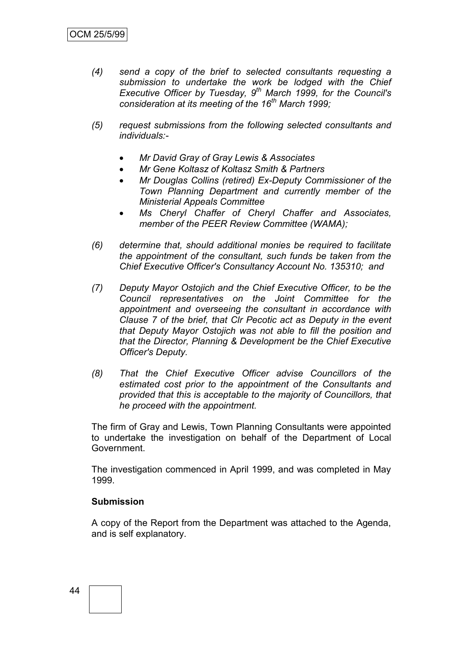- *(4) send a copy of the brief to selected consultants requesting a submission to undertake the work be lodged with the Chief Executive Officer by Tuesday, 9th March 1999, for the Council's consideration at its meeting of the 16th March 1999;*
- *(5) request submissions from the following selected consultants and individuals:-*
	- *Mr David Gray of Gray Lewis & Associates*
	- *Mr Gene Koltasz of Koltasz Smith & Partners*
	- *Mr Douglas Collins (retired) Ex-Deputy Commissioner of the Town Planning Department and currently member of the Ministerial Appeals Committee*
	- *Ms Cheryl Chaffer of Cheryl Chaffer and Associates, member of the PEER Review Committee (WAMA);*
- *(6) determine that, should additional monies be required to facilitate the appointment of the consultant, such funds be taken from the Chief Executive Officer's Consultancy Account No. 135310; and*
- *(7) Deputy Mayor Ostojich and the Chief Executive Officer, to be the Council representatives on the Joint Committee for the appointment and overseeing the consultant in accordance with Clause 7 of the brief, that Clr Pecotic act as Deputy in the event that Deputy Mayor Ostojich was not able to fill the position and that the Director, Planning & Development be the Chief Executive Officer's Deputy.*
- *(8) That the Chief Executive Officer advise Councillors of the estimated cost prior to the appointment of the Consultants and provided that this is acceptable to the majority of Councillors, that he proceed with the appointment.*

The firm of Gray and Lewis, Town Planning Consultants were appointed to undertake the investigation on behalf of the Department of Local Government.

The investigation commenced in April 1999, and was completed in May 1999.

#### **Submission**

A copy of the Report from the Department was attached to the Agenda, and is self explanatory.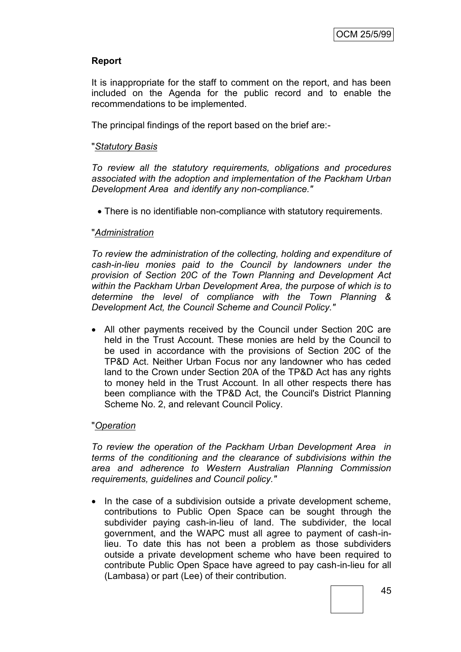# **Report**

It is inappropriate for the staff to comment on the report, and has been included on the Agenda for the public record and to enable the recommendations to be implemented.

The principal findings of the report based on the brief are:-

#### "*Statutory Basis*

*To review all the statutory requirements, obligations and procedures associated with the adoption and implementation of the Packham Urban Development Area and identify any non-compliance."*

There is no identifiable non-compliance with statutory requirements.

#### "*Administration*

*To review the administration of the collecting, holding and expenditure of cash-in-lieu monies paid to the Council by landowners under the provision of Section 20C of the Town Planning and Development Act within the Packham Urban Development Area, the purpose of which is to determine the level of compliance with the Town Planning & Development Act, the Council Scheme and Council Policy."*

 All other payments received by the Council under Section 20C are held in the Trust Account. These monies are held by the Council to be used in accordance with the provisions of Section 20C of the TP&D Act. Neither Urban Focus nor any landowner who has ceded land to the Crown under Section 20A of the TP&D Act has any rights to money held in the Trust Account. In all other respects there has been compliance with the TP&D Act, the Council's District Planning Scheme No. 2, and relevant Council Policy.

## "*Operation*

*To review the operation of the Packham Urban Development Area in terms of the conditioning and the clearance of subdivisions within the area and adherence to Western Australian Planning Commission requirements, guidelines and Council policy."*

• In the case of a subdivision outside a private development scheme, contributions to Public Open Space can be sought through the subdivider paying cash-in-lieu of land. The subdivider, the local government, and the WAPC must all agree to payment of cash-inlieu. To date this has not been a problem as those subdividers outside a private development scheme who have been required to contribute Public Open Space have agreed to pay cash-in-lieu for all (Lambasa) or part (Lee) of their contribution.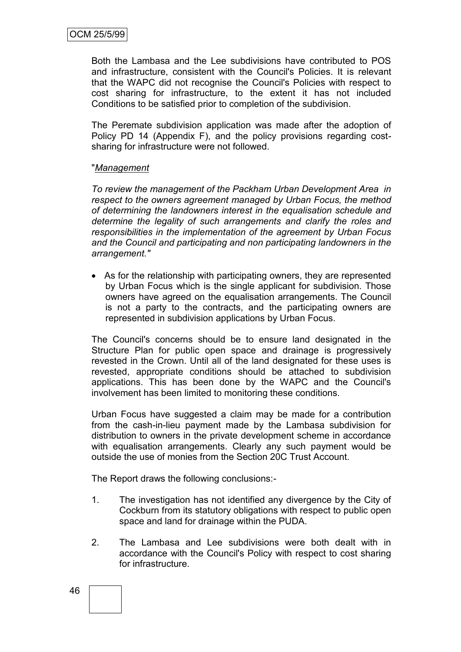Both the Lambasa and the Lee subdivisions have contributed to POS and infrastructure, consistent with the Council's Policies. It is relevant that the WAPC did not recognise the Council's Policies with respect to cost sharing for infrastructure, to the extent it has not included Conditions to be satisfied prior to completion of the subdivision.

The Peremate subdivision application was made after the adoption of Policy PD 14 (Appendix F), and the policy provisions regarding costsharing for infrastructure were not followed.

#### "*Management*

*To review the management of the Packham Urban Development Area in respect to the owners agreement managed by Urban Focus, the method of determining the landowners interest in the equalisation schedule and determine the legality of such arrangements and clarify the roles and responsibilities in the implementation of the agreement by Urban Focus and the Council and participating and non participating landowners in the arrangement."*

 As for the relationship with participating owners, they are represented by Urban Focus which is the single applicant for subdivision. Those owners have agreed on the equalisation arrangements. The Council is not a party to the contracts, and the participating owners are represented in subdivision applications by Urban Focus.

The Council's concerns should be to ensure land designated in the Structure Plan for public open space and drainage is progressively revested in the Crown. Until all of the land designated for these uses is revested, appropriate conditions should be attached to subdivision applications. This has been done by the WAPC and the Council's involvement has been limited to monitoring these conditions.

Urban Focus have suggested a claim may be made for a contribution from the cash-in-lieu payment made by the Lambasa subdivision for distribution to owners in the private development scheme in accordance with equalisation arrangements. Clearly any such payment would be outside the use of monies from the Section 20C Trust Account.

The Report draws the following conclusions:-

- 1. The investigation has not identified any divergence by the City of Cockburn from its statutory obligations with respect to public open space and land for drainage within the PUDA.
- 2. The Lambasa and Lee subdivisions were both dealt with in accordance with the Council's Policy with respect to cost sharing for infrastructure.

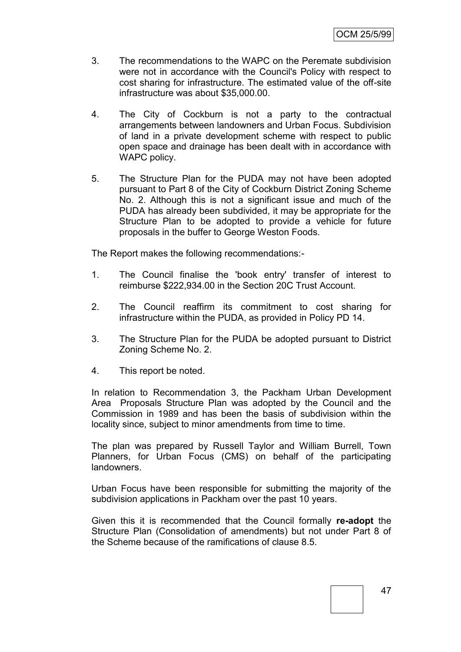- 3. The recommendations to the WAPC on the Peremate subdivision were not in accordance with the Council's Policy with respect to cost sharing for infrastructure. The estimated value of the off-site infrastructure was about \$35,000.00.
- 4. The City of Cockburn is not a party to the contractual arrangements between landowners and Urban Focus. Subdivision of land in a private development scheme with respect to public open space and drainage has been dealt with in accordance with WAPC policy.
- 5. The Structure Plan for the PUDA may not have been adopted pursuant to Part 8 of the City of Cockburn District Zoning Scheme No. 2. Although this is not a significant issue and much of the PUDA has already been subdivided, it may be appropriate for the Structure Plan to be adopted to provide a vehicle for future proposals in the buffer to George Weston Foods.

The Report makes the following recommendations:-

- 1. The Council finalise the 'book entry' transfer of interest to reimburse \$222,934.00 in the Section 20C Trust Account.
- 2. The Council reaffirm its commitment to cost sharing for infrastructure within the PUDA, as provided in Policy PD 14.
- 3. The Structure Plan for the PUDA be adopted pursuant to District Zoning Scheme No. 2.
- 4. This report be noted.

In relation to Recommendation 3, the Packham Urban Development Area Proposals Structure Plan was adopted by the Council and the Commission in 1989 and has been the basis of subdivision within the locality since, subject to minor amendments from time to time.

The plan was prepared by Russell Taylor and William Burrell, Town Planners, for Urban Focus (CMS) on behalf of the participating landowners.

Urban Focus have been responsible for submitting the majority of the subdivision applications in Packham over the past 10 years.

Given this it is recommended that the Council formally **re-adopt** the Structure Plan (Consolidation of amendments) but not under Part 8 of the Scheme because of the ramifications of clause 8.5.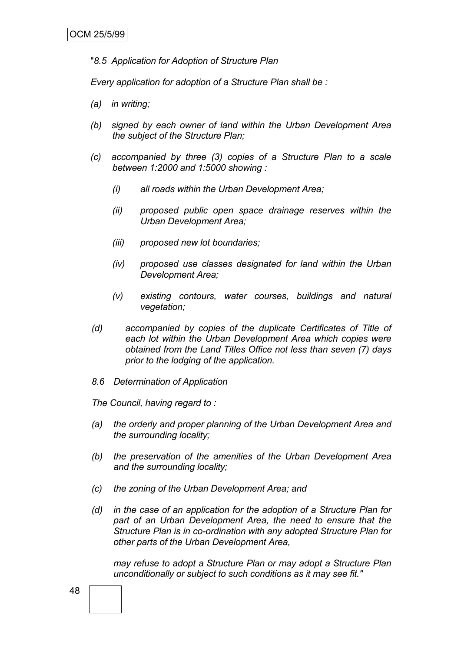"*8.5 Application for Adoption of Structure Plan*

*Every application for adoption of a Structure Plan shall be :*

- *(a) in writing;*
- *(b) signed by each owner of land within the Urban Development Area the subject of the Structure Plan;*
- *(c) accompanied by three (3) copies of a Structure Plan to a scale between 1:2000 and 1:5000 showing :*
	- *(i) all roads within the Urban Development Area;*
	- *(ii) proposed public open space drainage reserves within the Urban Development Area;*
	- *(iii) proposed new lot boundaries;*
	- *(iv) proposed use classes designated for land within the Urban Development Area;*
	- *(v) existing contours, water courses, buildings and natural vegetation;*
- *(d) accompanied by copies of the duplicate Certificates of Title of each lot within the Urban Development Area which copies were obtained from the Land Titles Office not less than seven (7) days prior to the lodging of the application.*
- *8.6 Determination of Application*

*The Council, having regard to :*

- *(a) the orderly and proper planning of the Urban Development Area and the surrounding locality;*
- *(b) the preservation of the amenities of the Urban Development Area and the surrounding locality;*
- *(c) the zoning of the Urban Development Area; and*
- *(d) in the case of an application for the adoption of a Structure Plan for part of an Urban Development Area, the need to ensure that the Structure Plan is in co-ordination with any adopted Structure Plan for other parts of the Urban Development Area,*

*may refuse to adopt a Structure Plan or may adopt a Structure Plan unconditionally or subject to such conditions as it may see fit."*

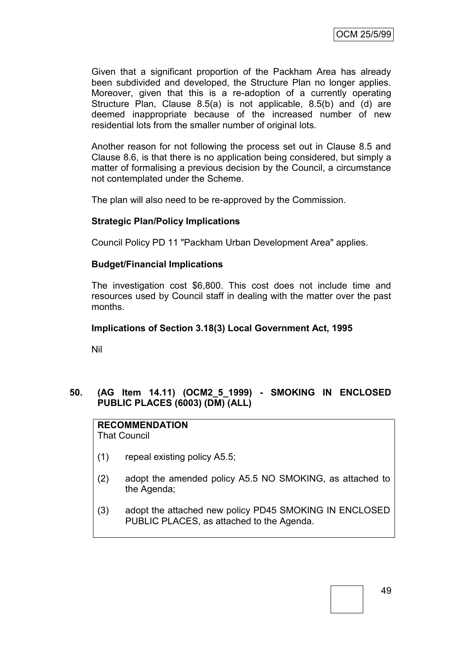Given that a significant proportion of the Packham Area has already been subdivided and developed, the Structure Plan no longer applies. Moreover, given that this is a re-adoption of a currently operating Structure Plan, Clause 8.5(a) is not applicable, 8.5(b) and (d) are deemed inappropriate because of the increased number of new residential lots from the smaller number of original lots.

Another reason for not following the process set out in Clause 8.5 and Clause 8.6, is that there is no application being considered, but simply a matter of formalising a previous decision by the Council, a circumstance not contemplated under the Scheme.

The plan will also need to be re-approved by the Commission.

## **Strategic Plan/Policy Implications**

Council Policy PD 11 "Packham Urban Development Area" applies.

## **Budget/Financial Implications**

The investigation cost \$6,800. This cost does not include time and resources used by Council staff in dealing with the matter over the past months.

## **Implications of Section 3.18(3) Local Government Act, 1995**

Nil

## **50. (AG Item 14.11) (OCM2\_5\_1999) - SMOKING IN ENCLOSED PUBLIC PLACES (6003) (DM) (ALL)**

#### **RECOMMENDATION** That Council

- (1) repeal existing policy A5.5;
- (2) adopt the amended policy A5.5 NO SMOKING, as attached to the Agenda;
- (3) adopt the attached new policy PD45 SMOKING IN ENCLOSED PUBLIC PLACES, as attached to the Agenda.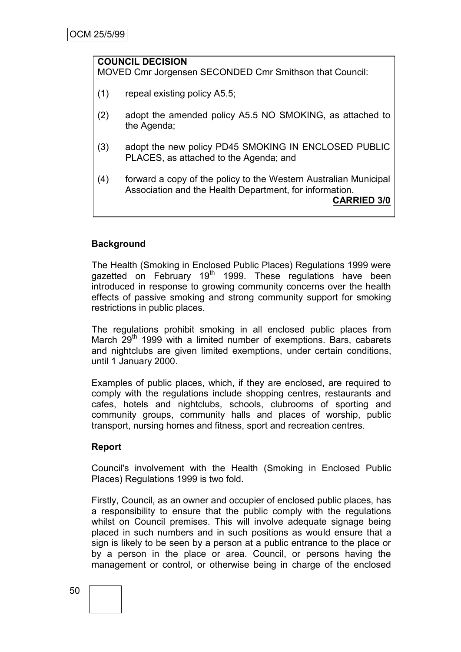#### **COUNCIL DECISION** MOVED Cmr Jorgensen SECONDED Cmr Smithson that Council:

- (1) repeal existing policy A5.5;
- (2) adopt the amended policy A5.5 NO SMOKING, as attached to the Agenda;
- (3) adopt the new policy PD45 SMOKING IN ENCLOSED PUBLIC PLACES, as attached to the Agenda; and
- (4) forward a copy of the policy to the Western Australian Municipal Association and the Health Department, for information. **CARRIED 3/0**

# **Background**

The Health (Smoking in Enclosed Public Places) Regulations 1999 were gazetted on February 19<sup>th</sup> 1999. These regulations have been introduced in response to growing community concerns over the health effects of passive smoking and strong community support for smoking restrictions in public places.

The regulations prohibit smoking in all enclosed public places from March  $29<sup>th</sup>$  1999 with a limited number of exemptions. Bars, cabarets and nightclubs are given limited exemptions, under certain conditions, until 1 January 2000.

Examples of public places, which, if they are enclosed, are required to comply with the regulations include shopping centres, restaurants and cafes, hotels and nightclubs, schools, clubrooms of sporting and community groups, community halls and places of worship, public transport, nursing homes and fitness, sport and recreation centres.

## **Report**

Council's involvement with the Health (Smoking in Enclosed Public Places) Regulations 1999 is two fold.

Firstly, Council, as an owner and occupier of enclosed public places, has a responsibility to ensure that the public comply with the regulations whilst on Council premises. This will involve adequate signage being placed in such numbers and in such positions as would ensure that a sign is likely to be seen by a person at a public entrance to the place or by a person in the place or area. Council, or persons having the management or control, or otherwise being in charge of the enclosed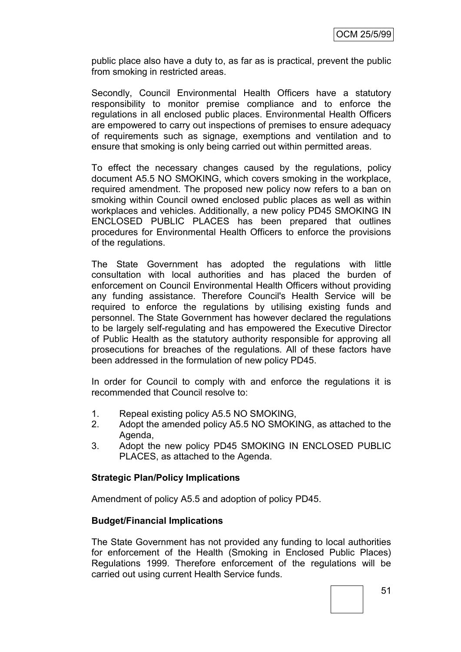public place also have a duty to, as far as is practical, prevent the public from smoking in restricted areas.

Secondly, Council Environmental Health Officers have a statutory responsibility to monitor premise compliance and to enforce the regulations in all enclosed public places. Environmental Health Officers are empowered to carry out inspections of premises to ensure adequacy of requirements such as signage, exemptions and ventilation and to ensure that smoking is only being carried out within permitted areas.

To effect the necessary changes caused by the regulations, policy document A5.5 NO SMOKING, which covers smoking in the workplace, required amendment. The proposed new policy now refers to a ban on smoking within Council owned enclosed public places as well as within workplaces and vehicles. Additionally, a new policy PD45 SMOKING IN ENCLOSED PUBLIC PLACES has been prepared that outlines procedures for Environmental Health Officers to enforce the provisions of the regulations.

The State Government has adopted the regulations with little consultation with local authorities and has placed the burden of enforcement on Council Environmental Health Officers without providing any funding assistance. Therefore Council's Health Service will be required to enforce the regulations by utilising existing funds and personnel. The State Government has however declared the regulations to be largely self-regulating and has empowered the Executive Director of Public Health as the statutory authority responsible for approving all prosecutions for breaches of the regulations. All of these factors have been addressed in the formulation of new policy PD45.

In order for Council to comply with and enforce the regulations it is recommended that Council resolve to:

- 1. Repeal existing policy A5.5 NO SMOKING,
- 2. Adopt the amended policy A5.5 NO SMOKING, as attached to the Agenda,
- 3. Adopt the new policy PD45 SMOKING IN ENCLOSED PUBLIC PLACES, as attached to the Agenda.

## **Strategic Plan/Policy Implications**

Amendment of policy A5.5 and adoption of policy PD45.

## **Budget/Financial Implications**

The State Government has not provided any funding to local authorities for enforcement of the Health (Smoking in Enclosed Public Places) Regulations 1999. Therefore enforcement of the regulations will be carried out using current Health Service funds.

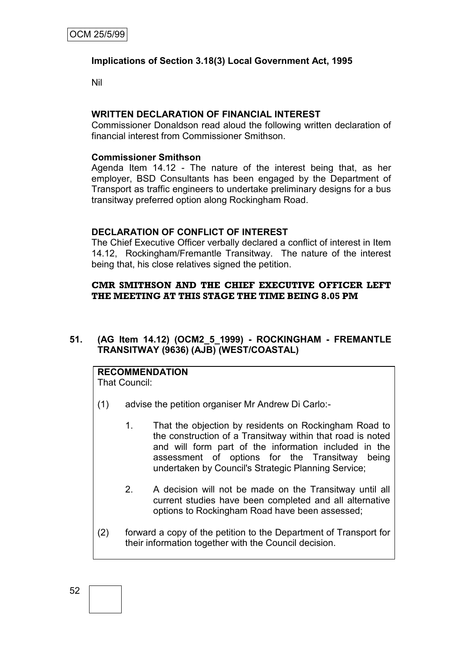# **Implications of Section 3.18(3) Local Government Act, 1995**

Nil

# **WRITTEN DECLARATION OF FINANCIAL INTEREST**

Commissioner Donaldson read aloud the following written declaration of financial interest from Commissioner Smithson.

## **Commissioner Smithson**

Agenda Item 14.12 - The nature of the interest being that, as her employer, BSD Consultants has been engaged by the Department of Transport as traffic engineers to undertake preliminary designs for a bus transitway preferred option along Rockingham Road.

## **DECLARATION OF CONFLICT OF INTEREST**

The Chief Executive Officer verbally declared a conflict of interest in Item 14.12, Rockingham/Fremantle Transitway. The nature of the interest being that, his close relatives signed the petition.

# **CMR SMITHSON AND THE CHIEF EXECUTIVE OFFICER LEFT THE MEETING AT THIS STAGE THE TIME BEING 8.05 PM**

# **51. (AG Item 14.12) (OCM2\_5\_1999) - ROCKINGHAM - FREMANTLE TRANSITWAY (9636) (AJB) (WEST/COASTAL)**

# **RECOMMENDATION**

That Council:

- (1) advise the petition organiser Mr Andrew Di Carlo:-
	- 1. That the objection by residents on Rockingham Road to the construction of a Transitway within that road is noted and will form part of the information included in the assessment of options for the Transitway being undertaken by Council's Strategic Planning Service;
	- 2. A decision will not be made on the Transitway until all current studies have been completed and all alternative options to Rockingham Road have been assessed;
- (2) forward a copy of the petition to the Department of Transport for their information together with the Council decision.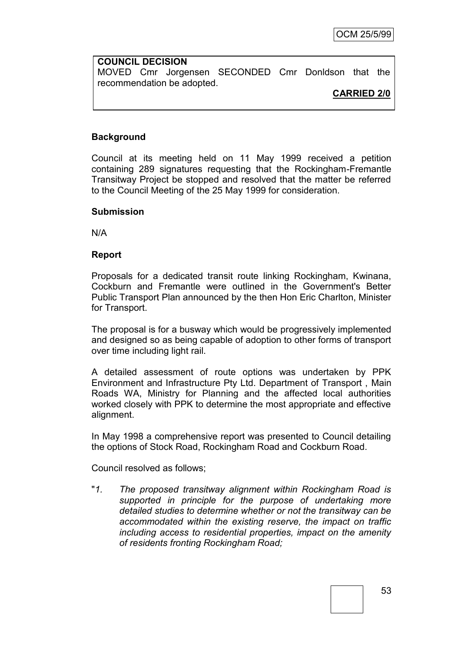**COUNCIL DECISION** MOVED Cmr Jorgensen SECONDED Cmr Donldson that the recommendation be adopted.

## **CARRIED 2/0**

## **Background**

Council at its meeting held on 11 May 1999 received a petition containing 289 signatures requesting that the Rockingham-Fremantle Transitway Project be stopped and resolved that the matter be referred to the Council Meeting of the 25 May 1999 for consideration.

#### **Submission**

N/A

## **Report**

Proposals for a dedicated transit route linking Rockingham, Kwinana, Cockburn and Fremantle were outlined in the Government's Better Public Transport Plan announced by the then Hon Eric Charlton, Minister for Transport.

The proposal is for a busway which would be progressively implemented and designed so as being capable of adoption to other forms of transport over time including light rail.

A detailed assessment of route options was undertaken by PPK Environment and Infrastructure Pty Ltd. Department of Transport , Main Roads WA, Ministry for Planning and the affected local authorities worked closely with PPK to determine the most appropriate and effective alignment.

In May 1998 a comprehensive report was presented to Council detailing the options of Stock Road, Rockingham Road and Cockburn Road.

Council resolved as follows;

"*1. The proposed transitway alignment within Rockingham Road is supported in principle for the purpose of undertaking more detailed studies to determine whether or not the transitway can be accommodated within the existing reserve, the impact on traffic including access to residential properties, impact on the amenity of residents fronting Rockingham Road;*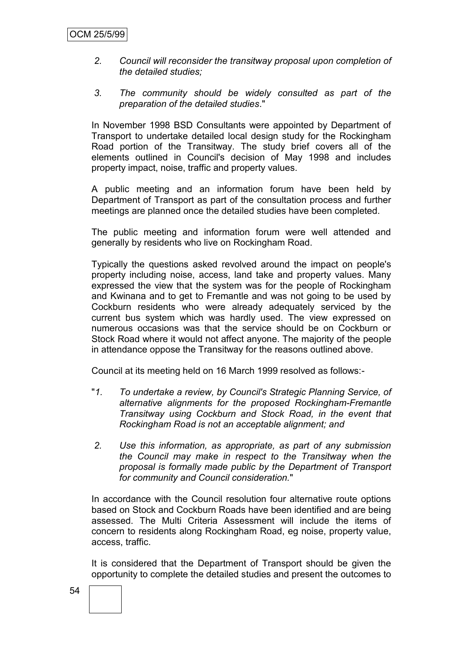- *2. Council will reconsider the transitway proposal upon completion of the detailed studies;*
- *3. The community should be widely consulted as part of the preparation of the detailed studies*."

In November 1998 BSD Consultants were appointed by Department of Transport to undertake detailed local design study for the Rockingham Road portion of the Transitway. The study brief covers all of the elements outlined in Council's decision of May 1998 and includes property impact, noise, traffic and property values.

A public meeting and an information forum have been held by Department of Transport as part of the consultation process and further meetings are planned once the detailed studies have been completed.

The public meeting and information forum were well attended and generally by residents who live on Rockingham Road.

Typically the questions asked revolved around the impact on people's property including noise, access, land take and property values. Many expressed the view that the system was for the people of Rockingham and Kwinana and to get to Fremantle and was not going to be used by Cockburn residents who were already adequately serviced by the current bus system which was hardly used. The view expressed on numerous occasions was that the service should be on Cockburn or Stock Road where it would not affect anyone. The majority of the people in attendance oppose the Transitway for the reasons outlined above.

Council at its meeting held on 16 March 1999 resolved as follows:-

- "*1. To undertake a review, by Council's Strategic Planning Service, of alternative alignments for the proposed Rockingham-Fremantle Transitway using Cockburn and Stock Road, in the event that Rockingham Road is not an acceptable alignment; and*
- *2. Use this information, as appropriate, as part of any submission the Council may make in respect to the Transitway when the proposal is formally made public by the Department of Transport for community and Council consideration.*"

In accordance with the Council resolution four alternative route options based on Stock and Cockburn Roads have been identified and are being assessed. The Multi Criteria Assessment will include the items of concern to residents along Rockingham Road, eg noise, property value, access, traffic.

It is considered that the Department of Transport should be given the opportunity to complete the detailed studies and present the outcomes to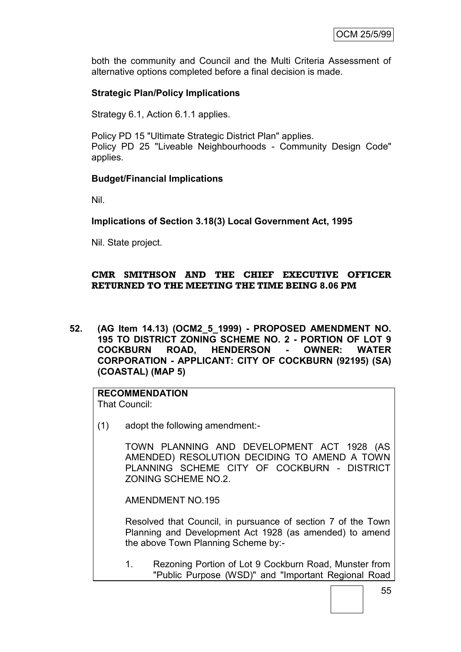both the community and Council and the Multi Criteria Assessment of alternative options completed before a final decision is made.

# **Strategic Plan/Policy Implications**

Strategy 6.1, Action 6.1.1 applies.

Policy PD 15 "Ultimate Strategic District Plan" applies. Policy PD 25 "Liveable Neighbourhoods - Community Design Code" applies.

## **Budget/Financial Implications**

Nil.

# **Implications of Section 3.18(3) Local Government Act, 1995**

Nil. State project.

# **CMR SMITHSON AND THE CHIEF EXECUTIVE OFFICER RETURNED TO THE MEETING THE TIME BEING 8.06 PM**

**52. (AG Item 14.13) (OCM2\_5\_1999) - PROPOSED AMENDMENT NO. 195 TO DISTRICT ZONING SCHEME NO. 2 - PORTION OF LOT 9 COCKBURN ROAD, HENDERSON - OWNER: WATER CORPORATION - APPLICANT: CITY OF COCKBURN (92195) (SA) (COASTAL) (MAP 5)**

# **RECOMMENDATION**

That Council:

(1) adopt the following amendment:-

TOWN PLANNING AND DEVELOPMENT ACT 1928 (AS AMENDED) RESOLUTION DECIDING TO AMEND A TOWN PLANNING SCHEME CITY OF COCKBURN - DISTRICT ZONING SCHEME NO.2.

AMENDMENT NO.195

Resolved that Council, in pursuance of section 7 of the Town Planning and Development Act 1928 (as amended) to amend the above Town Planning Scheme by:-

1. Rezoning Portion of Lot 9 Cockburn Road, Munster from "Public Purpose (WSD)" and "Important Regional Road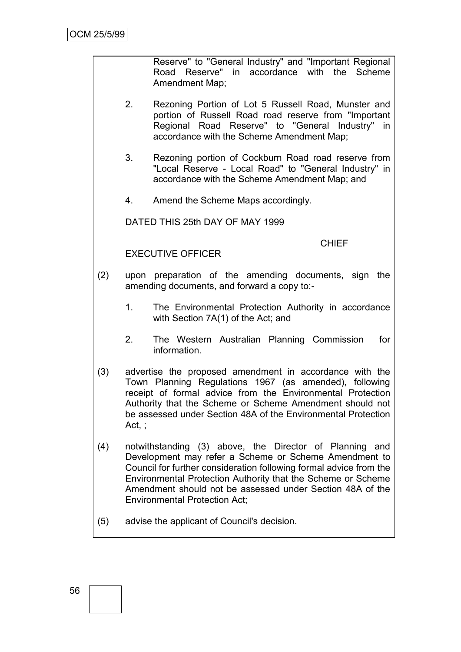Reserve" to "General Industry" and "Important Regional Road Reserve" in accordance with the Scheme Amendment Map;

- 2. Rezoning Portion of Lot 5 Russell Road, Munster and portion of Russell Road road reserve from "Important Regional Road Reserve" to "General Industry" in accordance with the Scheme Amendment Map;
- 3. Rezoning portion of Cockburn Road road reserve from "Local Reserve - Local Road" to "General Industry" in accordance with the Scheme Amendment Map; and
- 4. Amend the Scheme Maps accordingly.

DATED THIS 25th DAY OF MAY 1999

CHIEF

EXECUTIVE OFFICER

- (2) upon preparation of the amending documents, sign the amending documents, and forward a copy to:-
	- 1. The Environmental Protection Authority in accordance with Section 7A(1) of the Act; and
	- 2. The Western Australian Planning Commission for information.
- (3) advertise the proposed amendment in accordance with the Town Planning Regulations 1967 (as amended), following receipt of formal advice from the Environmental Protection Authority that the Scheme or Scheme Amendment should not be assessed under Section 48A of the Environmental Protection Act, ;
- (4) notwithstanding (3) above, the Director of Planning and Development may refer a Scheme or Scheme Amendment to Council for further consideration following formal advice from the Environmental Protection Authority that the Scheme or Scheme Amendment should not be assessed under Section 48A of the Environmental Protection Act;
- (5) advise the applicant of Council's decision.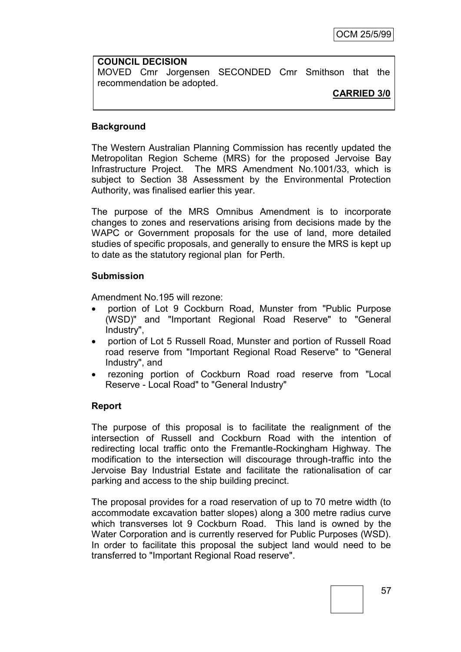**COUNCIL DECISION** MOVED Cmr Jorgensen SECONDED Cmr Smithson that the recommendation be adopted.

## **CARRIED 3/0**

## **Background**

The Western Australian Planning Commission has recently updated the Metropolitan Region Scheme (MRS) for the proposed Jervoise Bay Infrastructure Project. The MRS Amendment No.1001/33, which is subject to Section 38 Assessment by the Environmental Protection Authority, was finalised earlier this year.

The purpose of the MRS Omnibus Amendment is to incorporate changes to zones and reservations arising from decisions made by the WAPC or Government proposals for the use of land, more detailed studies of specific proposals, and generally to ensure the MRS is kept up to date as the statutory regional plan for Perth.

## **Submission**

Amendment No.195 will rezone:

- portion of Lot 9 Cockburn Road, Munster from "Public Purpose (WSD)" and "Important Regional Road Reserve" to "General Industry",
- portion of Lot 5 Russell Road, Munster and portion of Russell Road road reserve from "Important Regional Road Reserve" to "General Industry", and
- rezoning portion of Cockburn Road road reserve from "Local Reserve - Local Road" to "General Industry"

## **Report**

The purpose of this proposal is to facilitate the realignment of the intersection of Russell and Cockburn Road with the intention of redirecting local traffic onto the Fremantle-Rockingham Highway. The modification to the intersection will discourage through-traffic into the Jervoise Bay Industrial Estate and facilitate the rationalisation of car parking and access to the ship building precinct.

The proposal provides for a road reservation of up to 70 metre width (to accommodate excavation batter slopes) along a 300 metre radius curve which transverses lot 9 Cockburn Road. This land is owned by the Water Corporation and is currently reserved for Public Purposes (WSD). In order to facilitate this proposal the subject land would need to be transferred to "Important Regional Road reserve".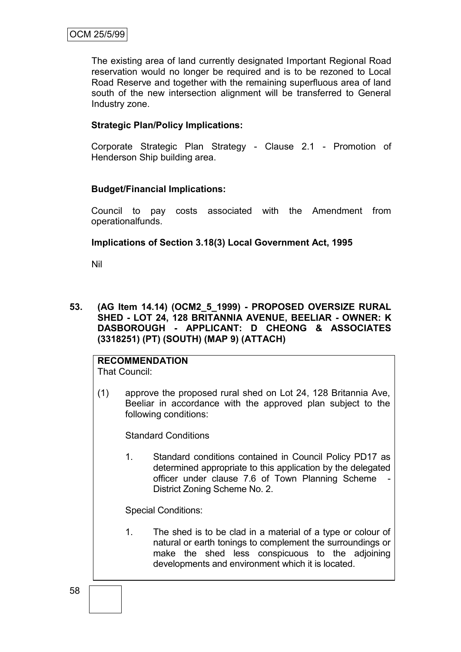The existing area of land currently designated Important Regional Road reservation would no longer be required and is to be rezoned to Local Road Reserve and together with the remaining superfluous area of land south of the new intersection alignment will be transferred to General Industry zone.

## **Strategic Plan/Policy Implications:**

Corporate Strategic Plan Strategy - Clause 2.1 - Promotion of Henderson Ship building area.

## **Budget/Financial Implications:**

Council to pay costs associated with the Amendment from operationalfunds.

## **Implications of Section 3.18(3) Local Government Act, 1995**

Nil

## **53. (AG Item 14.14) (OCM2\_5\_1999) - PROPOSED OVERSIZE RURAL SHED - LOT 24, 128 BRITANNIA AVENUE, BEELIAR - OWNER: K DASBOROUGH - APPLICANT: D CHEONG & ASSOCIATES (3318251) (PT) (SOUTH) (MAP 9) (ATTACH)**

# **RECOMMENDATION**

That Council:

(1) approve the proposed rural shed on Lot 24, 128 Britannia Ave, Beeliar in accordance with the approved plan subject to the following conditions:

Standard Conditions

1. Standard conditions contained in Council Policy PD17 as determined appropriate to this application by the delegated officer under clause 7.6 of Town Planning Scheme - District Zoning Scheme No. 2.

Special Conditions:

1. The shed is to be clad in a material of a type or colour of natural or earth tonings to complement the surroundings or make the shed less conspicuous to the adjoining developments and environment which it is located.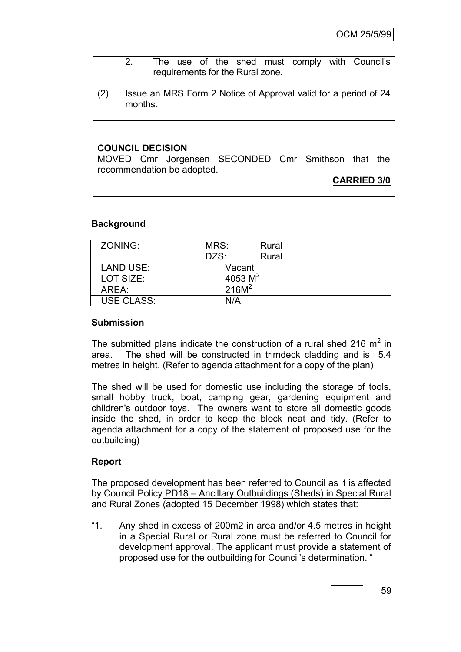- 2. The use of the shed must comply with Council"s requirements for the Rural zone.
- (2) Issue an MRS Form 2 Notice of Approval valid for a period of 24 months.

#### **COUNCIL DECISION**

MOVED Cmr Jorgensen SECONDED Cmr Smithson that the recommendation be adopted.

## **CARRIED 3/0**

#### **Background**

| ZONING:           | MRS:       | Rural             |  |
|-------------------|------------|-------------------|--|
|                   | DZS:       | Rural             |  |
| <b>LAND USE:</b>  |            | Vacant            |  |
| LOT SIZE:         | 4053 $M^2$ |                   |  |
| AREA:             |            | 216M <sup>2</sup> |  |
| <b>USE CLASS:</b> | N/A        |                   |  |

#### **Submission**

The submitted plans indicate the construction of a rural shed 216  $m^2$  in area. The shed will be constructed in trimdeck cladding and is 5.4 metres in height. (Refer to agenda attachment for a copy of the plan)

The shed will be used for domestic use including the storage of tools, small hobby truck, boat, camping gear, gardening equipment and children's outdoor toys. The owners want to store all domestic goods inside the shed, in order to keep the block neat and tidy. (Refer to agenda attachment for a copy of the statement of proposed use for the outbuilding)

## **Report**

The proposed development has been referred to Council as it is affected by Council Policy PD18 – Ancillary Outbuildings (Sheds) in Special Rural and Rural Zones (adopted 15 December 1998) which states that:

"1. Any shed in excess of 200m2 in area and/or 4.5 metres in height in a Special Rural or Rural zone must be referred to Council for development approval. The applicant must provide a statement of proposed use for the outbuilding for Council"s determination. "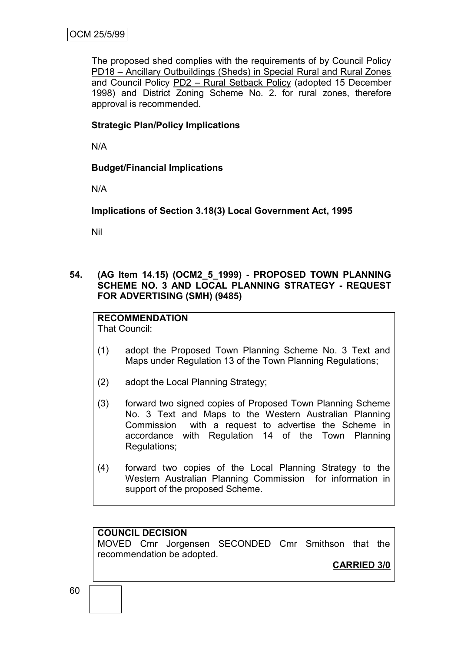The proposed shed complies with the requirements of by Council Policy PD18 – Ancillary Outbuildings (Sheds) in Special Rural and Rural Zones and Council Policy PD2 – Rural Setback Policy (adopted 15 December 1998) and District Zoning Scheme No. 2. for rural zones, therefore approval is recommended.

## **Strategic Plan/Policy Implications**

N/A

**Budget/Financial Implications**

N/A

**Implications of Section 3.18(3) Local Government Act, 1995**

Nil

**54. (AG Item 14.15) (OCM2\_5\_1999) - PROPOSED TOWN PLANNING SCHEME NO. 3 AND LOCAL PLANNING STRATEGY - REQUEST FOR ADVERTISING (SMH) (9485)**

**RECOMMENDATION** That Council:

- (1) adopt the Proposed Town Planning Scheme No. 3 Text and Maps under Regulation 13 of the Town Planning Regulations;
- (2) adopt the Local Planning Strategy;
- (3) forward two signed copies of Proposed Town Planning Scheme No. 3 Text and Maps to the Western Australian Planning Commission with a request to advertise the Scheme in accordance with Regulation 14 of the Town Planning Regulations;
- (4) forward two copies of the Local Planning Strategy to the Western Australian Planning Commission for information in support of the proposed Scheme.

## **COUNCIL DECISION**

MOVED Cmr Jorgensen SECONDED Cmr Smithson that the recommendation be adopted.

**CARRIED 3/0**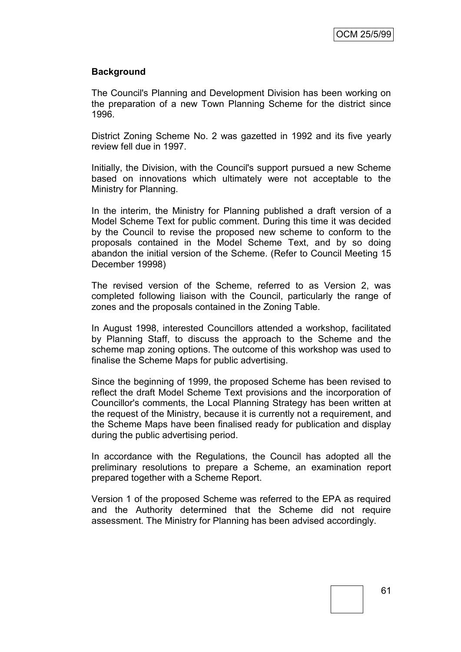## **Background**

The Council's Planning and Development Division has been working on the preparation of a new Town Planning Scheme for the district since 1996.

District Zoning Scheme No. 2 was gazetted in 1992 and its five yearly review fell due in 1997.

Initially, the Division, with the Council's support pursued a new Scheme based on innovations which ultimately were not acceptable to the Ministry for Planning.

In the interim, the Ministry for Planning published a draft version of a Model Scheme Text for public comment. During this time it was decided by the Council to revise the proposed new scheme to conform to the proposals contained in the Model Scheme Text, and by so doing abandon the initial version of the Scheme. (Refer to Council Meeting 15 December 19998)

The revised version of the Scheme, referred to as Version 2, was completed following liaison with the Council, particularly the range of zones and the proposals contained in the Zoning Table.

In August 1998, interested Councillors attended a workshop, facilitated by Planning Staff, to discuss the approach to the Scheme and the scheme map zoning options. The outcome of this workshop was used to finalise the Scheme Maps for public advertising.

Since the beginning of 1999, the proposed Scheme has been revised to reflect the draft Model Scheme Text provisions and the incorporation of Councillor's comments, the Local Planning Strategy has been written at the request of the Ministry, because it is currently not a requirement, and the Scheme Maps have been finalised ready for publication and display during the public advertising period.

In accordance with the Regulations, the Council has adopted all the preliminary resolutions to prepare a Scheme, an examination report prepared together with a Scheme Report.

Version 1 of the proposed Scheme was referred to the EPA as required and the Authority determined that the Scheme did not require assessment. The Ministry for Planning has been advised accordingly.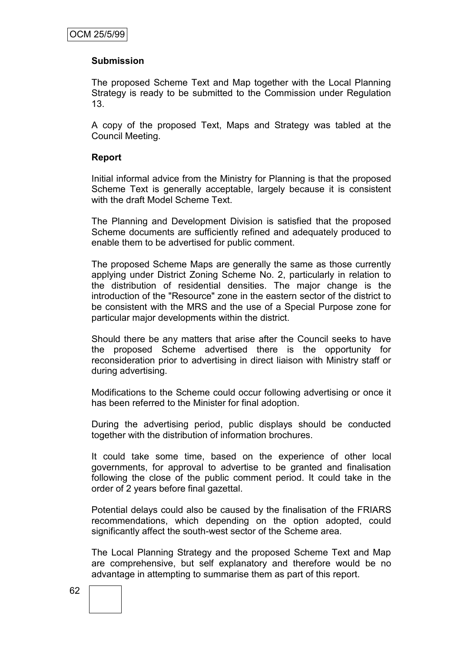## **Submission**

The proposed Scheme Text and Map together with the Local Planning Strategy is ready to be submitted to the Commission under Regulation 13.

A copy of the proposed Text, Maps and Strategy was tabled at the Council Meeting.

## **Report**

Initial informal advice from the Ministry for Planning is that the proposed Scheme Text is generally acceptable, largely because it is consistent with the draft Model Scheme Text.

The Planning and Development Division is satisfied that the proposed Scheme documents are sufficiently refined and adequately produced to enable them to be advertised for public comment.

The proposed Scheme Maps are generally the same as those currently applying under District Zoning Scheme No. 2, particularly in relation to the distribution of residential densities. The major change is the introduction of the "Resource" zone in the eastern sector of the district to be consistent with the MRS and the use of a Special Purpose zone for particular major developments within the district.

Should there be any matters that arise after the Council seeks to have the proposed Scheme advertised there is the opportunity for reconsideration prior to advertising in direct liaison with Ministry staff or during advertising.

Modifications to the Scheme could occur following advertising or once it has been referred to the Minister for final adoption.

During the advertising period, public displays should be conducted together with the distribution of information brochures.

It could take some time, based on the experience of other local governments, for approval to advertise to be granted and finalisation following the close of the public comment period. It could take in the order of 2 years before final gazettal.

Potential delays could also be caused by the finalisation of the FRIARS recommendations, which depending on the option adopted, could significantly affect the south-west sector of the Scheme area.

The Local Planning Strategy and the proposed Scheme Text and Map are comprehensive, but self explanatory and therefore would be no advantage in attempting to summarise them as part of this report.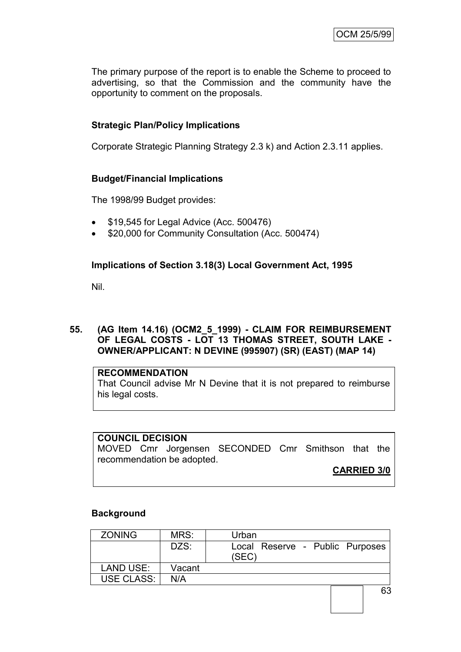The primary purpose of the report is to enable the Scheme to proceed to advertising, so that the Commission and the community have the opportunity to comment on the proposals.

# **Strategic Plan/Policy Implications**

Corporate Strategic Planning Strategy 2.3 k) and Action 2.3.11 applies.

## **Budget/Financial Implications**

The 1998/99 Budget provides:

- \$19,545 for Legal Advice (Acc. 500476)
- \$20,000 for Community Consultation (Acc. 500474)

## **Implications of Section 3.18(3) Local Government Act, 1995**

Nil.

## **55. (AG Item 14.16) (OCM2\_5\_1999) - CLAIM FOR REIMBURSEMENT OF LEGAL COSTS - LOT 13 THOMAS STREET, SOUTH LAKE - OWNER/APPLICANT: N DEVINE (995907) (SR) (EAST) (MAP 14)**

#### **RECOMMENDATION**

That Council advise Mr N Devine that it is not prepared to reimburse his legal costs.

#### **COUNCIL DECISION**

MOVED Cmr Jorgensen SECONDED Cmr Smithson that the recommendation be adopted.

**CARRIED 3/0**

## **Background**

| <b>ZONING</b>    | MRS:   | Urban                                    |
|------------------|--------|------------------------------------------|
|                  | DZS:   | Local Reserve - Public Purposes<br>(SEC) |
|                  |        |                                          |
| <b>LAND USE:</b> | Vacant |                                          |
| USE CLASS:       | N/A    |                                          |
|                  |        | 63                                       |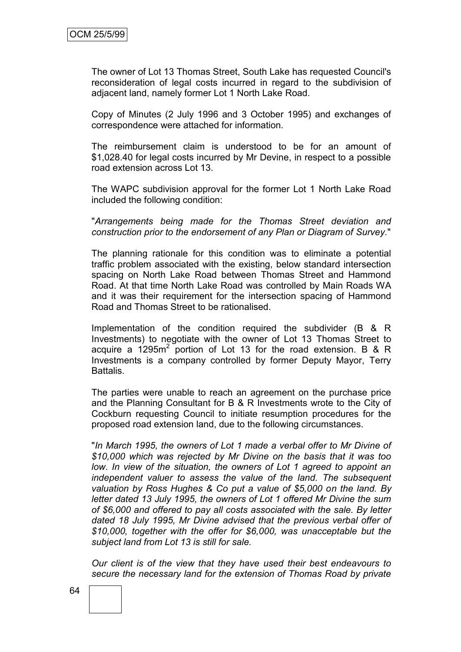The owner of Lot 13 Thomas Street, South Lake has requested Council's reconsideration of legal costs incurred in regard to the subdivision of adjacent land, namely former Lot 1 North Lake Road.

Copy of Minutes (2 July 1996 and 3 October 1995) and exchanges of correspondence were attached for information.

The reimbursement claim is understood to be for an amount of \$1,028.40 for legal costs incurred by Mr Devine, in respect to a possible road extension across Lot 13.

The WAPC subdivision approval for the former Lot 1 North Lake Road included the following condition:

"*Arrangements being made for the Thomas Street deviation and construction prior to the endorsement of any Plan or Diagram of Survey.*"

The planning rationale for this condition was to eliminate a potential traffic problem associated with the existing, below standard intersection spacing on North Lake Road between Thomas Street and Hammond Road. At that time North Lake Road was controlled by Main Roads WA and it was their requirement for the intersection spacing of Hammond Road and Thomas Street to be rationalised.

Implementation of the condition required the subdivider (B & R Investments) to negotiate with the owner of Lot 13 Thomas Street to acquire a  $1295m^2$  portion of Lot 13 for the road extension. B & R Investments is a company controlled by former Deputy Mayor, Terry Battalis.

The parties were unable to reach an agreement on the purchase price and the Planning Consultant for B & R Investments wrote to the City of Cockburn requesting Council to initiate resumption procedures for the proposed road extension land, due to the following circumstances.

"*In March 1995, the owners of Lot 1 made a verbal offer to Mr Divine of \$10,000 which was rejected by Mr Divine on the basis that it was too low. In view of the situation, the owners of Lot 1 agreed to appoint an independent valuer to assess the value of the land. The subsequent valuation by Ross Hughes & Co put a value of \$5,000 on the land. By letter dated 13 July 1995, the owners of Lot 1 offered Mr Divine the sum of \$6,000 and offered to pay all costs associated with the sale. By letter dated 18 July 1995, Mr Divine advised that the previous verbal offer of \$10,000, together with the offer for \$6,000, was unacceptable but the subject land from Lot 13 is still for sale.*

*Our client is of the view that they have used their best endeavours to secure the necessary land for the extension of Thomas Road by private*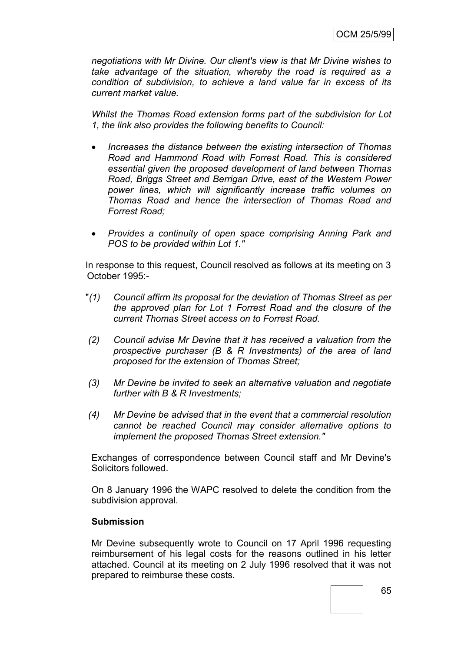*negotiations with Mr Divine. Our client's view is that Mr Divine wishes to take advantage of the situation, whereby the road is required as a condition of subdivision, to achieve a land value far in excess of its current market value.*

*Whilst the Thomas Road extension forms part of the subdivision for Lot 1, the link also provides the following benefits to Council:*

- *Increases the distance between the existing intersection of Thomas Road and Hammond Road with Forrest Road. This is considered essential given the proposed development of land between Thomas Road, Briggs Street and Berrigan Drive, east of the Western Power power lines, which will significantly increase traffic volumes on Thomas Road and hence the intersection of Thomas Road and Forrest Road;*
- *Provides a continuity of open space comprising Anning Park and POS to be provided within Lot 1."*

In response to this request, Council resolved as follows at its meeting on 3 October 1995:-

- "*(1) Council affirm its proposal for the deviation of Thomas Street as per the approved plan for Lot 1 Forrest Road and the closure of the current Thomas Street access on to Forrest Road.*
- *(2) Council advise Mr Devine that it has received a valuation from the prospective purchaser (B & R Investments) of the area of land proposed for the extension of Thomas Street;*
- *(3) Mr Devine be invited to seek an alternative valuation and negotiate further with B & R Investments;*
- *(4) Mr Devine be advised that in the event that a commercial resolution cannot be reached Council may consider alternative options to implement the proposed Thomas Street extension."*

Exchanges of correspondence between Council staff and Mr Devine's Solicitors followed.

On 8 January 1996 the WAPC resolved to delete the condition from the subdivision approval.

#### **Submission**

Mr Devine subsequently wrote to Council on 17 April 1996 requesting reimbursement of his legal costs for the reasons outlined in his letter attached. Council at its meeting on 2 July 1996 resolved that it was not prepared to reimburse these costs.

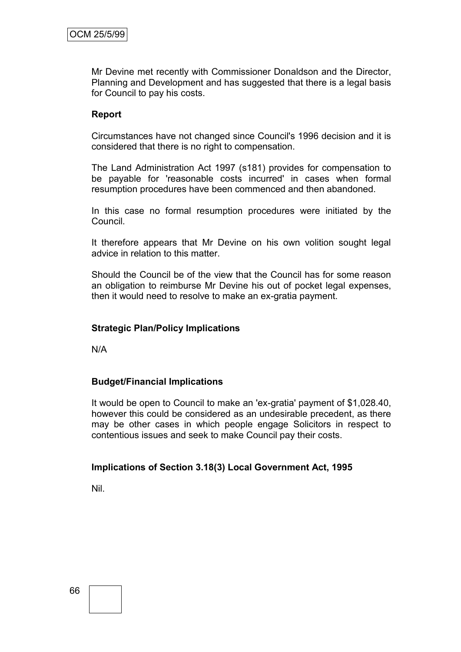Mr Devine met recently with Commissioner Donaldson and the Director, Planning and Development and has suggested that there is a legal basis for Council to pay his costs.

#### **Report**

Circumstances have not changed since Council's 1996 decision and it is considered that there is no right to compensation.

The Land Administration Act 1997 (s181) provides for compensation to be payable for 'reasonable costs incurred' in cases when formal resumption procedures have been commenced and then abandoned.

In this case no formal resumption procedures were initiated by the Council.

It therefore appears that Mr Devine on his own volition sought legal advice in relation to this matter.

Should the Council be of the view that the Council has for some reason an obligation to reimburse Mr Devine his out of pocket legal expenses, then it would need to resolve to make an ex-gratia payment.

#### **Strategic Plan/Policy Implications**

N/A

#### **Budget/Financial Implications**

It would be open to Council to make an 'ex-gratia' payment of \$1,028.40, however this could be considered as an undesirable precedent, as there may be other cases in which people engage Solicitors in respect to contentious issues and seek to make Council pay their costs.

#### **Implications of Section 3.18(3) Local Government Act, 1995**

Nil.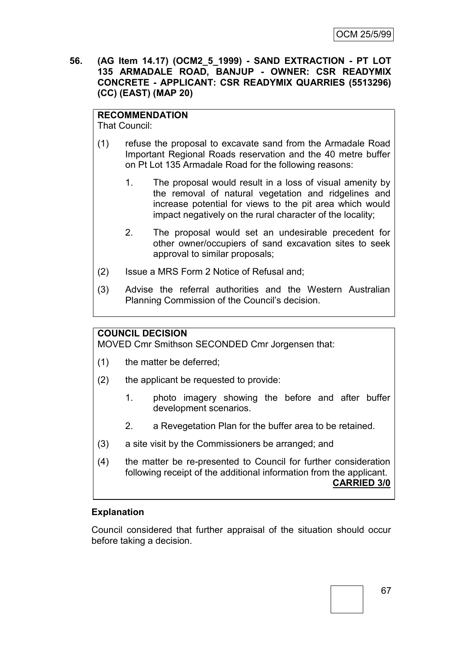**56. (AG Item 14.17) (OCM2\_5\_1999) - SAND EXTRACTION - PT LOT 135 ARMADALE ROAD, BANJUP - OWNER: CSR READYMIX CONCRETE - APPLICANT: CSR READYMIX QUARRIES (5513296) (CC) (EAST) (MAP 20)**

# **RECOMMENDATION**

That Council:

- (1) refuse the proposal to excavate sand from the Armadale Road Important Regional Roads reservation and the 40 metre buffer on Pt Lot 135 Armadale Road for the following reasons:
	- 1. The proposal would result in a loss of visual amenity by the removal of natural vegetation and ridgelines and increase potential for views to the pit area which would impact negatively on the rural character of the locality;
	- 2. The proposal would set an undesirable precedent for other owner/occupiers of sand excavation sites to seek approval to similar proposals;
- (2) Issue a MRS Form 2 Notice of Refusal and;
- (3) Advise the referral authorities and the Western Australian Planning Commission of the Council"s decision.

## **COUNCIL DECISION**

MOVED Cmr Smithson SECONDED Cmr Jorgensen that:

- (1) the matter be deferred;
- (2) the applicant be requested to provide:
	- 1. photo imagery showing the before and after buffer development scenarios.
	- 2. a Revegetation Plan for the buffer area to be retained.
- (3) a site visit by the Commissioners be arranged; and
- (4) the matter be re-presented to Council for further consideration following receipt of the additional information from the applicant. **CARRIED 3/0**

## **Explanation**

Council considered that further appraisal of the situation should occur before taking a decision.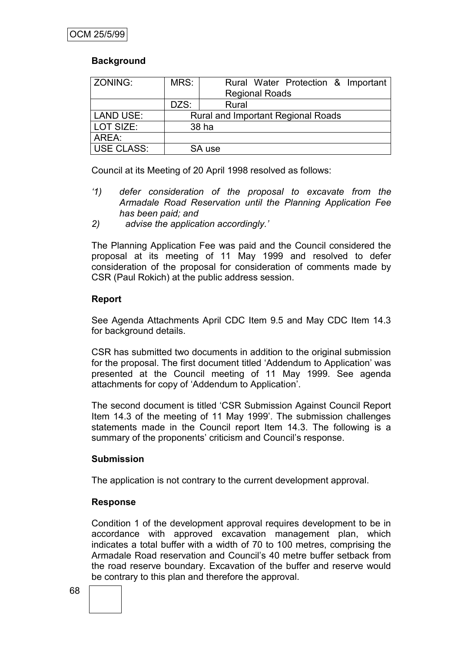## **Background**

| ZONING:           | MRS:                                      | Rural Water Protection & Important |  |
|-------------------|-------------------------------------------|------------------------------------|--|
|                   |                                           | <b>Regional Roads</b>              |  |
|                   | DZS:                                      | Rural                              |  |
| <b>LAND USE:</b>  | <b>Rural and Important Regional Roads</b> |                                    |  |
| LOT SIZE:         | 38 ha                                     |                                    |  |
| AREA:             |                                           |                                    |  |
| <b>USE CLASS:</b> |                                           | SA use                             |  |

Council at its Meeting of 20 April 1998 resolved as follows:

- *'1) defer consideration of the proposal to excavate from the Armadale Road Reservation until the Planning Application Fee has been paid; and*
- *2) advise the application accordingly.'*

The Planning Application Fee was paid and the Council considered the proposal at its meeting of 11 May 1999 and resolved to defer consideration of the proposal for consideration of comments made by CSR (Paul Rokich) at the public address session.

## **Report**

See Agenda Attachments April CDC Item 9.5 and May CDC Item 14.3 for background details.

CSR has submitted two documents in addition to the original submission for the proposal. The first document titled "Addendum to Application" was presented at the Council meeting of 11 May 1999. See agenda attachments for copy of "Addendum to Application".

The second document is titled "CSR Submission Against Council Report Item 14.3 of the meeting of 11 May 1999'. The submission challenges statements made in the Council report Item 14.3. The following is a summary of the proponents' criticism and Council's response.

## **Submission**

The application is not contrary to the current development approval.

## **Response**

Condition 1 of the development approval requires development to be in accordance with approved excavation management plan, which indicates a total buffer with a width of 70 to 100 metres, comprising the Armadale Road reservation and Council"s 40 metre buffer setback from the road reserve boundary. Excavation of the buffer and reserve would be contrary to this plan and therefore the approval.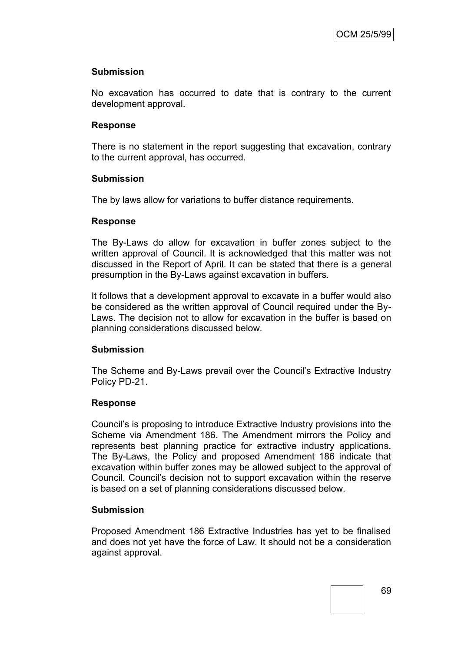#### **Submission**

No excavation has occurred to date that is contrary to the current development approval.

#### **Response**

There is no statement in the report suggesting that excavation, contrary to the current approval, has occurred.

#### **Submission**

The by laws allow for variations to buffer distance requirements.

#### **Response**

The By-Laws do allow for excavation in buffer zones subject to the written approval of Council. It is acknowledged that this matter was not discussed in the Report of April. It can be stated that there is a general presumption in the By-Laws against excavation in buffers.

It follows that a development approval to excavate in a buffer would also be considered as the written approval of Council required under the By-Laws. The decision not to allow for excavation in the buffer is based on planning considerations discussed below.

### **Submission**

The Scheme and By-Laws prevail over the Council"s Extractive Industry Policy PD-21.

### **Response**

Council"s is proposing to introduce Extractive Industry provisions into the Scheme via Amendment 186. The Amendment mirrors the Policy and represents best planning practice for extractive industry applications. The By-Laws, the Policy and proposed Amendment 186 indicate that excavation within buffer zones may be allowed subject to the approval of Council. Council"s decision not to support excavation within the reserve is based on a set of planning considerations discussed below.

### **Submission**

Proposed Amendment 186 Extractive Industries has yet to be finalised and does not yet have the force of Law. It should not be a consideration against approval.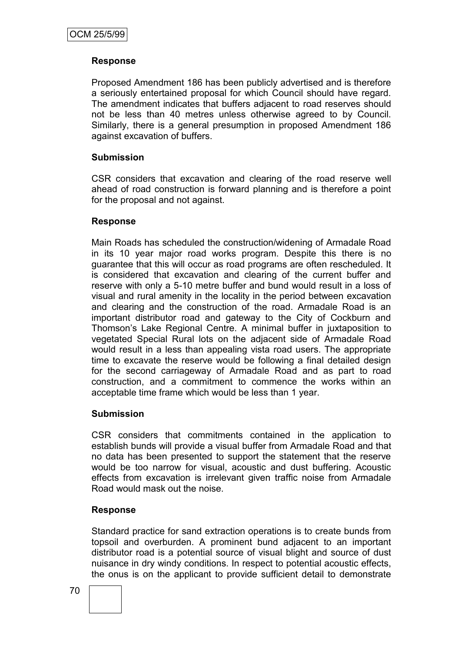### **Response**

Proposed Amendment 186 has been publicly advertised and is therefore a seriously entertained proposal for which Council should have regard. The amendment indicates that buffers adjacent to road reserves should not be less than 40 metres unless otherwise agreed to by Council. Similarly, there is a general presumption in proposed Amendment 186 against excavation of buffers.

#### **Submission**

CSR considers that excavation and clearing of the road reserve well ahead of road construction is forward planning and is therefore a point for the proposal and not against.

#### **Response**

Main Roads has scheduled the construction/widening of Armadale Road in its 10 year major road works program. Despite this there is no guarantee that this will occur as road programs are often rescheduled. It is considered that excavation and clearing of the current buffer and reserve with only a 5-10 metre buffer and bund would result in a loss of visual and rural amenity in the locality in the period between excavation and clearing and the construction of the road. Armadale Road is an important distributor road and gateway to the City of Cockburn and Thomson"s Lake Regional Centre. A minimal buffer in juxtaposition to vegetated Special Rural lots on the adjacent side of Armadale Road would result in a less than appealing vista road users. The appropriate time to excavate the reserve would be following a final detailed design for the second carriageway of Armadale Road and as part to road construction, and a commitment to commence the works within an acceptable time frame which would be less than 1 year.

#### **Submission**

CSR considers that commitments contained in the application to establish bunds will provide a visual buffer from Armadale Road and that no data has been presented to support the statement that the reserve would be too narrow for visual, acoustic and dust buffering. Acoustic effects from excavation is irrelevant given traffic noise from Armadale Road would mask out the noise.

### **Response**

Standard practice for sand extraction operations is to create bunds from topsoil and overburden. A prominent bund adjacent to an important distributor road is a potential source of visual blight and source of dust nuisance in dry windy conditions. In respect to potential acoustic effects, the onus is on the applicant to provide sufficient detail to demonstrate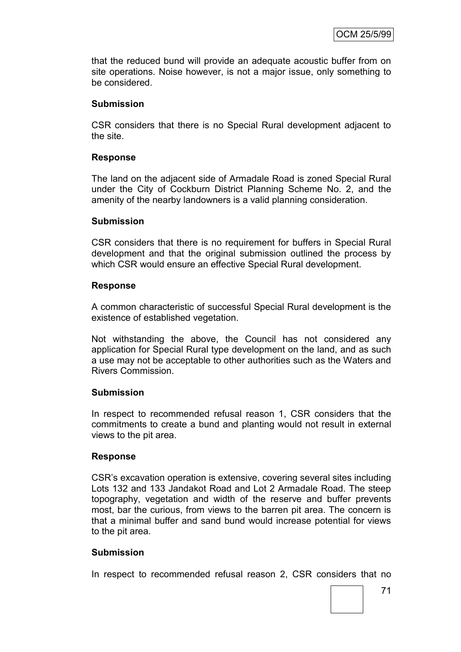that the reduced bund will provide an adequate acoustic buffer from on site operations. Noise however, is not a major issue, only something to be considered.

#### **Submission**

CSR considers that there is no Special Rural development adjacent to the site.

#### **Response**

The land on the adjacent side of Armadale Road is zoned Special Rural under the City of Cockburn District Planning Scheme No. 2, and the amenity of the nearby landowners is a valid planning consideration.

#### **Submission**

CSR considers that there is no requirement for buffers in Special Rural development and that the original submission outlined the process by which CSR would ensure an effective Special Rural development.

#### **Response**

A common characteristic of successful Special Rural development is the existence of established vegetation.

Not withstanding the above, the Council has not considered any application for Special Rural type development on the land, and as such a use may not be acceptable to other authorities such as the Waters and Rivers Commission.

### **Submission**

In respect to recommended refusal reason 1, CSR considers that the commitments to create a bund and planting would not result in external views to the pit area.

### **Response**

CSR"s excavation operation is extensive, covering several sites including Lots 132 and 133 Jandakot Road and Lot 2 Armadale Road. The steep topography, vegetation and width of the reserve and buffer prevents most, bar the curious, from views to the barren pit area. The concern is that a minimal buffer and sand bund would increase potential for views to the pit area.

### **Submission**

In respect to recommended refusal reason 2, CSR considers that no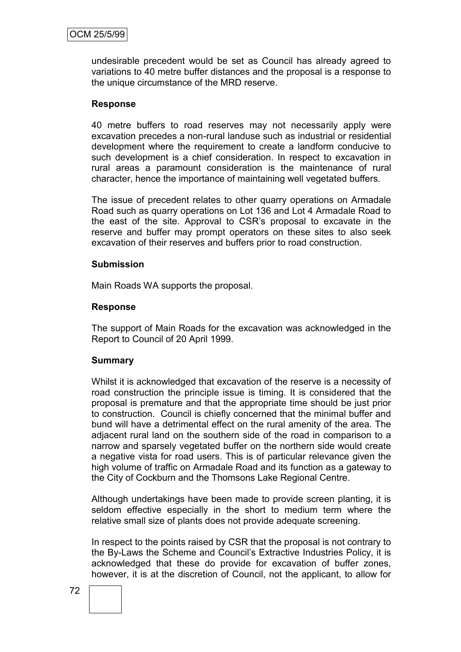undesirable precedent would be set as Council has already agreed to variations to 40 metre buffer distances and the proposal is a response to the unique circumstance of the MRD reserve.

#### **Response**

40 metre buffers to road reserves may not necessarily apply were excavation precedes a non-rural landuse such as industrial or residential development where the requirement to create a landform conducive to such development is a chief consideration. In respect to excavation in rural areas a paramount consideration is the maintenance of rural character, hence the importance of maintaining well vegetated buffers.

The issue of precedent relates to other quarry operations on Armadale Road such as quarry operations on Lot 136 and Lot 4 Armadale Road to the east of the site. Approval to CSR"s proposal to excavate in the reserve and buffer may prompt operators on these sites to also seek excavation of their reserves and buffers prior to road construction.

#### **Submission**

Main Roads WA supports the proposal.

#### **Response**

The support of Main Roads for the excavation was acknowledged in the Report to Council of 20 April 1999.

### **Summary**

Whilst it is acknowledged that excavation of the reserve is a necessity of road construction the principle issue is timing. It is considered that the proposal is premature and that the appropriate time should be just prior to construction. Council is chiefly concerned that the minimal buffer and bund will have a detrimental effect on the rural amenity of the area. The adjacent rural land on the southern side of the road in comparison to a narrow and sparsely vegetated buffer on the northern side would create a negative vista for road users. This is of particular relevance given the high volume of traffic on Armadale Road and its function as a gateway to the City of Cockburn and the Thomsons Lake Regional Centre.

Although undertakings have been made to provide screen planting, it is seldom effective especially in the short to medium term where the relative small size of plants does not provide adequate screening.

In respect to the points raised by CSR that the proposal is not contrary to the By-Laws the Scheme and Council"s Extractive Industries Policy, it is acknowledged that these do provide for excavation of buffer zones, however, it is at the discretion of Council, not the applicant, to allow for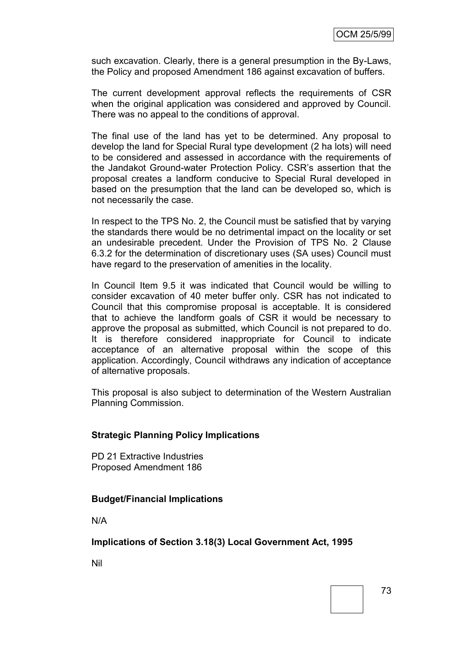such excavation. Clearly, there is a general presumption in the By-Laws, the Policy and proposed Amendment 186 against excavation of buffers.

The current development approval reflects the requirements of CSR when the original application was considered and approved by Council. There was no appeal to the conditions of approval.

The final use of the land has yet to be determined. Any proposal to develop the land for Special Rural type development (2 ha lots) will need to be considered and assessed in accordance with the requirements of the Jandakot Ground-water Protection Policy. CSR"s assertion that the proposal creates a landform conducive to Special Rural developed in based on the presumption that the land can be developed so, which is not necessarily the case.

In respect to the TPS No. 2, the Council must be satisfied that by varying the standards there would be no detrimental impact on the locality or set an undesirable precedent. Under the Provision of TPS No. 2 Clause 6.3.2 for the determination of discretionary uses (SA uses) Council must have regard to the preservation of amenities in the locality.

In Council Item 9.5 it was indicated that Council would be willing to consider excavation of 40 meter buffer only. CSR has not indicated to Council that this compromise proposal is acceptable. It is considered that to achieve the landform goals of CSR it would be necessary to approve the proposal as submitted, which Council is not prepared to do. It is therefore considered inappropriate for Council to indicate acceptance of an alternative proposal within the scope of this application. Accordingly, Council withdraws any indication of acceptance of alternative proposals.

This proposal is also subject to determination of the Western Australian Planning Commission.

### **Strategic Planning Policy Implications**

PD 21 Extractive Industries Proposed Amendment 186

### **Budget/Financial Implications**

N/A

**Implications of Section 3.18(3) Local Government Act, 1995**

Nil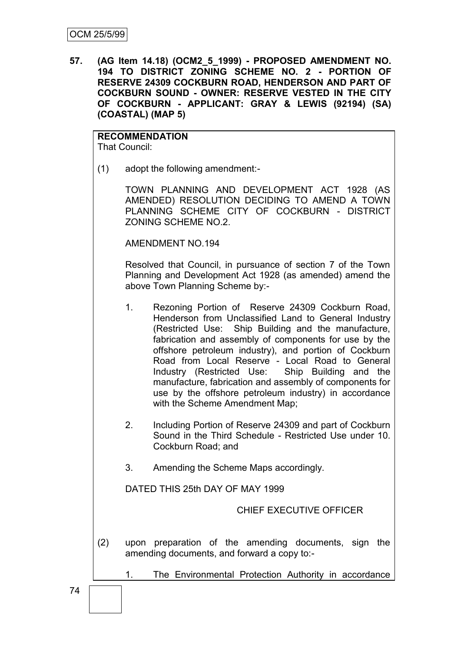**57. (AG Item 14.18) (OCM2\_5\_1999) - PROPOSED AMENDMENT NO. 194 TO DISTRICT ZONING SCHEME NO. 2 - PORTION OF RESERVE 24309 COCKBURN ROAD, HENDERSON AND PART OF COCKBURN SOUND - OWNER: RESERVE VESTED IN THE CITY OF COCKBURN - APPLICANT: GRAY & LEWIS (92194) (SA) (COASTAL) (MAP 5)**

**RECOMMENDATION** That Council:

(1) adopt the following amendment:-

TOWN PLANNING AND DEVELOPMENT ACT 1928 (AS AMENDED) RESOLUTION DECIDING TO AMEND A TOWN PLANNING SCHEME CITY OF COCKBURN - DISTRICT ZONING SCHEME NO.2.

AMENDMENT NO.194

Resolved that Council, in pursuance of section 7 of the Town Planning and Development Act 1928 (as amended) amend the above Town Planning Scheme by:-

- 1. Rezoning Portion of Reserve 24309 Cockburn Road, Henderson from Unclassified Land to General Industry (Restricted Use: Ship Building and the manufacture, fabrication and assembly of components for use by the offshore petroleum industry), and portion of Cockburn Road from Local Reserve - Local Road to General Industry (Restricted Use: Ship Building and the manufacture, fabrication and assembly of components for use by the offshore petroleum industry) in accordance with the Scheme Amendment Map;
- 2. Including Portion of Reserve 24309 and part of Cockburn Sound in the Third Schedule - Restricted Use under 10. Cockburn Road; and
- 3. Amending the Scheme Maps accordingly.

DATED THIS 25th DAY OF MAY 1999

CHIEF EXECUTIVE OFFICER

(2) upon preparation of the amending documents, sign the amending documents, and forward a copy to:-

1. The Environmental Protection Authority in accordance

74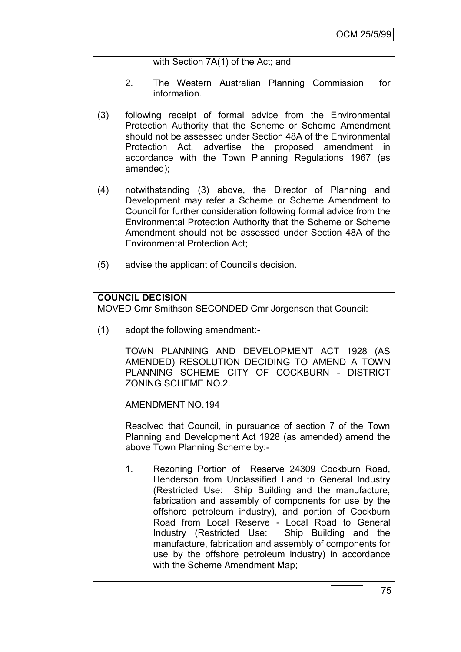### with Section 7A(1) of the Act; and

- 2. The Western Australian Planning Commission for information.
- (3) following receipt of formal advice from the Environmental Protection Authority that the Scheme or Scheme Amendment should not be assessed under Section 48A of the Environmental Protection Act, advertise the proposed amendment in accordance with the Town Planning Regulations 1967 (as amended);
- (4) notwithstanding (3) above, the Director of Planning and Development may refer a Scheme or Scheme Amendment to Council for further consideration following formal advice from the Environmental Protection Authority that the Scheme or Scheme Amendment should not be assessed under Section 48A of the Environmental Protection Act;
- (5) advise the applicant of Council's decision.

## **COUNCIL DECISION**

MOVED Cmr Smithson SECONDED Cmr Jorgensen that Council:

(1) adopt the following amendment:-

TOWN PLANNING AND DEVELOPMENT ACT 1928 (AS AMENDED) RESOLUTION DECIDING TO AMEND A TOWN PLANNING SCHEME CITY OF COCKBURN - DISTRICT ZONING SCHEME NO.2.

AMENDMENT NO.194

Resolved that Council, in pursuance of section 7 of the Town Planning and Development Act 1928 (as amended) amend the above Town Planning Scheme by:-

1. Rezoning Portion of Reserve 24309 Cockburn Road, Henderson from Unclassified Land to General Industry (Restricted Use: Ship Building and the manufacture, fabrication and assembly of components for use by the offshore petroleum industry), and portion of Cockburn Road from Local Reserve - Local Road to General Industry (Restricted Use: Ship Building and the manufacture, fabrication and assembly of components for use by the offshore petroleum industry) in accordance with the Scheme Amendment Map: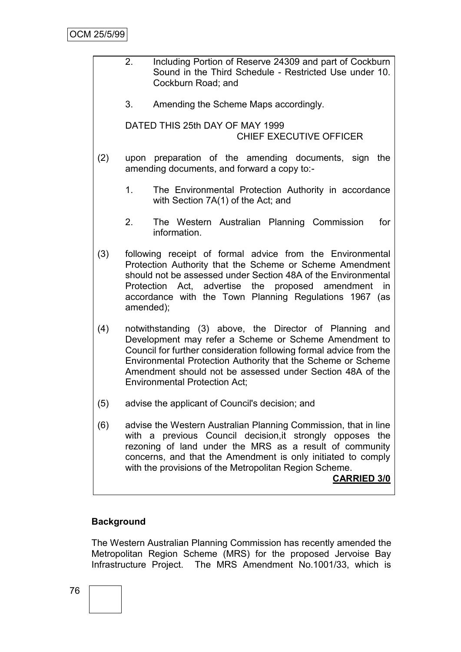- 2. Including Portion of Reserve 24309 and part of Cockburn Sound in the Third Schedule - Restricted Use under 10. Cockburn Road; and
	- 3. Amending the Scheme Maps accordingly.

DATED THIS 25th DAY OF MAY 1999 CHIEF EXECUTIVE OFFICER

- (2) upon preparation of the amending documents, sign the amending documents, and forward a copy to:-
	- 1. The Environmental Protection Authority in accordance with Section 7A(1) of the Act; and
	- 2. The Western Australian Planning Commission for information.
- (3) following receipt of formal advice from the Environmental Protection Authority that the Scheme or Scheme Amendment should not be assessed under Section 48A of the Environmental Protection Act, advertise the proposed amendment in accordance with the Town Planning Regulations 1967 (as amended);
- (4) notwithstanding (3) above, the Director of Planning and Development may refer a Scheme or Scheme Amendment to Council for further consideration following formal advice from the Environmental Protection Authority that the Scheme or Scheme Amendment should not be assessed under Section 48A of the Environmental Protection Act;
- (5) advise the applicant of Council's decision; and
- (6) advise the Western Australian Planning Commission, that in line with a previous Council decision,it strongly opposes the rezoning of land under the MRS as a result of community concerns, and that the Amendment is only initiated to comply with the provisions of the Metropolitan Region Scheme.

**CARRIED 3/0**

### **Background**

The Western Australian Planning Commission has recently amended the Metropolitan Region Scheme (MRS) for the proposed Jervoise Bay Infrastructure Project. The MRS Amendment No.1001/33, which is

76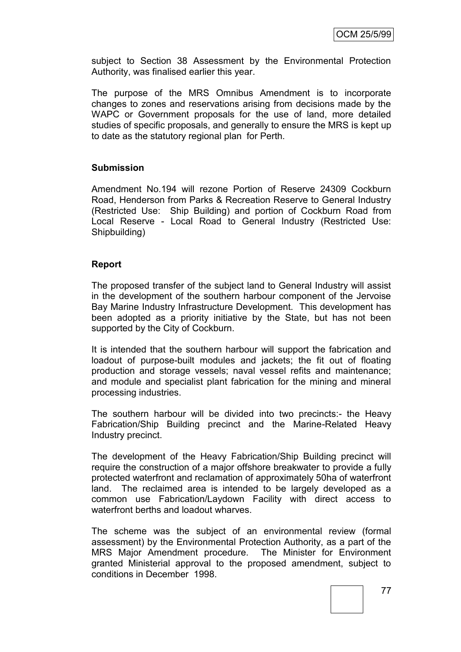subject to Section 38 Assessment by the Environmental Protection Authority, was finalised earlier this year.

The purpose of the MRS Omnibus Amendment is to incorporate changes to zones and reservations arising from decisions made by the WAPC or Government proposals for the use of land, more detailed studies of specific proposals, and generally to ensure the MRS is kept up to date as the statutory regional plan for Perth.

### **Submission**

Amendment No.194 will rezone Portion of Reserve 24309 Cockburn Road, Henderson from Parks & Recreation Reserve to General Industry (Restricted Use: Ship Building) and portion of Cockburn Road from Local Reserve - Local Road to General Industry (Restricted Use: Shipbuilding)

### **Report**

The proposed transfer of the subject land to General Industry will assist in the development of the southern harbour component of the Jervoise Bay Marine Industry Infrastructure Development. This development has been adopted as a priority initiative by the State, but has not been supported by the City of Cockburn.

It is intended that the southern harbour will support the fabrication and loadout of purpose-built modules and jackets; the fit out of floating production and storage vessels; naval vessel refits and maintenance; and module and specialist plant fabrication for the mining and mineral processing industries.

The southern harbour will be divided into two precincts:- the Heavy Fabrication/Ship Building precinct and the Marine-Related Heavy Industry precinct.

The development of the Heavy Fabrication/Ship Building precinct will require the construction of a major offshore breakwater to provide a fully protected waterfront and reclamation of approximately 50ha of waterfront land. The reclaimed area is intended to be largely developed as a common use Fabrication/Laydown Facility with direct access to waterfront berths and loadout wharves.

The scheme was the subject of an environmental review (formal assessment) by the Environmental Protection Authority, as a part of the MRS Major Amendment procedure. The Minister for Environment granted Ministerial approval to the proposed amendment, subject to conditions in December 1998.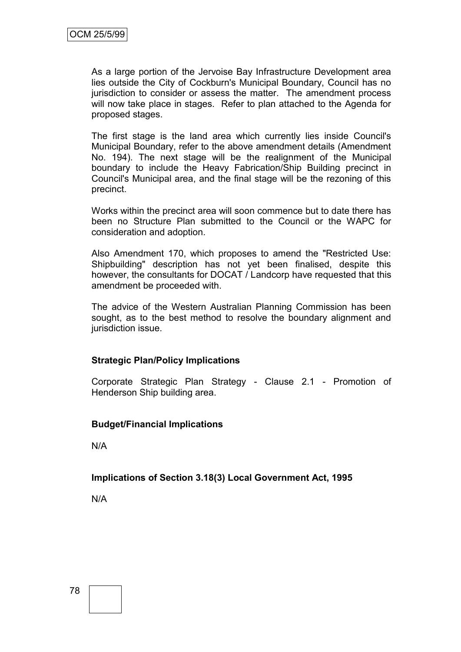As a large portion of the Jervoise Bay Infrastructure Development area lies outside the City of Cockburn's Municipal Boundary, Council has no jurisdiction to consider or assess the matter. The amendment process will now take place in stages. Refer to plan attached to the Agenda for proposed stages.

The first stage is the land area which currently lies inside Council's Municipal Boundary, refer to the above amendment details (Amendment No. 194). The next stage will be the realignment of the Municipal boundary to include the Heavy Fabrication/Ship Building precinct in Council's Municipal area, and the final stage will be the rezoning of this precinct.

Works within the precinct area will soon commence but to date there has been no Structure Plan submitted to the Council or the WAPC for consideration and adoption.

Also Amendment 170, which proposes to amend the "Restricted Use: Shipbuilding" description has not yet been finalised, despite this however, the consultants for DOCAT / Landcorp have requested that this amendment be proceeded with.

The advice of the Western Australian Planning Commission has been sought, as to the best method to resolve the boundary alignment and jurisdiction issue.

### **Strategic Plan/Policy Implications**

Corporate Strategic Plan Strategy - Clause 2.1 - Promotion of Henderson Ship building area.

### **Budget/Financial Implications**

N/A

### **Implications of Section 3.18(3) Local Government Act, 1995**

N/A

78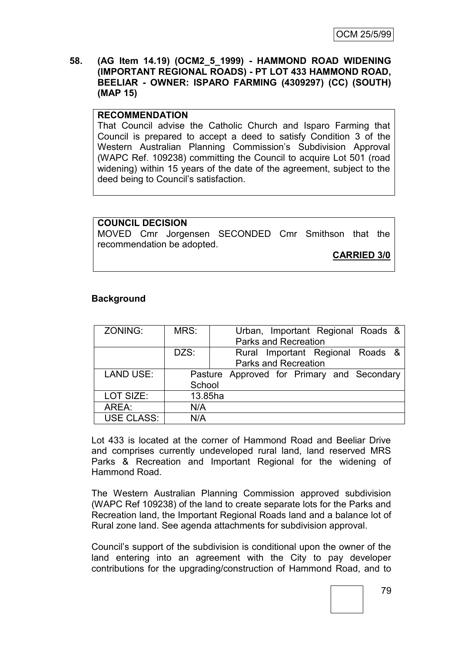#### **58. (AG Item 14.19) (OCM2\_5\_1999) - HAMMOND ROAD WIDENING (IMPORTANT REGIONAL ROADS) - PT LOT 433 HAMMOND ROAD, BEELIAR - OWNER: ISPARO FARMING (4309297) (CC) (SOUTH) (MAP 15)**

#### **RECOMMENDATION**

That Council advise the Catholic Church and Isparo Farming that Council is prepared to accept a deed to satisfy Condition 3 of the Western Australian Planning Commission"s Subdivision Approval (WAPC Ref. 109238) committing the Council to acquire Lot 501 (road widening) within 15 years of the date of the agreement, subject to the deed being to Council's satisfaction.

**COUNCIL DECISION** MOVED Cmr Jorgensen SECONDED Cmr Smithson that the recommendation be adopted. **CARRIED 3/0**

#### **Background**

| ZONING:           | MRS:                        |  |  |  |  |  | Urban, Important Regional Roads &          |  |
|-------------------|-----------------------------|--|--|--|--|--|--------------------------------------------|--|
|                   | <b>Parks and Recreation</b> |  |  |  |  |  |                                            |  |
|                   | DZS:                        |  |  |  |  |  | Rural Important Regional Roads &           |  |
|                   | <b>Parks and Recreation</b> |  |  |  |  |  |                                            |  |
| <b>LAND USE:</b>  |                             |  |  |  |  |  | Pasture Approved for Primary and Secondary |  |
|                   | School                      |  |  |  |  |  |                                            |  |
| LOT SIZE:         | 13.85ha                     |  |  |  |  |  |                                            |  |
| AREA:             | N/A                         |  |  |  |  |  |                                            |  |
| <b>USE CLASS:</b> | N/A                         |  |  |  |  |  |                                            |  |

Lot 433 is located at the corner of Hammond Road and Beeliar Drive and comprises currently undeveloped rural land, land reserved MRS Parks & Recreation and Important Regional for the widening of Hammond Road.

The Western Australian Planning Commission approved subdivision (WAPC Ref 109238) of the land to create separate lots for the Parks and Recreation land, the Important Regional Roads land and a balance lot of Rural zone land. See agenda attachments for subdivision approval.

Council"s support of the subdivision is conditional upon the owner of the land entering into an agreement with the City to pay developer contributions for the upgrading/construction of Hammond Road, and to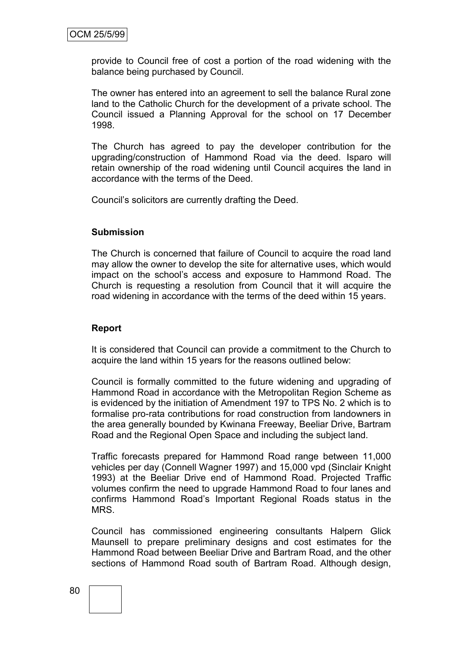provide to Council free of cost a portion of the road widening with the balance being purchased by Council.

The owner has entered into an agreement to sell the balance Rural zone land to the Catholic Church for the development of a private school. The Council issued a Planning Approval for the school on 17 December 1998.

The Church has agreed to pay the developer contribution for the upgrading/construction of Hammond Road via the deed. Isparo will retain ownership of the road widening until Council acquires the land in accordance with the terms of the Deed.

Council"s solicitors are currently drafting the Deed.

#### **Submission**

The Church is concerned that failure of Council to acquire the road land may allow the owner to develop the site for alternative uses, which would impact on the school"s access and exposure to Hammond Road. The Church is requesting a resolution from Council that it will acquire the road widening in accordance with the terms of the deed within 15 years.

#### **Report**

It is considered that Council can provide a commitment to the Church to acquire the land within 15 years for the reasons outlined below:

Council is formally committed to the future widening and upgrading of Hammond Road in accordance with the Metropolitan Region Scheme as is evidenced by the initiation of Amendment 197 to TPS No. 2 which is to formalise pro-rata contributions for road construction from landowners in the area generally bounded by Kwinana Freeway, Beeliar Drive, Bartram Road and the Regional Open Space and including the subject land.

Traffic forecasts prepared for Hammond Road range between 11,000 vehicles per day (Connell Wagner 1997) and 15,000 vpd (Sinclair Knight 1993) at the Beeliar Drive end of Hammond Road. Projected Traffic volumes confirm the need to upgrade Hammond Road to four lanes and confirms Hammond Road"s Important Regional Roads status in the MRS.

Council has commissioned engineering consultants Halpern Glick Maunsell to prepare preliminary designs and cost estimates for the Hammond Road between Beeliar Drive and Bartram Road, and the other sections of Hammond Road south of Bartram Road. Although design,

#### 80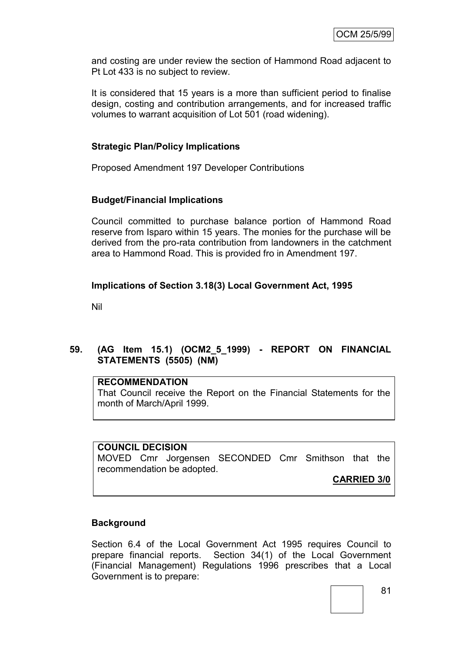and costing are under review the section of Hammond Road adjacent to Pt Lot 433 is no subject to review.

It is considered that 15 years is a more than sufficient period to finalise design, costing and contribution arrangements, and for increased traffic volumes to warrant acquisition of Lot 501 (road widening).

### **Strategic Plan/Policy Implications**

Proposed Amendment 197 Developer Contributions

### **Budget/Financial Implications**

Council committed to purchase balance portion of Hammond Road reserve from Isparo within 15 years. The monies for the purchase will be derived from the pro-rata contribution from landowners in the catchment area to Hammond Road. This is provided fro in Amendment 197.

### **Implications of Section 3.18(3) Local Government Act, 1995**

Nil

### **59. (AG Item 15.1) (OCM2\_5\_1999) - REPORT ON FINANCIAL STATEMENTS (5505) (NM)**

#### **RECOMMENDATION**

That Council receive the Report on the Financial Statements for the month of March/April 1999.

### **COUNCIL DECISION**

MOVED Cmr Jorgensen SECONDED Cmr Smithson that the recommendation be adopted.

**CARRIED 3/0**

### **Background**

Section 6.4 of the Local Government Act 1995 requires Council to prepare financial reports. Section 34(1) of the Local Government (Financial Management) Regulations 1996 prescribes that a Local Government is to prepare: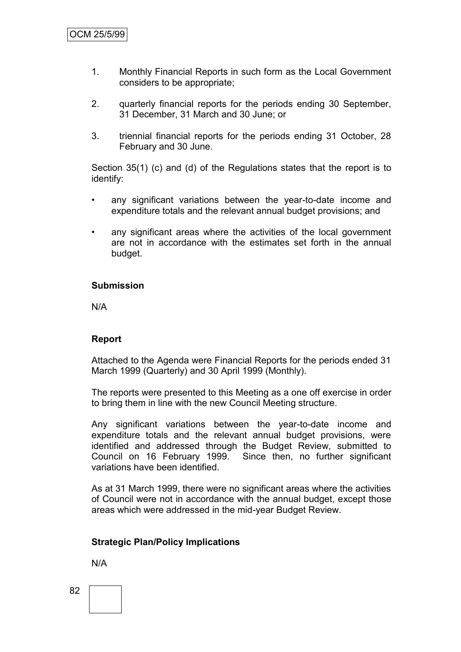- 1. Monthly Financial Reports in such form as the Local Government considers to be appropriate;
- 2. quarterly financial reports for the periods ending 30 September, 31 December, 31 March and 30 June; or
- 3. triennial financial reports for the periods ending 31 October, 28 February and 30 June.

Section 35(1) (c) and (d) of the Regulations states that the report is to identify:

- any significant variations between the year-to-date income and expenditure totals and the relevant annual budget provisions; and
- any significant areas where the activities of the local government are not in accordance with the estimates set forth in the annual budget.

#### **Submission**

N/A

#### **Report**

Attached to the Agenda were Financial Reports for the periods ended 31 March 1999 (Quarterly) and 30 April 1999 (Monthly).

The reports were presented to this Meeting as a one off exercise in order to bring them in line with the new Council Meeting structure.

Any significant variations between the year-to-date income and expenditure totals and the relevant annual budget provisions, were identified and addressed through the Budget Review, submitted to Council on 16 February 1999. Since then, no further significant variations have been identified.

As at 31 March 1999, there were no significant areas where the activities of Council were not in accordance with the annual budget, except those areas which were addressed in the mid-year Budget Review.

### **Strategic Plan/Policy Implications**

N/A

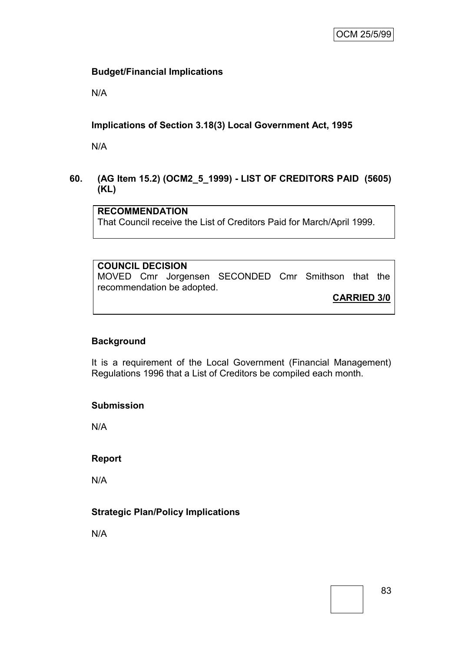### **Budget/Financial Implications**

N/A

### **Implications of Section 3.18(3) Local Government Act, 1995**

N/A

### **60. (AG Item 15.2) (OCM2\_5\_1999) - LIST OF CREDITORS PAID (5605) (KL)**

## **RECOMMENDATION**

That Council receive the List of Creditors Paid for March/April 1999.

## **COUNCIL DECISION**

MOVED Cmr Jorgensen SECONDED Cmr Smithson that the recommendation be adopted.

**CARRIED 3/0**

### **Background**

It is a requirement of the Local Government (Financial Management) Regulations 1996 that a List of Creditors be compiled each month.

### **Submission**

N/A

### **Report**

N/A

### **Strategic Plan/Policy Implications**

N/A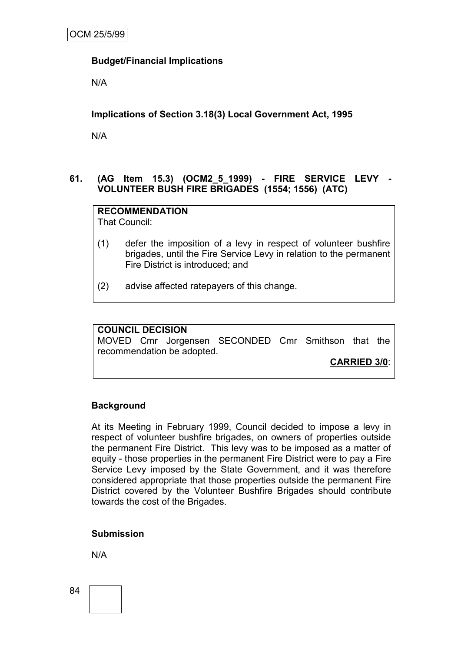### **Budget/Financial Implications**

N/A

### **Implications of Section 3.18(3) Local Government Act, 1995**

N/A

### **61. (AG Item 15.3) (OCM2\_5\_1999) - FIRE SERVICE LEVY - VOLUNTEER BUSH FIRE BRIGADES (1554; 1556) (ATC)**

**RECOMMENDATION** That Council:

- (1) defer the imposition of a levy in respect of volunteer bushfire brigades, until the Fire Service Levy in relation to the permanent Fire District is introduced; and
- (2) advise affected ratepayers of this change.

#### **COUNCIL DECISION**

MOVED Cmr Jorgensen SECONDED Cmr Smithson that the recommendation be adopted.

**CARRIED 3/0**:

### **Background**

At its Meeting in February 1999, Council decided to impose a levy in respect of volunteer bushfire brigades, on owners of properties outside the permanent Fire District. This levy was to be imposed as a matter of equity - those properties in the permanent Fire District were to pay a Fire Service Levy imposed by the State Government, and it was therefore considered appropriate that those properties outside the permanent Fire District covered by the Volunteer Bushfire Brigades should contribute towards the cost of the Brigades.

### **Submission**

N/A

84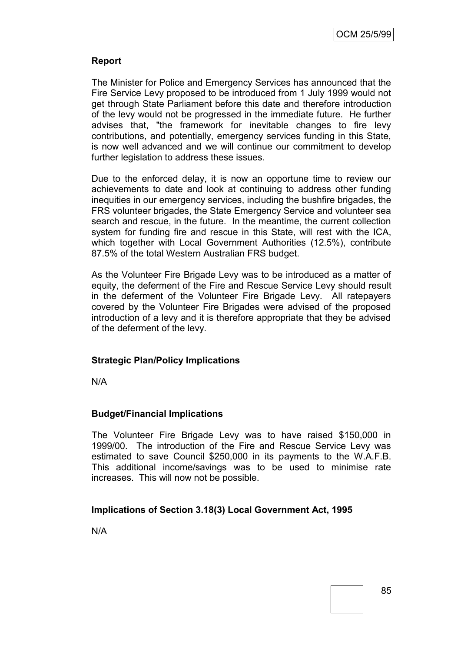### **Report**

The Minister for Police and Emergency Services has announced that the Fire Service Levy proposed to be introduced from 1 July 1999 would not get through State Parliament before this date and therefore introduction of the levy would not be progressed in the immediate future. He further advises that, "the framework for inevitable changes to fire levy contributions, and potentially, emergency services funding in this State, is now well advanced and we will continue our commitment to develop further legislation to address these issues.

Due to the enforced delay, it is now an opportune time to review our achievements to date and look at continuing to address other funding inequities in our emergency services, including the bushfire brigades, the FRS volunteer brigades, the State Emergency Service and volunteer sea search and rescue, in the future. In the meantime, the current collection system for funding fire and rescue in this State, will rest with the ICA, which together with Local Government Authorities (12.5%), contribute 87.5% of the total Western Australian FRS budget.

As the Volunteer Fire Brigade Levy was to be introduced as a matter of equity, the deferment of the Fire and Rescue Service Levy should result in the deferment of the Volunteer Fire Brigade Levy. All ratepayers covered by the Volunteer Fire Brigades were advised of the proposed introduction of a levy and it is therefore appropriate that they be advised of the deferment of the levy.

### **Strategic Plan/Policy Implications**

N/A

### **Budget/Financial Implications**

The Volunteer Fire Brigade Levy was to have raised \$150,000 in 1999/00. The introduction of the Fire and Rescue Service Levy was estimated to save Council \$250,000 in its payments to the W.A.F.B. This additional income/savings was to be used to minimise rate increases. This will now not be possible.

### **Implications of Section 3.18(3) Local Government Act, 1995**

N/A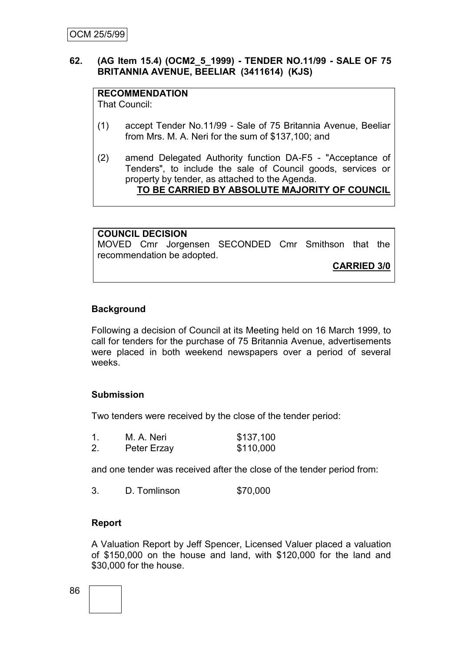### **62. (AG Item 15.4) (OCM2\_5\_1999) - TENDER NO.11/99 - SALE OF 75 BRITANNIA AVENUE, BEELIAR (3411614) (KJS)**

### **RECOMMENDATION**

That Council:

- (1) accept Tender No.11/99 Sale of 75 Britannia Avenue, Beeliar from Mrs. M. A. Neri for the sum of \$137,100; and
- (2) amend Delegated Authority function DA-F5 "Acceptance of Tenders", to include the sale of Council goods, services or property by tender, as attached to the Agenda. **TO BE CARRIED BY ABSOLUTE MAJORITY OF COUNCIL**

**COUNCIL DECISION** MOVED Cmr Jorgensen SECONDED Cmr Smithson that the recommendation be adopted.

**CARRIED 3/0**

### **Background**

Following a decision of Council at its Meeting held on 16 March 1999, to call for tenders for the purchase of 75 Britannia Avenue, advertisements were placed in both weekend newspapers over a period of several weeks.

### **Submission**

Two tenders were received by the close of the tender period:

| $\mathbf 1$ | M. A. Neri  | \$137,100 |
|-------------|-------------|-----------|
| 2.          | Peter Erzay | \$110,000 |

and one tender was received after the close of the tender period from:

3. D. Tomlinson \$70,000

### **Report**

A Valuation Report by Jeff Spencer, Licensed Valuer placed a valuation of \$150,000 on the house and land, with \$120,000 for the land and \$30,000 for the house.

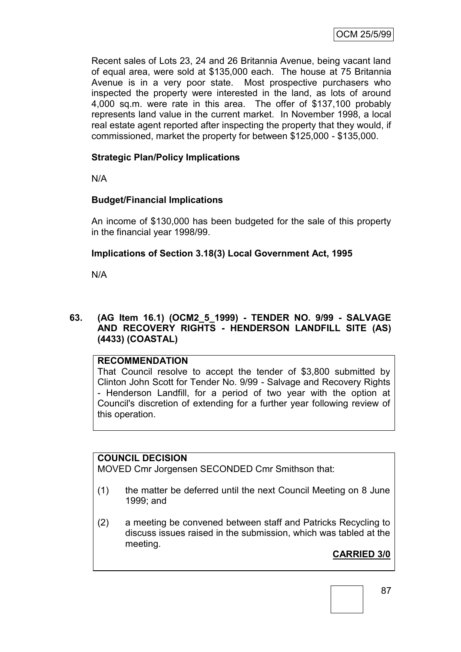Recent sales of Lots 23, 24 and 26 Britannia Avenue, being vacant land of equal area, were sold at \$135,000 each. The house at 75 Britannia Avenue is in a very poor state. Most prospective purchasers who inspected the property were interested in the land, as lots of around 4,000 sq.m. were rate in this area. The offer of \$137,100 probably represents land value in the current market. In November 1998, a local real estate agent reported after inspecting the property that they would, if commissioned, market the property for between \$125,000 - \$135,000.

### **Strategic Plan/Policy Implications**

N/A

### **Budget/Financial Implications**

An income of \$130,000 has been budgeted for the sale of this property in the financial year 1998/99.

### **Implications of Section 3.18(3) Local Government Act, 1995**

N/A

### **63. (AG Item 16.1) (OCM2\_5\_1999) - TENDER NO. 9/99 - SALVAGE AND RECOVERY RIGHTS - HENDERSON LANDFILL SITE (AS) (4433) (COASTAL)**

### **RECOMMENDATION**

That Council resolve to accept the tender of \$3,800 submitted by Clinton John Scott for Tender No. 9/99 - Salvage and Recovery Rights - Henderson Landfill, for a period of two year with the option at Council's discretion of extending for a further year following review of this operation.

### **COUNCIL DECISION**

MOVED Cmr Jorgensen SECONDED Cmr Smithson that:

- (1) the matter be deferred until the next Council Meeting on 8 June 1999; and
- (2) a meeting be convened between staff and Patricks Recycling to discuss issues raised in the submission, which was tabled at the meeting.

## **CARRIED 3/0**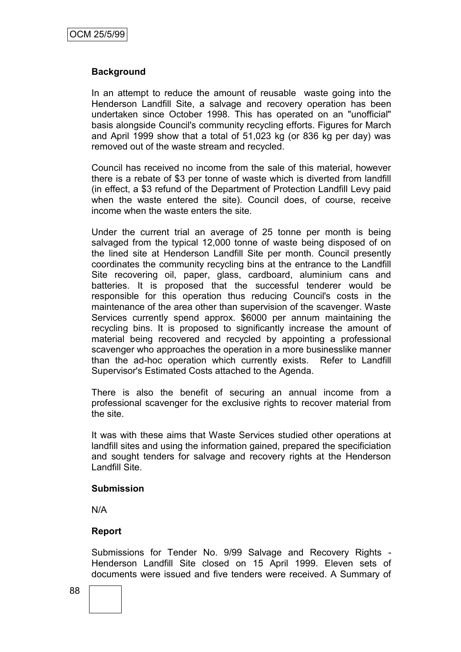### **Background**

In an attempt to reduce the amount of reusable waste going into the Henderson Landfill Site, a salvage and recovery operation has been undertaken since October 1998. This has operated on an "unofficial" basis alongside Council's community recycling efforts. Figures for March and April 1999 show that a total of 51,023 kg (or 836 kg per day) was removed out of the waste stream and recycled.

Council has received no income from the sale of this material, however there is a rebate of \$3 per tonne of waste which is diverted from landfill (in effect, a \$3 refund of the Department of Protection Landfill Levy paid when the waste entered the site). Council does, of course, receive income when the waste enters the site.

Under the current trial an average of 25 tonne per month is being salvaged from the typical 12,000 tonne of waste being disposed of on the lined site at Henderson Landfill Site per month. Council presently coordinates the community recycling bins at the entrance to the Landfill Site recovering oil, paper, glass, cardboard, aluminium cans and batteries. It is proposed that the successful tenderer would be responsible for this operation thus reducing Council's costs in the maintenance of the area other than supervision of the scavenger. Waste Services currently spend approx. \$6000 per annum maintaining the recycling bins. It is proposed to significantly increase the amount of material being recovered and recycled by appointing a professional scavenger who approaches the operation in a more businesslike manner than the ad-hoc operation which currently exists. Refer to Landfill Supervisor's Estimated Costs attached to the Agenda.

There is also the benefit of securing an annual income from a professional scavenger for the exclusive rights to recover material from the site.

It was with these aims that Waste Services studied other operations at landfill sites and using the information gained, prepared the specificiation and sought tenders for salvage and recovery rights at the Henderson Landfill Site.

### **Submission**

N/A

### **Report**

Submissions for Tender No. 9/99 Salvage and Recovery Rights - Henderson Landfill Site closed on 15 April 1999. Eleven sets of documents were issued and five tenders were received. A Summary of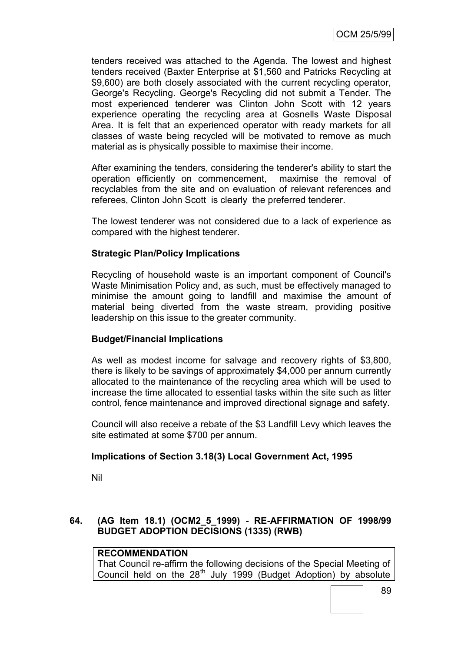tenders received was attached to the Agenda. The lowest and highest tenders received (Baxter Enterprise at \$1,560 and Patricks Recycling at \$9,600) are both closely associated with the current recycling operator, George's Recycling. George's Recycling did not submit a Tender. The most experienced tenderer was Clinton John Scott with 12 years experience operating the recycling area at Gosnells Waste Disposal Area. It is felt that an experienced operator with ready markets for all classes of waste being recycled will be motivated to remove as much material as is physically possible to maximise their income.

After examining the tenders, considering the tenderer's ability to start the operation efficiently on commencement, maximise the removal of recyclables from the site and on evaluation of relevant references and referees, Clinton John Scott is clearly the preferred tenderer.

The lowest tenderer was not considered due to a lack of experience as compared with the highest tenderer.

### **Strategic Plan/Policy Implications**

Recycling of household waste is an important component of Council's Waste Minimisation Policy and, as such, must be effectively managed to minimise the amount going to landfill and maximise the amount of material being diverted from the waste stream, providing positive leadership on this issue to the greater community.

### **Budget/Financial Implications**

As well as modest income for salvage and recovery rights of \$3,800, there is likely to be savings of approximately \$4,000 per annum currently allocated to the maintenance of the recycling area which will be used to increase the time allocated to essential tasks within the site such as litter control, fence maintenance and improved directional signage and safety.

Council will also receive a rebate of the \$3 Landfill Levy which leaves the site estimated at some \$700 per annum.

### **Implications of Section 3.18(3) Local Government Act, 1995**

Nil

### **64. (AG Item 18.1) (OCM2\_5\_1999) - RE-AFFIRMATION OF 1998/99 BUDGET ADOPTION DECISIONS (1335) (RWB)**

### **RECOMMENDATION**

That Council re-affirm the following decisions of the Special Meeting of Council held on the  $28<sup>th</sup>$  July 1999 (Budget Adoption) by absolute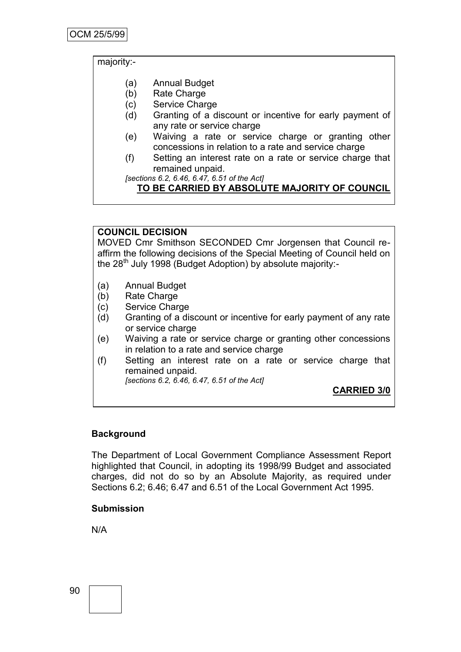majority:-

- (a) Annual Budget
- (b) Rate Charge
- (c) Service Charge
- (d) Granting of a discount or incentive for early payment of any rate or service charge
- (e) Waiving a rate or service charge or granting other concessions in relation to a rate and service charge
- (f) Setting an interest rate on a rate or service charge that remained unpaid.

*[sections 6.2, 6.46, 6.47, 6.51 of the Act]*

### **TO BE CARRIED BY ABSOLUTE MAJORITY OF COUNCIL**

### **COUNCIL DECISION**

MOVED Cmr Smithson SECONDED Cmr Jorgensen that Council reaffirm the following decisions of the Special Meeting of Council held on the  $28<sup>th</sup>$  July 1998 (Budget Adoption) by absolute majority:-

- (a) Annual Budget
- (b) Rate Charge
- (c) Service Charge
- (d) Granting of a discount or incentive for early payment of any rate or service charge
- (e) Waiving a rate or service charge or granting other concessions in relation to a rate and service charge
- (f) Setting an interest rate on a rate or service charge that remained unpaid.

*[sections 6.2, 6.46, 6.47, 6.51 of the Act]*

**CARRIED 3/0**

### **Background**

The Department of Local Government Compliance Assessment Report highlighted that Council, in adopting its 1998/99 Budget and associated charges, did not do so by an Absolute Majority, as required under Sections 6.2; 6.46; 6.47 and 6.51 of the Local Government Act 1995.

#### **Submission**

N/A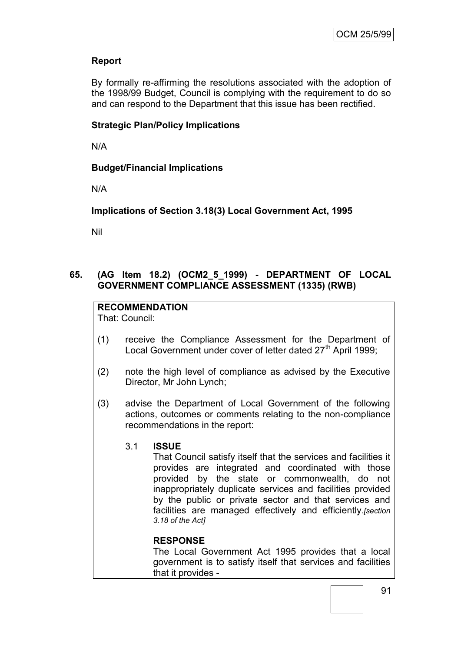### **Report**

By formally re-affirming the resolutions associated with the adoption of the 1998/99 Budget, Council is complying with the requirement to do so and can respond to the Department that this issue has been rectified.

### **Strategic Plan/Policy Implications**

N/A

### **Budget/Financial Implications**

N/A

**Implications of Section 3.18(3) Local Government Act, 1995**

Nil

### **65. (AG Item 18.2) (OCM2\_5\_1999) - DEPARTMENT OF LOCAL GOVERNMENT COMPLIANCE ASSESSMENT (1335) (RWB)**

## **RECOMMENDATION**

That: Council:

- (1) receive the Compliance Assessment for the Department of Local Government under cover of letter dated 27<sup>th</sup> April 1999;
- (2) note the high level of compliance as advised by the Executive Director, Mr John Lynch;
- (3) advise the Department of Local Government of the following actions, outcomes or comments relating to the non-compliance recommendations in the report:

### 3.1 **ISSUE**

That Council satisfy itself that the services and facilities it provides are integrated and coordinated with those provided by the state or commonwealth, do not inappropriately duplicate services and facilities provided by the public or private sector and that services and facilities are managed effectively and efficiently*.[section 3.18 of the Act]*

### **RESPONSE**

The Local Government Act 1995 provides that a local government is to satisfy itself that services and facilities that it provides -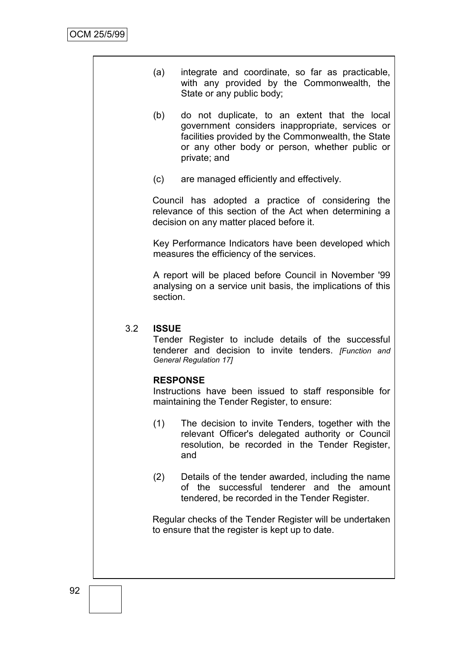| (a) | integrate and coordinate, so far as practicable, |
|-----|--------------------------------------------------|
|     | with any provided by the Commonwealth, the       |
|     | State or any public body;                        |

- (b) do not duplicate, to an extent that the local government considers inappropriate, services or facilities provided by the Commonwealth, the State or any other body or person, whether public or private; and
- (c) are managed efficiently and effectively.

Council has adopted a practice of considering the relevance of this section of the Act when determining a decision on any matter placed before it.

Key Performance Indicators have been developed which measures the efficiency of the services.

A report will be placed before Council in November '99 analysing on a service unit basis, the implications of this section.

### 3.2 **ISSUE**

Tender Register to include details of the successful tenderer and decision to invite tenders. *[Function and General Regulation 17]*

#### **RESPONSE**

Instructions have been issued to staff responsible for maintaining the Tender Register, to ensure:

- (1) The decision to invite Tenders, together with the relevant Officer's delegated authority or Council resolution, be recorded in the Tender Register, and
- (2) Details of the tender awarded, including the name of the successful tenderer and the amount tendered, be recorded in the Tender Register.

Regular checks of the Tender Register will be undertaken to ensure that the register is kept up to date.

92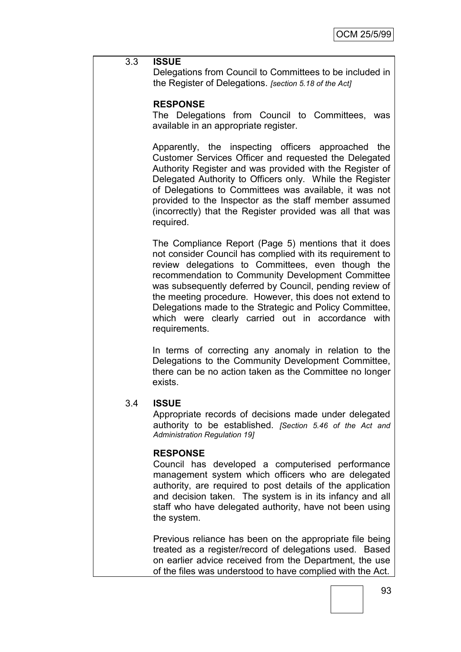### 3.3 **ISSUE**

Delegations from Council to Committees to be included in the Register of Delegations. *[section 5.18 of the Act]*

### **RESPONSE**

The Delegations from Council to Committees, was available in an appropriate register.

Apparently, the inspecting officers approached the Customer Services Officer and requested the Delegated Authority Register and was provided with the Register of Delegated Authority to Officers only. While the Register of Delegations to Committees was available, it was not provided to the Inspector as the staff member assumed (incorrectly) that the Register provided was all that was required.

The Compliance Report (Page 5) mentions that it does not consider Council has complied with its requirement to review delegations to Committees, even though the recommendation to Community Development Committee was subsequently deferred by Council, pending review of the meeting procedure. However, this does not extend to Delegations made to the Strategic and Policy Committee, which were clearly carried out in accordance with requirements.

In terms of correcting any anomaly in relation to the Delegations to the Community Development Committee, there can be no action taken as the Committee no longer exists.

### 3.4 **ISSUE**

Appropriate records of decisions made under delegated authority to be established. *[Section 5.46 of the Act and Administration Regulation 19]*

### **RESPONSE**

Council has developed a computerised performance management system which officers who are delegated authority, are required to post details of the application and decision taken. The system is in its infancy and all staff who have delegated authority, have not been using the system.

Previous reliance has been on the appropriate file being treated as a register/record of delegations used. Based on earlier advice received from the Department, the use of the files was understood to have complied with the Act.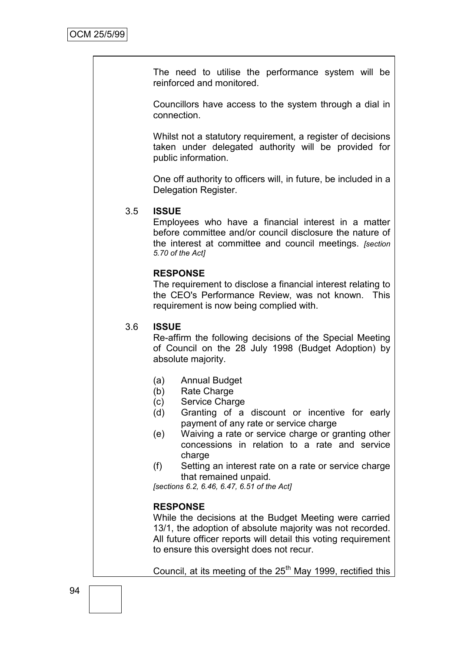The need to utilise the performance system will be reinforced and monitored.

Councillors have access to the system through a dial in connection.

Whilst not a statutory requirement, a register of decisions taken under delegated authority will be provided for public information.

One off authority to officers will, in future, be included in a Delegation Register.

### 3.5 **ISSUE**

Employees who have a financial interest in a matter before committee and/or council disclosure the nature of the interest at committee and council meetings. *[section 5.70 of the Act]*

#### **RESPONSE**

The requirement to disclose a financial interest relating to the CEO's Performance Review, was not known. This requirement is now being complied with.

#### 3.6 **ISSUE**

Re-affirm the following decisions of the Special Meeting of Council on the 28 July 1998 (Budget Adoption) by absolute majority.

- (a) Annual Budget
- (b) Rate Charge
- (c) Service Charge
- (d) Granting of a discount or incentive for early payment of any rate or service charge
- (e) Waiving a rate or service charge or granting other concessions in relation to a rate and service charge
- (f) Setting an interest rate on a rate or service charge that remained unpaid.

*[sections 6.2, 6.46, 6.47, 6.51 of the Act]*

#### **RESPONSE**

While the decisions at the Budget Meeting were carried 13/1, the adoption of absolute majority was not recorded. All future officer reports will detail this voting requirement to ensure this oversight does not recur.

Council, at its meeting of the  $25<sup>th</sup>$  May 1999, rectified this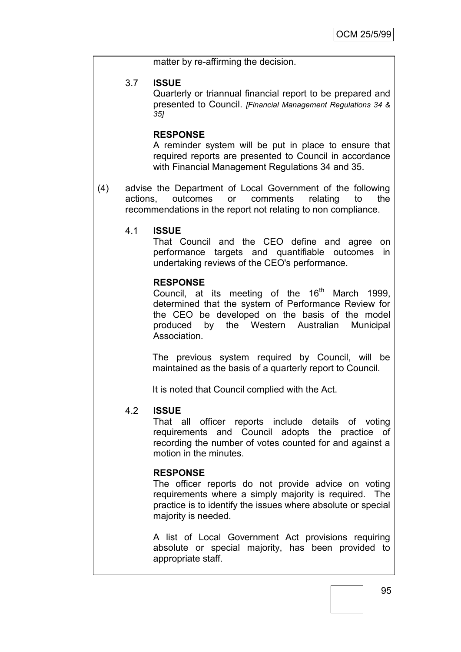matter by re-affirming the decision.

### 3.7 **ISSUE**

Quarterly or triannual financial report to be prepared and presented to Council. *[Financial Management Regulations 34 & 35]*

### **RESPONSE**

A reminder system will be put in place to ensure that required reports are presented to Council in accordance with Financial Management Regulations 34 and 35.

(4) advise the Department of Local Government of the following actions, outcomes or comments relating to the recommendations in the report not relating to non compliance.

### 4.1 **ISSUE**

That Council and the CEO define and agree on performance targets and quantifiable outcomes in undertaking reviews of the CEO's performance.

#### **RESPONSE**

Council, at its meeting of the  $16<sup>th</sup>$  March 1999, determined that the system of Performance Review for the CEO be developed on the basis of the model produced by the Western Australian Municipal Association.

The previous system required by Council, will be maintained as the basis of a quarterly report to Council.

It is noted that Council complied with the Act.

### 4.2 **ISSUE**

That all officer reports include details of voting requirements and Council adopts the practice of recording the number of votes counted for and against a motion in the minutes.

### **RESPONSE**

The officer reports do not provide advice on voting requirements where a simply majority is required. The practice is to identify the issues where absolute or special majority is needed.

A list of Local Government Act provisions requiring absolute or special majority, has been provided to appropriate staff.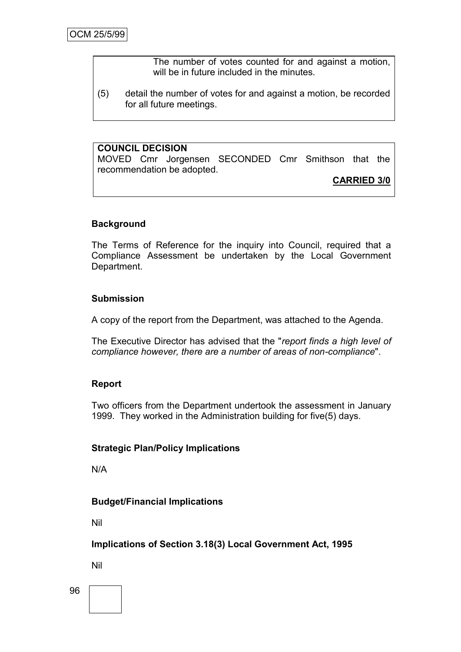The number of votes counted for and against a motion, will be in future included in the minutes.

(5) detail the number of votes for and against a motion, be recorded for all future meetings.

### **COUNCIL DECISION**

MOVED Cmr Jorgensen SECONDED Cmr Smithson that the recommendation be adopted.

**CARRIED 3/0**

### **Background**

The Terms of Reference for the inquiry into Council, required that a Compliance Assessment be undertaken by the Local Government Department.

#### **Submission**

A copy of the report from the Department, was attached to the Agenda.

The Executive Director has advised that the "*report finds a high level of compliance however, there are a number of areas of non-compliance*".

#### **Report**

Two officers from the Department undertook the assessment in January 1999. They worked in the Administration building for five(5) days.

#### **Strategic Plan/Policy Implications**

N/A

### **Budget/Financial Implications**

Nil

**Implications of Section 3.18(3) Local Government Act, 1995**

Nil

96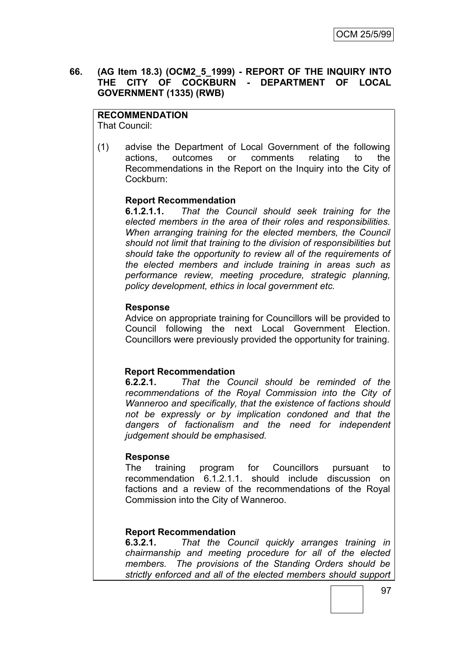### **66. (AG Item 18.3) (OCM2\_5\_1999) - REPORT OF THE INQUIRY INTO THE CITY OF COCKBURN - DEPARTMENT OF LOCAL GOVERNMENT (1335) (RWB)**

### **RECOMMENDATION**

That Council:

(1) advise the Department of Local Government of the following actions, outcomes or comments relating to the Recommendations in the Report on the Inquiry into the City of Cockburn:

### **Report Recommendation**

**6.1.2.1.1.** *That the Council should seek training for the elected members in the area of their roles and responsibilities. When arranging training for the elected members, the Council should not limit that training to the division of responsibilities but should take the opportunity to review all of the requirements of the elected members and include training in areas such as performance review, meeting procedure, strategic planning, policy development, ethics in local government etc.*

### **Response**

Advice on appropriate training for Councillors will be provided to Council following the next Local Government Election. Councillors were previously provided the opportunity for training.

### **Report Recommendation**

**6.2.2.1.** *That the Council should be reminded of the recommendations of the Royal Commission into the City of Wanneroo and specifically, that the existence of factions should not be expressly or by implication condoned and that the dangers of factionalism and the need for independent judgement should be emphasised.*

### **Response**

The training program for Councillors pursuant to recommendation 6.1.2.1.1. should include discussion on factions and a review of the recommendations of the Royal Commission into the City of Wanneroo.

### **Report Recommendation**

**6.3.2.1.** *That the Council quickly arranges training in chairmanship and meeting procedure for all of the elected members. The provisions of the Standing Orders should be strictly enforced and all of the elected members should support*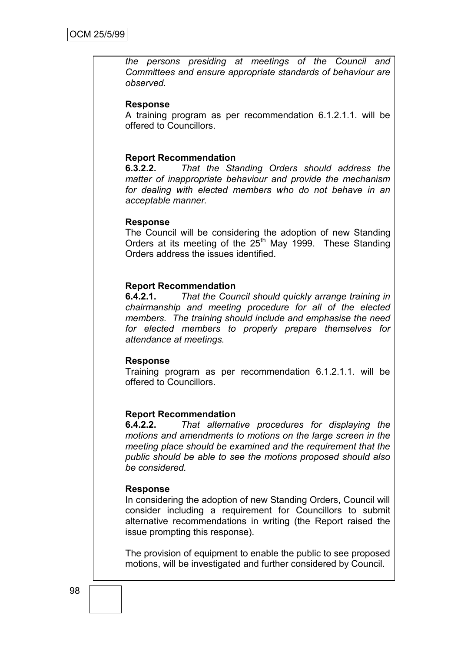*the persons presiding at meetings of the Council and Committees and ensure appropriate standards of behaviour are observed.*

#### **Response**

A training program as per recommendation 6.1.2.1.1. will be offered to Councillors.

#### **Report Recommendation**

**6.3.2.2.** *That the Standing Orders should address the matter of inappropriate behaviour and provide the mechanism for dealing with elected members who do not behave in an acceptable manner.*

#### **Response**

The Council will be considering the adoption of new Standing Orders at its meeting of the  $25<sup>th</sup>$  May 1999. These Standing Orders address the issues identified.

#### **Report Recommendation**

**6.4.2.1.** *That the Council should quickly arrange training in chairmanship and meeting procedure for all of the elected members. The training should include and emphasise the need for elected members to properly prepare themselves for attendance at meetings.*

#### **Response**

Training program as per recommendation 6.1.2.1.1. will be offered to Councillors.

#### **Report Recommendation**

**6.4.2.2.** *That alternative procedures for displaying the motions and amendments to motions on the large screen in the meeting place should be examined and the requirement that the public should be able to see the motions proposed should also be considered.*

#### **Response**

In considering the adoption of new Standing Orders, Council will consider including a requirement for Councillors to submit alternative recommendations in writing (the Report raised the issue prompting this response).

The provision of equipment to enable the public to see proposed motions, will be investigated and further considered by Council.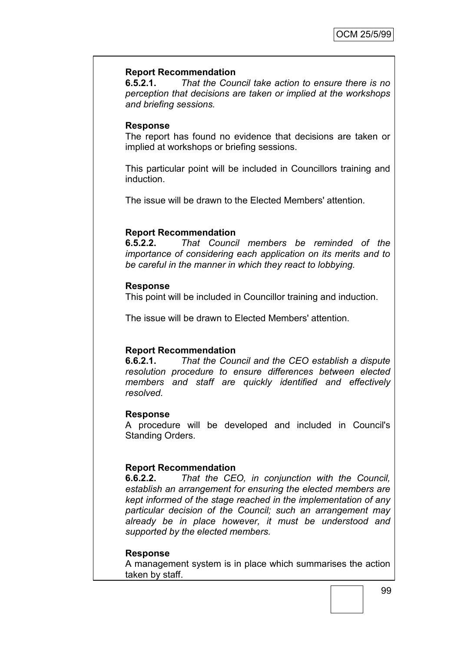### **Report Recommendation**

**6.5.2.1.** *That the Council take action to ensure there is no perception that decisions are taken or implied at the workshops and briefing sessions.*

#### **Response**

The report has found no evidence that decisions are taken or implied at workshops or briefing sessions.

This particular point will be included in Councillors training and induction.

The issue will be drawn to the Elected Members' attention.

# **Report Recommendation**<br>**6.5.2.2.** *That Counci*

**6.5.2.2.** *That Council members be reminded of the importance of considering each application on its merits and to be careful in the manner in which they react to lobbying.*

#### **Response**

This point will be included in Councillor training and induction.

The issue will be drawn to Elected Members' attention.

#### **Report Recommendation**

**6.6.2.1.** *That the Council and the CEO establish a dispute resolution procedure to ensure differences between elected members and staff are quickly identified and effectively resolved.*

#### **Response**

A procedure will be developed and included in Council's Standing Orders.

#### **Report Recommendation**

**6.6.2.2.** *That the CEO, in conjunction with the Council, establish an arrangement for ensuring the elected members are kept informed of the stage reached in the implementation of any particular decision of the Council; such an arrangement may already be in place however, it must be understood and supported by the elected members.*

#### **Response**

A management system is in place which summarises the action taken by staff.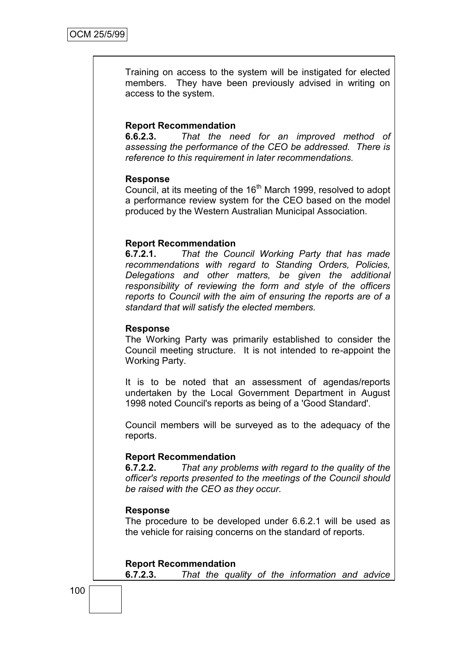Training on access to the system will be instigated for elected members. They have been previously advised in writing on access to the system.

#### **Report Recommendation**

**6.6.2.3.** *That the need for an improved method of assessing the performance of the CEO be addressed. There is reference to this requirement in later recommendations.*

#### **Response**

Council, at its meeting of the 16<sup>th</sup> March 1999, resolved to adopt a performance review system for the CEO based on the model produced by the Western Australian Municipal Association.

### **Report Recommendation**

**6.7.2.1.** *That the Council Working Party that has made recommendations with regard to Standing Orders, Policies, Delegations and other matters, be given the additional responsibility of reviewing the form and style of the officers reports to Council with the aim of ensuring the reports are of a standard that will satisfy the elected members.*

#### **Response**

The Working Party was primarily established to consider the Council meeting structure. It is not intended to re-appoint the Working Party.

It is to be noted that an assessment of agendas/reports undertaken by the Local Government Department in August 1998 noted Council's reports as being of a 'Good Standard'.

Council members will be surveyed as to the adequacy of the reports.

#### **Report Recommendation**

**6.7.2.2.** *That any problems with regard to the quality of the officer's reports presented to the meetings of the Council should be raised with the CEO as they occur.*

#### **Response**

The procedure to be developed under 6.6.2.1 will be used as the vehicle for raising concerns on the standard of reports.

**Report Recommendation 6.7.2.3.** *That the quality of the information and advice* 

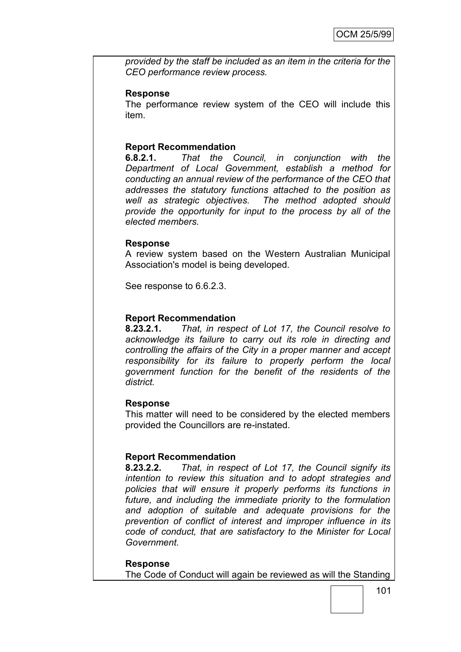*provided by the staff be included as an item in the criteria for the CEO performance review process.*

#### **Response**

The performance review system of the CEO will include this item.

#### **Report Recommendation**

**6.8.2.1.** *That the Council, in conjunction with the Department of Local Government, establish a method for conducting an annual review of the performance of the CEO that addresses the statutory functions attached to the position as well as strategic objectives. The method adopted should provide the opportunity for input to the process by all of the elected members.*

#### **Response**

A review system based on the Western Australian Municipal Association's model is being developed.

See response to 6.6.2.3.

#### **Report Recommendation**

**8.23.2.1.** *That, in respect of Lot 17, the Council resolve to acknowledge its failure to carry out its role in directing and controlling the affairs of the City in a proper manner and accept responsibility for its failure to properly perform the local government function for the benefit of the residents of the district.*

#### **Response**

This matter will need to be considered by the elected members provided the Councillors are re-instated.

#### **Report Recommendation**

**8.23.2.2.** *That, in respect of Lot 17, the Council signify its intention to review this situation and to adopt strategies and policies that will ensure it properly performs its functions in future, and including the immediate priority to the formulation and adoption of suitable and adequate provisions for the prevention of conflict of interest and improper influence in its code of conduct, that are satisfactory to the Minister for Local Government.*

**Response** The Code of Conduct will again be reviewed as will the Standing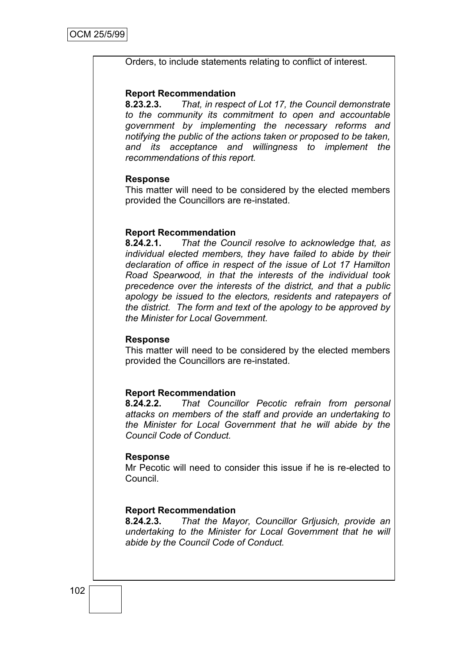#### Orders, to include statements relating to conflict of interest.

#### **Report Recommendation**

**8.23.2.3.** *That, in respect of Lot 17, the Council demonstrate to the community its commitment to open and accountable government by implementing the necessary reforms and notifying the public of the actions taken or proposed to be taken, and its acceptance and willingness to implement the recommendations of this report.*

#### **Response**

This matter will need to be considered by the elected members provided the Councillors are re-instated.

#### **Report Recommendation**

**8.24.2.1.** *That the Council resolve to acknowledge that, as individual elected members, they have failed to abide by their declaration of office in respect of the issue of Lot 17 Hamilton Road Spearwood, in that the interests of the individual took precedence over the interests of the district, and that a public apology be issued to the electors, residents and ratepayers of the district. The form and text of the apology to be approved by the Minister for Local Government.*

#### **Response**

This matter will need to be considered by the elected members provided the Councillors are re-instated.

#### **Report Recommendation**

**8.24.2.2.** *That Councillor Pecotic refrain from personal attacks on members of the staff and provide an undertaking to the Minister for Local Government that he will abide by the Council Code of Conduct.*

#### **Response**

Mr Pecotic will need to consider this issue if he is re-elected to Council.

#### **Report Recommendation**

**8.24.2.3.** *That the Mayor, Councillor Grljusich, provide an undertaking to the Minister for Local Government that he will abide by the Council Code of Conduct.*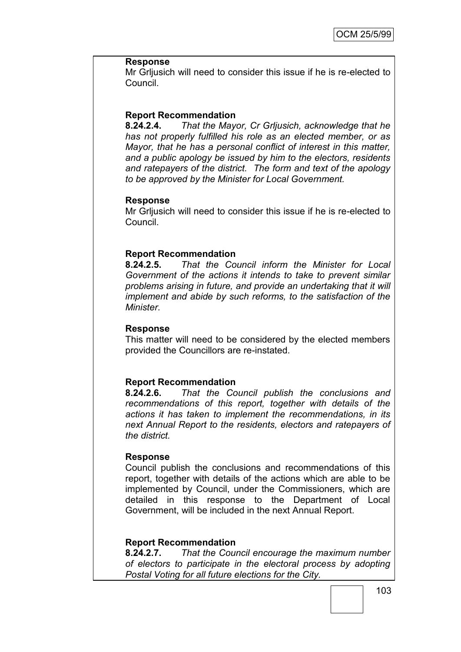#### **Response**

Mr Grljusich will need to consider this issue if he is re-elected to Council.

#### **Report Recommendation**

**8.24.2.4.** *That the Mayor, Cr Grljusich, acknowledge that he has not properly fulfilled his role as an elected member, or as Mayor, that he has a personal conflict of interest in this matter, and a public apology be issued by him to the electors, residents and ratepayers of the district. The form and text of the apology to be approved by the Minister for Local Government.*

#### **Response**

Mr Grljusich will need to consider this issue if he is re-elected to Council.

### **Report Recommendation**

**8.24.2.5.** *That the Council inform the Minister for Local Government of the actions it intends to take to prevent similar problems arising in future, and provide an undertaking that it will implement and abide by such reforms, to the satisfaction of the Minister.*

#### **Response**

This matter will need to be considered by the elected members provided the Councillors are re-instated.

#### **Report Recommendation**

**8.24.2.6.** *That the Council publish the conclusions and recommendations of this report, together with details of the actions it has taken to implement the recommendations, in its next Annual Report to the residents, electors and ratepayers of the district.*

#### **Response**

Council publish the conclusions and recommendations of this report, together with details of the actions which are able to be implemented by Council, under the Commissioners, which are detailed in this response to the Department of Local Government, will be included in the next Annual Report.

### **Report Recommendation**

**8.24.2.7.** *That the Council encourage the maximum number of electors to participate in the electoral process by adopting Postal Voting for all future elections for the City.*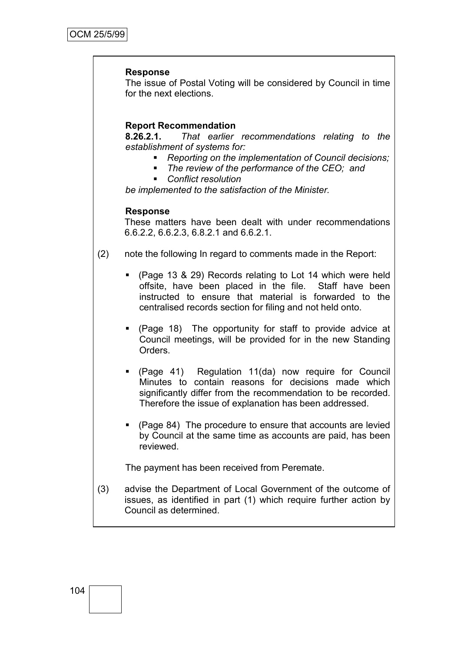#### **Response**

The issue of Postal Voting will be considered by Council in time for the next elections.

### **Report Recommendation**

**8.26.2.1.** *That earlier recommendations relating to the establishment of systems for:*

- *Reporting on the implementation of Council decisions;*
- The review of the performance of the CEO; and<br>■ Conflict resolution
	- *Conflict resolution*

*be implemented to the satisfaction of the Minister.*

#### **Response**

These matters have been dealt with under recommendations 6.6.2.2, 6.6.2.3, 6.8.2.1 and 6.6.2.1.

- (2) note the following In regard to comments made in the Report:
	- (Page 13 & 29) Records relating to Lot 14 which were held offsite, have been placed in the file. Staff have been instructed to ensure that material is forwarded to the centralised records section for filing and not held onto.
	- (Page 18) The opportunity for staff to provide advice at Council meetings, will be provided for in the new Standing Orders.
	- (Page 41) Regulation 11(da) now require for Council Minutes to contain reasons for decisions made which significantly differ from the recommendation to be recorded. Therefore the issue of explanation has been addressed.
	- (Page 84) The procedure to ensure that accounts are levied by Council at the same time as accounts are paid, has been reviewed.

The payment has been received from Peremate.

(3) advise the Department of Local Government of the outcome of issues, as identified in part (1) which require further action by Council as determined.

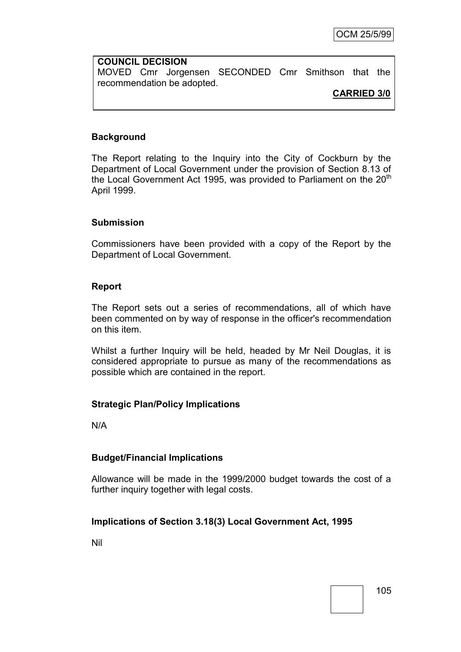**COUNCIL DECISION** MOVED Cmr Jorgensen SECONDED Cmr Smithson that the recommendation be adopted.

# **CARRIED 3/0**

# **Background**

The Report relating to the Inquiry into the City of Cockburn by the Department of Local Government under the provision of Section 8.13 of the Local Government Act 1995, was provided to Parliament on the  $20<sup>th</sup>$ April 1999.

#### **Submission**

Commissioners have been provided with a copy of the Report by the Department of Local Government.

#### **Report**

The Report sets out a series of recommendations, all of which have been commented on by way of response in the officer's recommendation on this item.

Whilst a further Inquiry will be held, headed by Mr Neil Douglas, it is considered appropriate to pursue as many of the recommendations as possible which are contained in the report.

## **Strategic Plan/Policy Implications**

N/A

## **Budget/Financial Implications**

Allowance will be made in the 1999/2000 budget towards the cost of a further inquiry together with legal costs.

## **Implications of Section 3.18(3) Local Government Act, 1995**

Nil

105